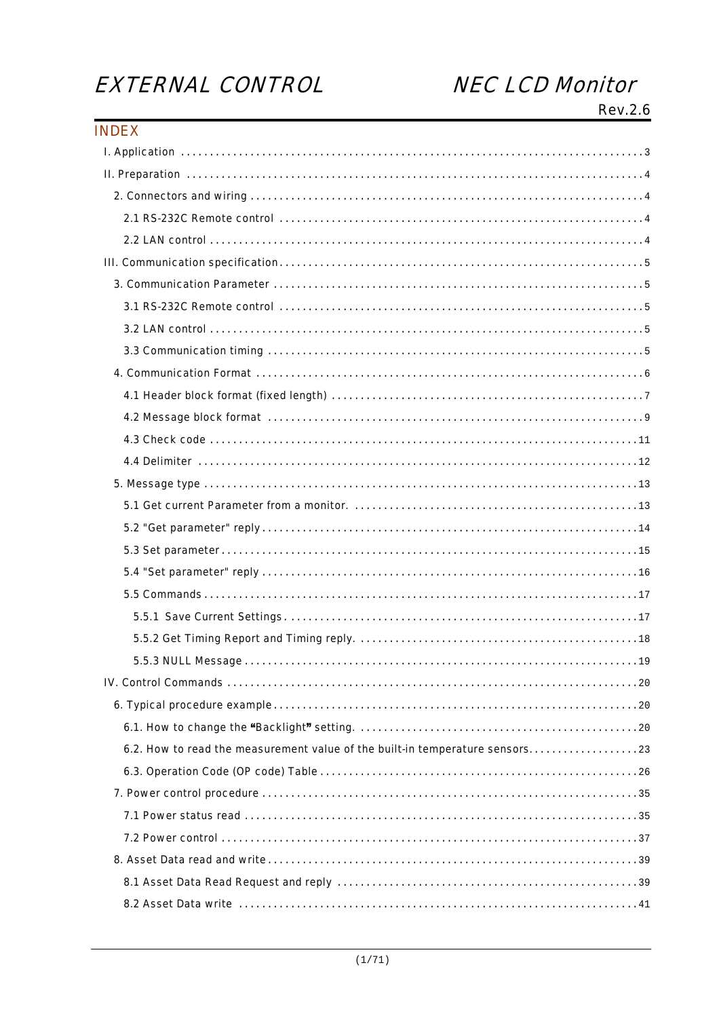# EXTERNAL CONTROL

# **NEC LCD Monitor**

Rev.2.6

| <b>INDEX</b>                                                                  |  |
|-------------------------------------------------------------------------------|--|
|                                                                               |  |
|                                                                               |  |
|                                                                               |  |
|                                                                               |  |
|                                                                               |  |
|                                                                               |  |
|                                                                               |  |
|                                                                               |  |
|                                                                               |  |
|                                                                               |  |
|                                                                               |  |
|                                                                               |  |
|                                                                               |  |
|                                                                               |  |
|                                                                               |  |
|                                                                               |  |
|                                                                               |  |
|                                                                               |  |
|                                                                               |  |
|                                                                               |  |
|                                                                               |  |
|                                                                               |  |
|                                                                               |  |
|                                                                               |  |
|                                                                               |  |
|                                                                               |  |
|                                                                               |  |
| 6.2. How to read the measurement value of the built-in temperature sensors 23 |  |
|                                                                               |  |
|                                                                               |  |
|                                                                               |  |
|                                                                               |  |
|                                                                               |  |
|                                                                               |  |
|                                                                               |  |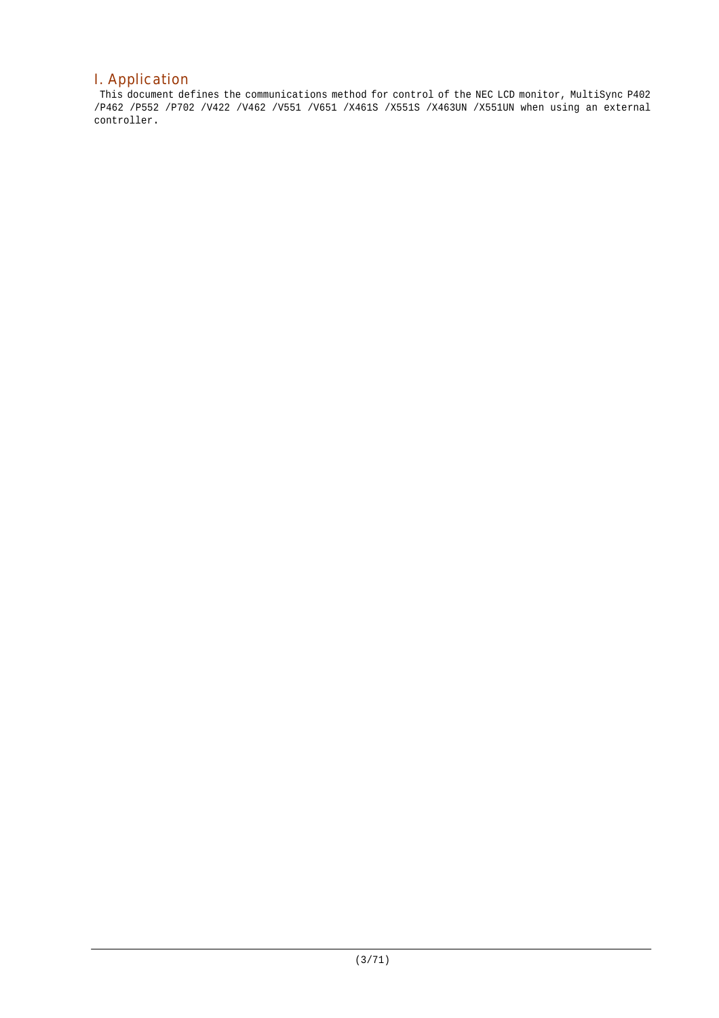# I. Application

This document defines the communications method for control of the NEC LCD monitor, MultiSync P402 /P462 /P552 /P702 /V422 /V462 /V551 /V651 /X461S /X551S /X463UN /X551UN when using an external controller.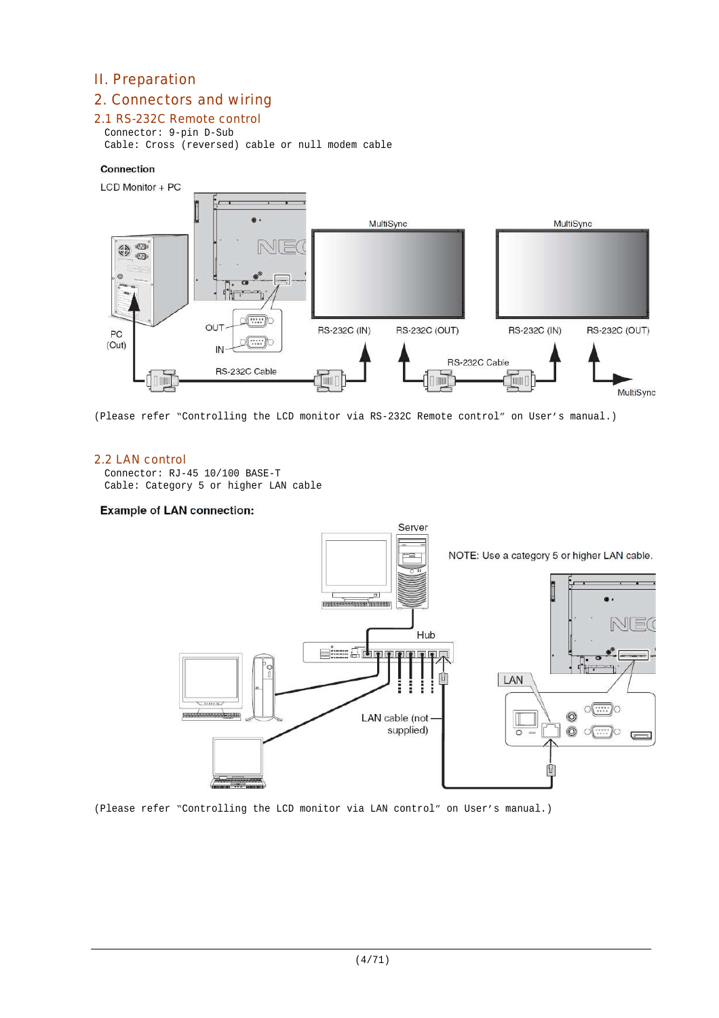# II. Preparation

# 2. Connectors and wiring

# 2.1 RS-232C Remote control

Connector: 9-pin D-Sub Cable: Cross (reversed) cable or null modem cable

## Connection



(Please refer "Controlling the LCD monitor via RS-232C Remote control" on User's manual.)

# 2.2 LAN control

Connector: RJ-45 10/100 BASE-T Cable: Category 5 or higher LAN cable

### **Example of LAN connection:**



(Please refer "Controlling the LCD monitor via LAN control" on User's manual.)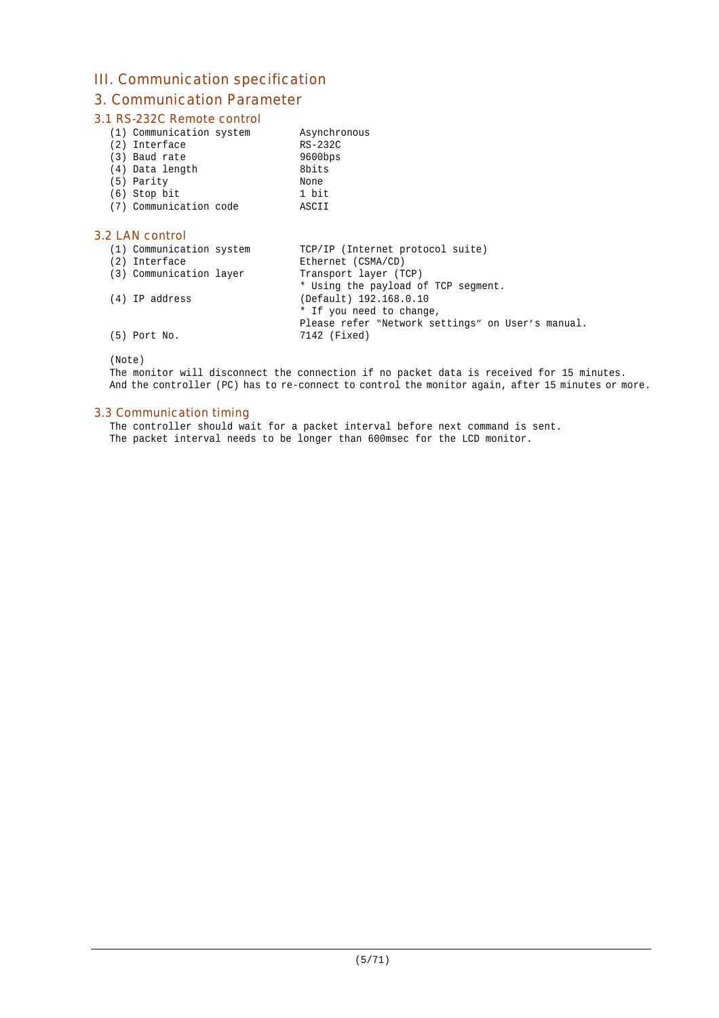# III. Communication specification

# 3. Communication Parameter

# 3.1 RS-232C Remote control

|  | (1) Communication system |  |
|--|--------------------------|--|
|--|--------------------------|--|

| (2) Interface   | RS-232C    |
|-----------------|------------|
| (3) Baud rate   | $9600$ bps |
| (4) Data length | 8bits      |
| (5) Parity      | None       |
| $(6)$ Stop bit  | 1 bit      |

(7) Communication code ASCII

# 3.2 LAN control

| (1) Communication system<br>(2) Interface | TCP/IP (Internet protocol suite)<br>Ethernet (CSMA/CD) |
|-------------------------------------------|--------------------------------------------------------|
| (3) Communication layer                   | Transport layer (TCP)                                  |
|                                           | * Using the payload of TCP segment.                    |
| (4) IP address                            | (Default) 192.168.0.10                                 |
|                                           | * If you need to change,                               |
|                                           | Please refer "Network settings" on User's manual.      |
| $(5)$ Port No.                            | 7142 (Fixed)                                           |

Asynchronous

(Note)

The monitor will disconnect the connection if no packet data is received for 15 minutes. And the controller (PC) has to re-connect to control the monitor again, after 15 minutes or more.

# 3.3 Communication timing

The controller should wait for a packet interval before next command is sent. The packet interval needs to be longer than 600msec for the LCD monitor.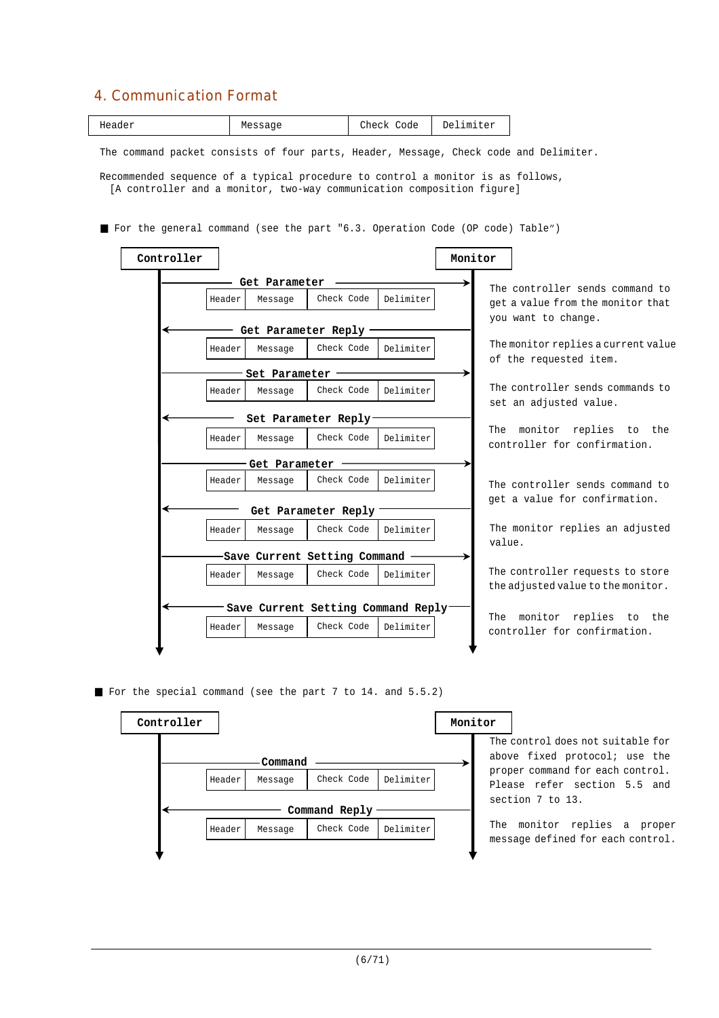# 4. Communication Format

|--|

The command packet consists of four parts, Header, Message, Check code and Delimiter.

Recommended sequence of a typical procedure to control a monitor is as follows, [A controller and a monitor, two-way communication composition figure]

For the general command (see the part "6.3. Operation Code (OP code) Table")



For the special command (see the part 7 to 14. and 5.5.2)

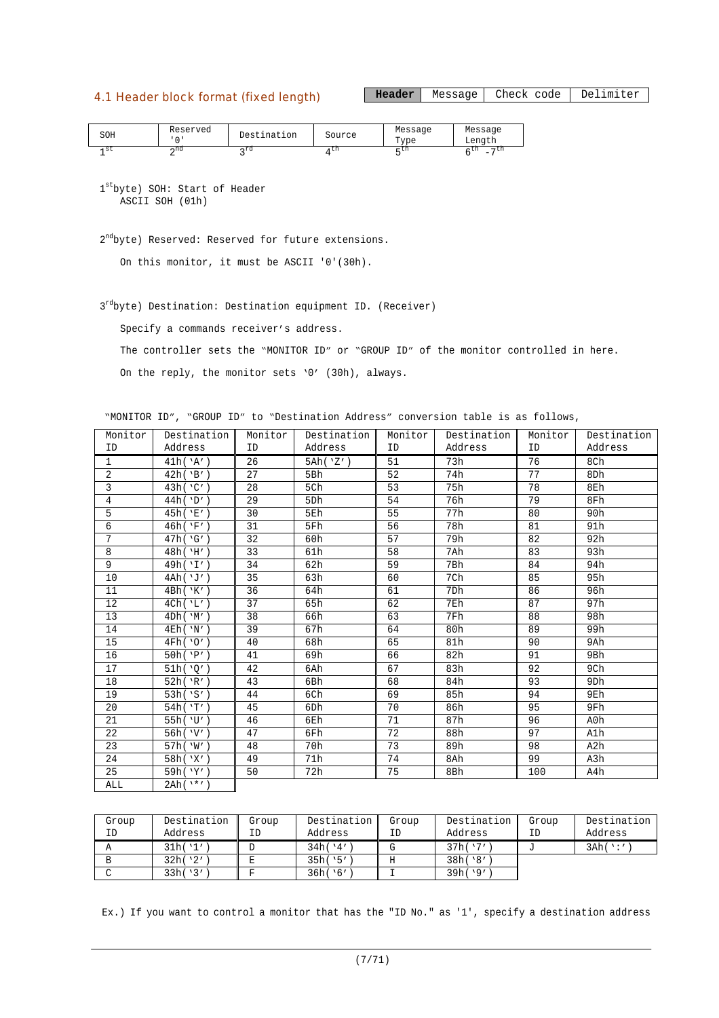# 4.1 Header block format (fixed length)

Header | Message | Check code | Delimiter

| SOH | Reserved | Destination | Source | Message<br>$T$ vpe | Message<br>Length                          |
|-----|----------|-------------|--------|--------------------|--------------------------------------------|
| -st | ∽nd      | ∽rd         | τn     | – UI               | $-11$<br>- UII<br>$\overline{\phantom{a}}$ |

1 st byte) SOH: Start of Header ASCII SOH (01h)

2<sup>nd</sup>byte) Reserved: Reserved for future extensions.

On this monitor, it must be ASCII '0'(30h).

3<sup>rd</sup>byte) Destination: Destination equipment ID. (Receiver)

Specify a commands receiver's address.

The controller sets the "MONITOR ID" or "GROUP ID" of the monitor controlled in here.

On the reply, the monitor sets '0' (30h), always.

"MONITOR ID", "GROUP ID" to "Destination Address" conversion table is as follows,

| Monitor         | Destination    | Monitor | Destination     | Monitor | Destination | Monitor | Destination     |
|-----------------|----------------|---------|-----------------|---------|-------------|---------|-----------------|
| ID              | Address        | ID      | Address         | ID      | Address     | ID      | Address         |
| 1               | 41h('A')       | 26      | 5Ah('Z')        | 51      | 73h         | 76      | 8Ch             |
| 2               | 42h('B')       | 27      | 5Bh             | 52      | 74h         | 77      | 8Dh             |
| 3               | 43h('C')       | 28      | 5Ch             | 53      | 75h         | 78      | 8Eh             |
| $\overline{4}$  | 44h('D')       | 29      | 5Dh             | 54      | 76h         | 79      | 8Fh             |
| 5               | 45h('E')       | 30      | 5Eh             | 55      | 77h         | 80      | 90h             |
| 6               | 46h('F')       | 31      | 5Fh             | 56      | 78h         | 81      | 91h             |
| $7\overline{ }$ | 47h('G')       | 32      | 60h             | 57      | 79h         | 82      | 92h             |
| 8               | 48h('H')       | 33      | 61h             | 58      | 7Ah         | 83      | 93h             |
| 9               | 49h('I')       | 34      | 62h             | 59      | 7Bh         | 84      | 94h             |
| 10              | 4Ah('J')       | 35      | 63h             | 60      | 7Ch         | 85      | 95h             |
| 11              | 4Bh('K')       | 36      | 64h             | 61      | 7Dh         | 86      | 96h             |
| 12              | 4Ch('L')       | 37      | 65h             | 62      | 7Eh         | 87      | 97h             |
| 13              | 4Dh('M')       | 38      | 66h             | 63      | 7Fh         | 88      | 98h             |
| 14              | 4Eh('N')       | 39      | 67h             | 64      | 80h         | 89      | 99h             |
| 15              | 4Fh('0')       | 40      | 68h             | 65      | 81h         | 90      | 9Ah             |
| 16              | 50h('P')       | 41      | 69h             | 66      | 82h         | 91      | 9Bh             |
| 17              | 51h('0')       | 42      | 6Ah             | 67      | 83h         | 92      | 9Ch             |
| 18              | 52h('R')       | 43      | 6Bh             | 68      | 84h         | 93      | 9 <sub>Dh</sub> |
| 19              | 53h('S')       | 44      | 6Ch             | 69      | 85h         | 94      | 9Eh             |
| 20              | 54h('T')       | 45      | 6 <sub>Dh</sub> | 70      | 86h         | 95      | 9Fh             |
| 21              | 55h('U')       | 46      | 6Eh             | 71      | 87h         | 96      | A0h             |
| 22              | 56h('V')       | 47      | 6Fh             | 72      | 88h         | 97      | A1h             |
| 23              | 57h('W')       | 48      | 70h             | 73      | 89h         | 98      | A2h             |
| 24              | 58h('X')       | 49      | 71h             | 74      | 8Ah         | 99      | A3h             |
| 25              | 59h('Y')       | 50      | 72h             | 75      | 8Bh         | 100     | A4h             |
| ALL             | $2Ah(^{1*'}')$ |         |                 |         |             |         |                 |

| Group | Destination | Group | Destination | Group | Destination | Group | Destination |
|-------|-------------|-------|-------------|-------|-------------|-------|-------------|
| ΙD    | Address     | ΙD    | Address     | ΙD    | Address     | ID    | Address     |
|       | 31h('1')    |       | 34h(14')    |       | 37h('7')    |       | 3Ah('')     |
|       | 32h('2')    |       | 35h('5')    |       | 38h('8'     |       |             |
|       | 33h('3')    |       | 36h('6')    |       | 39h('9')    |       |             |

Ex.) If you want to control a monitor that has the "ID No." as '1', specify a destination address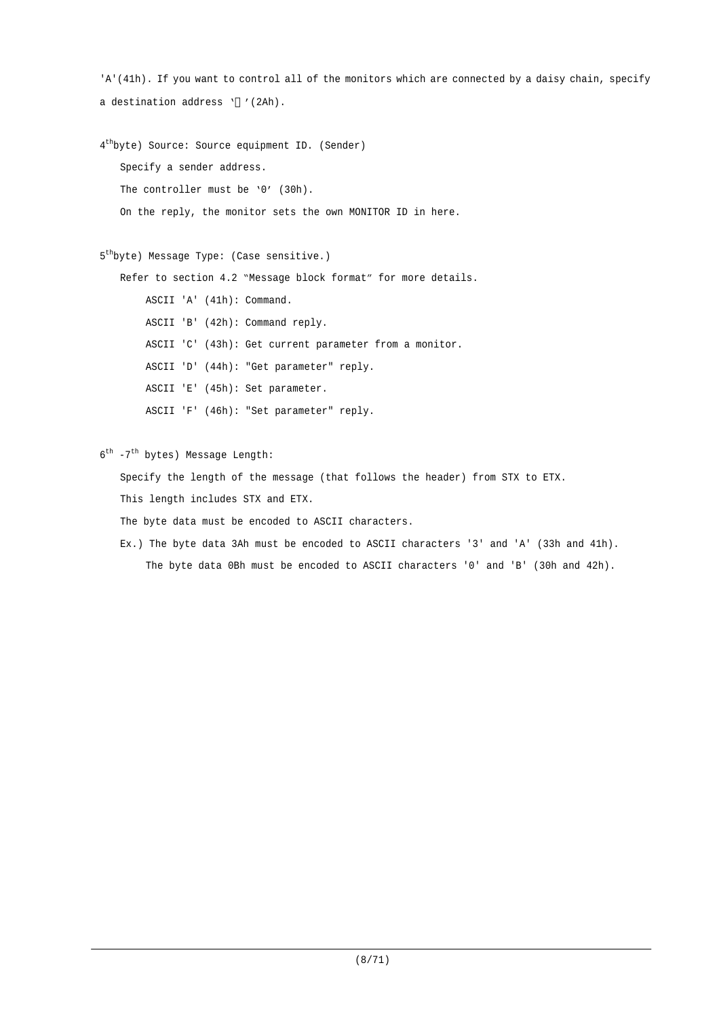```
'A'(41h). If you want to control all of the monitors which are connected by a daisy chain, specify
a destination address ' '(2Ah).
4
th
byte) Source: Source equipment ID. (Sender)
   Specify a sender address.
   The controller must be '0' (30h).
   On the reply, the monitor sets the own MONITOR ID in here.
5
th
byte) Message Type: (Case sensitive.)
   Refer to section 4.2 "Message block format" for more details.
        ASCII 'A' (41h): Command.
        ASCII 'B' (42h): Command reply.
        ASCII 'C' (43h): Get current parameter from a monitor.
        ASCII 'D' (44h): "Get parameter" reply.
        ASCII 'E' (45h): Set parameter.
        ASCII 'F' (46h): "Set parameter" reply.
6<sup>th</sup> -7<sup>th</sup> bytes) Message Length:
   Specify the length of the message (that follows the header) from STX to ETX.
```
This length includes STX and ETX.

The byte data must be encoded to ASCII characters.

Ex.) The byte data 3Ah must be encoded to ASCII characters '3' and 'A' (33h and 41h). The byte data 0Bh must be encoded to ASCII characters '0' and 'B' (30h and 42h).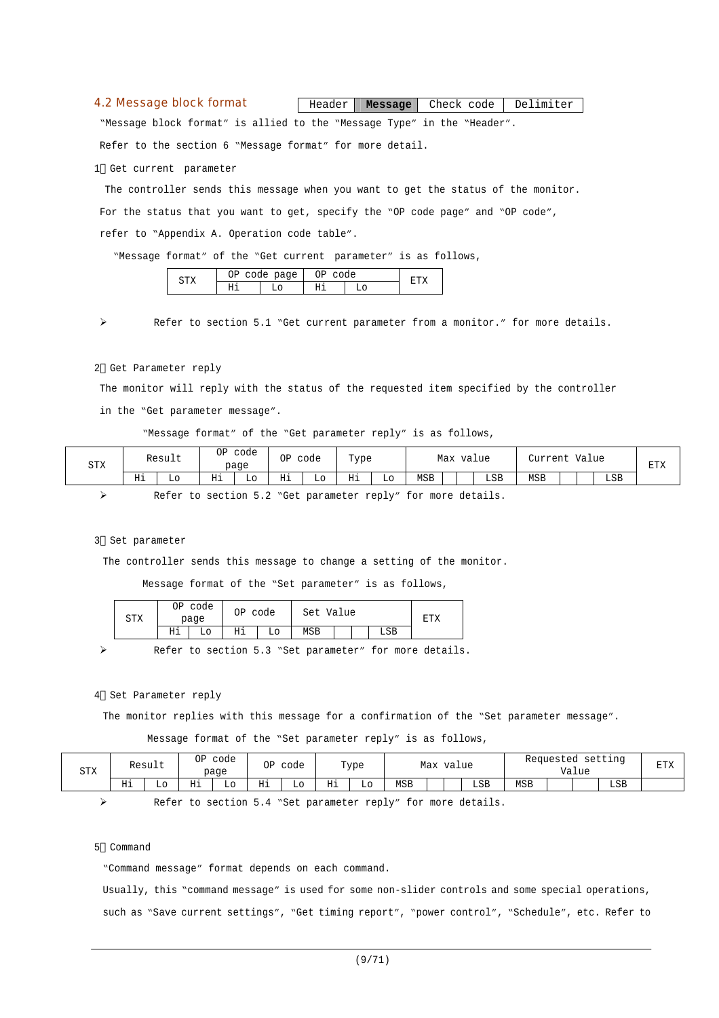#### 4.2 Message block format

Header **Message** Check code Delimiter

"Message block format" is allied to the "Message Type" in the "Header".

Refer to the section 6 "Message format" for more detail.

1 Get current parameter

The controller sends this message when you want to get the status of the monitor. For the status that you want to get, specify the "OP code page" and "OP code", refer to "Appendix A. Operation code table".

"Message format" of the "Get current parameter" is as follows,

|            | $\overline{\phantom{a}}$<br>۱T | page<br>∽<br>$\tilde{\phantom{a}}$ | $\sim$ |  |  |
|------------|--------------------------------|------------------------------------|--------|--|--|
| . .<br>--- | --                             |                                    | T      |  |  |
|            |                                |                                    |        |  |  |

Refer to section 5.1 "Get current parameter from a monitor." for more details.

#### 2 Get Parameter reply

The monitor will reply with the status of the requested item specified by the controller in the "Get parameter message".

"Message format" of the "Get parameter reply" is as follows,

| <b>STX</b> |    | Result | ΟP       | code<br>page | ΟP | code | Type<br>. . |    | Max<br>value |  |     | Value<br>Turreni |  |  |     |  |
|------------|----|--------|----------|--------------|----|------|-------------|----|--------------|--|-----|------------------|--|--|-----|--|
|            | Нi | LО     | ᅚ<br>*** | ШU           | Ηi | Lо   | Ηi          | Lο | <b>MSB</b>   |  | LSB | MSB              |  |  | LSB |  |

Refer to section 5.2 "Get parameter reply" for more details.

#### 3 Set parameter

The controller sends this message to change a setting of the monitor.

Message format of the "Set parameter" is as follows,

| amv<br>∆⊥د | code<br>ОP<br>page |    | 0P<br>code |    | Set Value |  |  |     | ᅲᅲV |
|------------|--------------------|----|------------|----|-----------|--|--|-----|-----|
|            | Ηi                 | L٥ | Ηi         | LО | MSB       |  |  | LSB |     |

Refer to section 5.3 "Set parameter" for more details.

#### 4 Set Parameter reply

The monitor replies with this message for a confirmation of the "Set parameter message".

Message format of the "Set parameter reply" is as follows,

| <b>STX</b> |            | Result | OP | code<br>page | ΟP       | code |    | Type |            | Max | value |     |            | Requested | Value | setting | <b>DTV</b><br>ᅶᅶᄉ |
|------------|------------|--------|----|--------------|----------|------|----|------|------------|-----|-------|-----|------------|-----------|-------|---------|-------------------|
|            | TJ 4<br>ᄓᅩ | ப      | Ηi | Lo.          | ਸ਼ਾਚ<br> | Lo   | Ηi | Lo   | <b>MSB</b> |     |       | LSB | <b>MSB</b> |           |       | LSB     |                   |

Refer to section 5.4 "Set parameter reply" for more details.

### 5 Command

"Command message" format depends on each command.

Usually, this "command message" is used for some non-slider controls and some special operations, such as "Save current settings", "Get timing report", "power control", "Schedule", etc. Refer to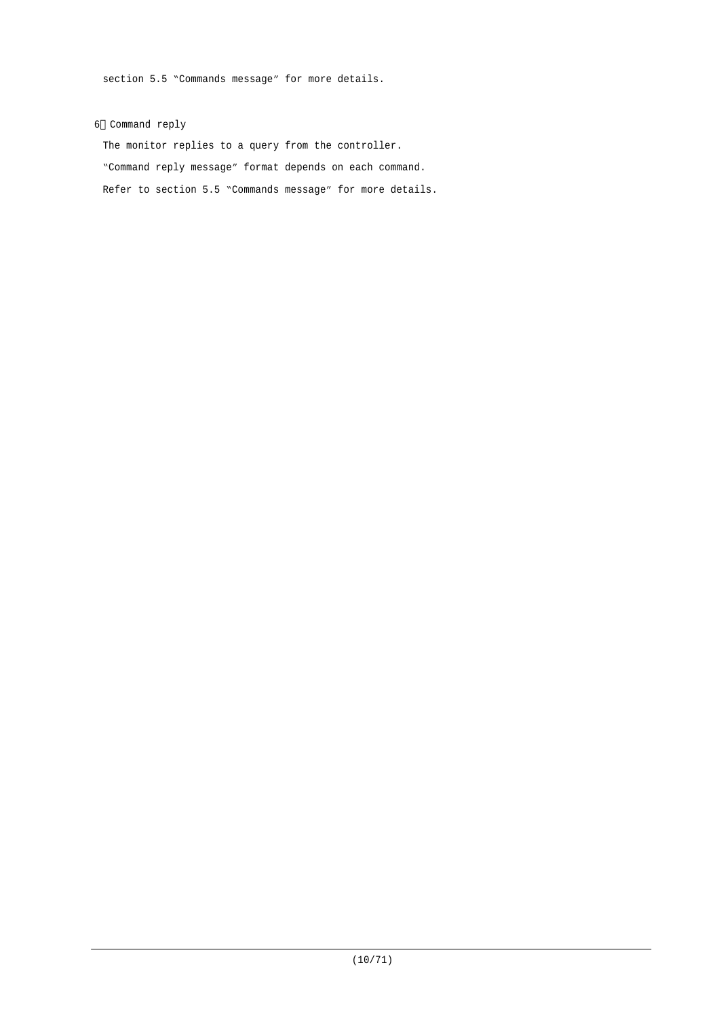section 5.5 "Commands message" for more details.

### 6 Command reply

The monitor replies to a query from the controller. "Command reply message" format depends on each command. Refer to section 5.5 "Commands message" for more details.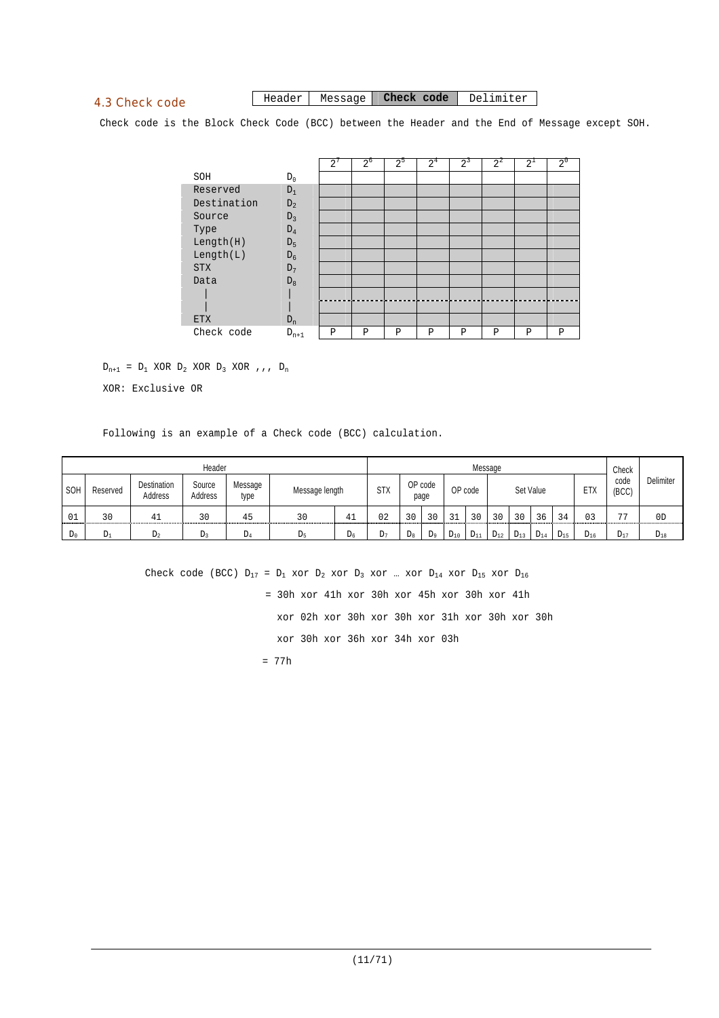# 4.3 Check code

#### Header Message **Check code** Delimiter

Check code is the Block Check Code (BCC) between the Header and the End of Message except SOH.

|             |           | $\overline{2}$ | $2^{\circ}$ | $2^{\circ}$ | 2 <sup>4</sup> | $2^3$ | $2^2$ | $2^{\perp}$ | $2^{\circ}$ |
|-------------|-----------|----------------|-------------|-------------|----------------|-------|-------|-------------|-------------|
| SOH         | $D_0$     |                |             |             |                |       |       |             |             |
| Reserved    | $D_1$     |                |             |             |                |       |       |             |             |
| Destination | $D_2$     |                |             |             |                |       |       |             |             |
| Source      | $D_3$     |                |             |             |                |       |       |             |             |
| Type        | $D_4$     |                |             |             |                |       |       |             |             |
| Length(H)   | $D_5$     |                |             |             |                |       |       |             |             |
| Length(L)   | $D_6$     |                |             |             |                |       |       |             |             |
| <b>STX</b>  | $D_7$     |                |             |             |                |       |       |             |             |
| Data        | $D_8$     |                |             |             |                |       |       |             |             |
|             |           |                |             |             |                |       |       |             |             |
|             |           |                |             |             |                |       |       |             |             |
| <b>ETX</b>  | $D_n$     |                |             |             |                |       |       |             |             |
| Check code  | $D_{n+1}$ | Ρ              | P           | P           | Ρ              | P     | P     | P           | P           |

 $D_{n+1}$  =  $D_1$  XOR  $D_2$  XOR  $D_3$  XOR , , ,  $D_n$ 

XOR: Exclusive OR

Following is an example of a Check code (BCC) calculation.

|       |          |                        | Header                   |                 |                |                |            |             |                 |          |          | Message  |          |           |          |          | Check          |                |
|-------|----------|------------------------|--------------------------|-----------------|----------------|----------------|------------|-------------|-----------------|----------|----------|----------|----------|-----------|----------|----------|----------------|----------------|
| SOH   | Reserved | Destination<br>Address | Source<br><b>Address</b> | Message<br>type | Message length |                | <b>STX</b> |             | OP code<br>page |          | OP code  |          |          | Set Value |          | ETX      | code<br>(BCC)  | Delimiter      |
| 01    | 30       |                        | 30                       | 45              | 30             | 41             | 02         | 30          | 30              | $\sim$   | 3 U      | 30       | 30       | 36        | 34       | 03       | $\overline{a}$ | 0 <sub>D</sub> |
| $D_0$ | Dı       | $D_2$                  | D٦                       | DΔ              | Dς             | D <sub>6</sub> | $L_{7}$    | $D_{\rm R}$ | D <sub>q</sub>  | $D_{10}$ | $D_{11}$ | $D_{12}$ | $D_{13}$ | $D_{14}$  | $D_{15}$ | $D_{16}$ | $D_{17}$       | $D_{18}$       |

Check code (BCC)  $D_{17} = D_1$  xor  $D_2$  xor  $D_3$  xor ... xor  $D_{14}$  xor  $D_{15}$  xor  $D_{16}$  = 30h xor 41h xor 30h xor 45h xor 30h xor 41h xor 02h xor 30h xor 30h xor 31h xor 30h xor 30h xor 30h xor 36h xor 34h xor 03h = 77h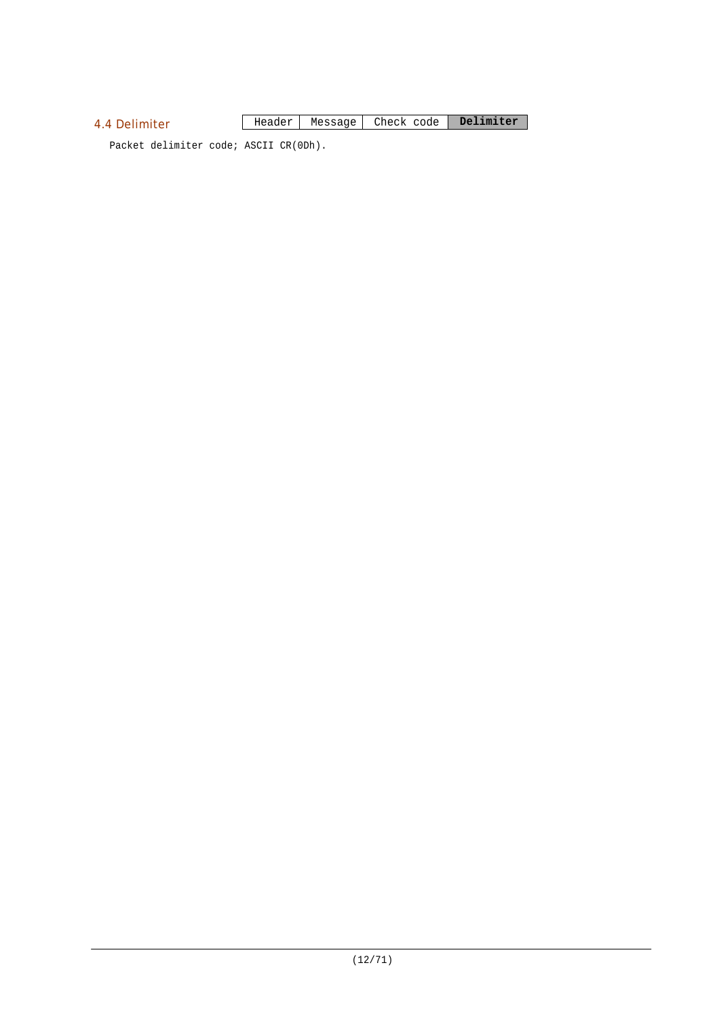# 4.4 Delimiter

Header Message Check code **Delimiter**

Packet delimiter code; ASCII CR(0Dh).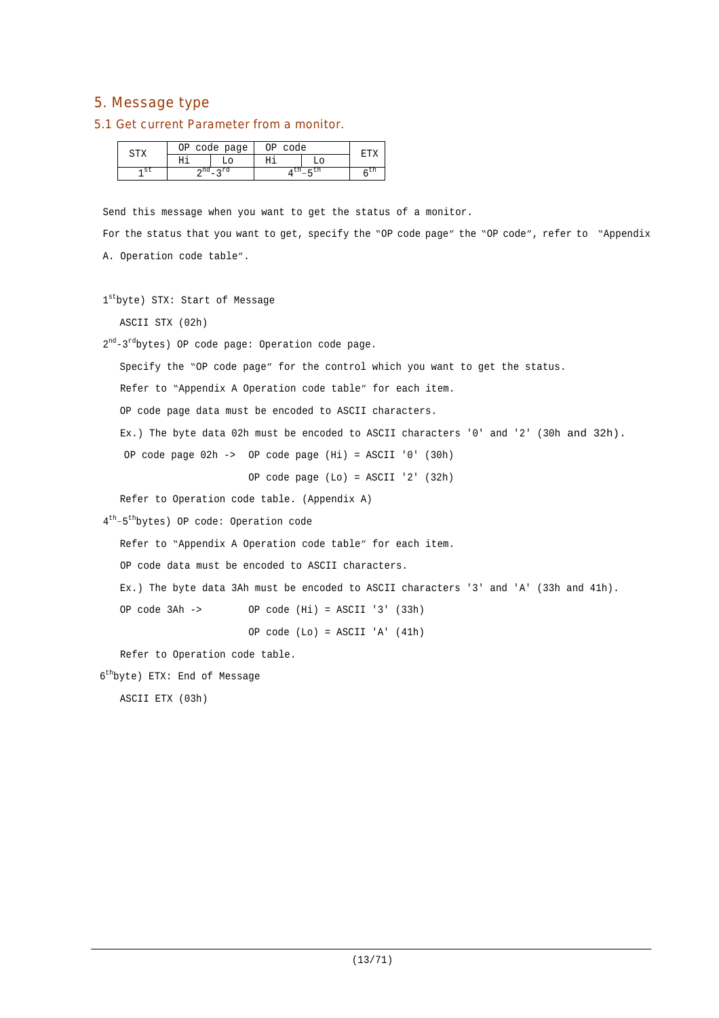# 5. Message type

#### 5.1 Get current Parameter from a monitor.

| טרח | NÞ | code page | ∩г<br>code |       |
|-----|----|-----------|------------|-------|
|     |    |           |            |       |
| st  |    |           |            | $-11$ |

Send this message when you want to get the status of a monitor.

For the status that you want to get, specify the "OP code page" the "OP code", refer to "Appendix A. Operation code table".

```
1stbyte) STX: Start of Message
```
ASCII STX (02h)

2<sup>nd</sup>-3<sup>rd</sup>bytes) OP code page: Operation code page.

Specify the "OP code page" for the control which you want to get the status.

Refer to "Appendix A Operation code table" for each item.

OP code page data must be encoded to ASCII characters.

Ex.) The byte data 02h must be encoded to ASCII characters '0' and '2' (30h and 32h).

OP code page 02h -> OP code page (Hi) = ASCII '0' (30h)

OP code page (Lo) = ASCII '2' (32h)

Refer to Operation code table. (Appendix A)

4 th –5 th bytes) OP code: Operation code

Refer to "Appendix A Operation code table" for each item.

OP code data must be encoded to ASCII characters.

Ex.) The byte data 3Ah must be encoded to ASCII characters '3' and 'A' (33h and 41h).

OP code 3Ah -> OP code (Hi) = ASCII '3' (33h)

OP code (Lo) = ASCII 'A' (41h)

Refer to Operation code table.

6 th byte) ETX: End of Message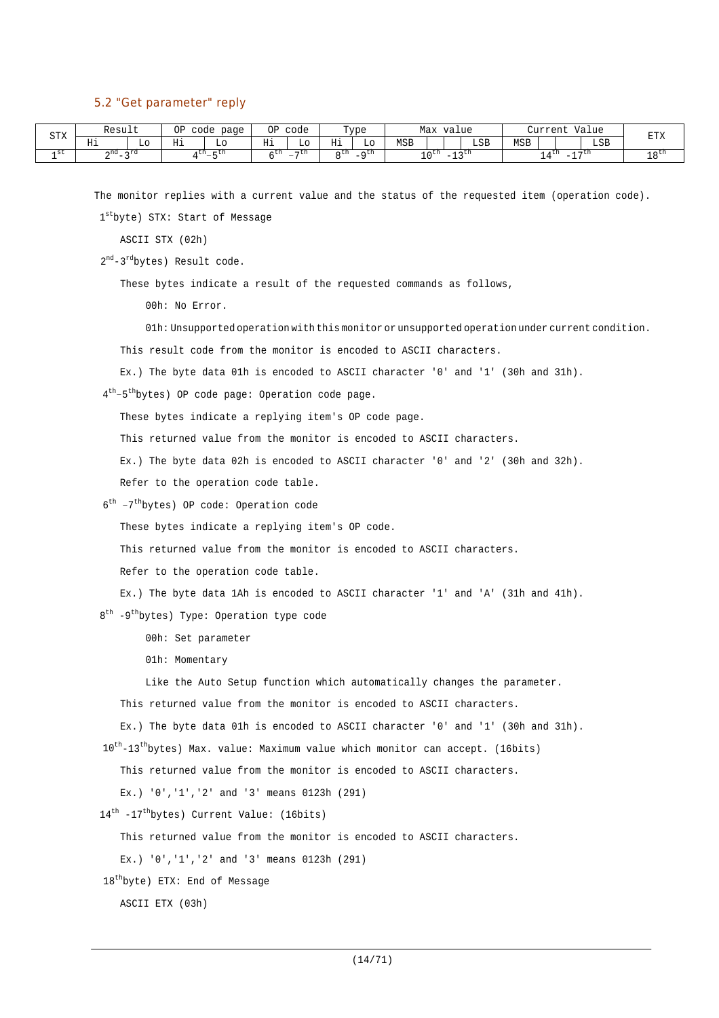#### 5.2 "Get parameter" reply

| STX  | Result                 |     | ΟP<br>code   | page         | ΟP       | code           |       | Type               |     | Max value   |                                                                              |     |            | Current       |                          | Value | <b>DEV</b>   |
|------|------------------------|-----|--------------|--------------|----------|----------------|-------|--------------------|-----|-------------|------------------------------------------------------------------------------|-----|------------|---------------|--------------------------|-------|--------------|
|      | Ηi                     | L٥  | Нi           | TО           | TT-<br>ᅭ | TО             | Нi    | Lο                 | MSB |             |                                                                              | LSB | <b>MSB</b> |               |                          | LSB   | ∆⊥ت⊥         |
| 1 St | $\cap$ nd<br>$ -$<br>▵ | ∽rd | <b>1 LII</b> | – un<br>$-5$ | . LII    | $\neg$ cn<br>- | n LII | $-a$ <sup>th</sup> |     | $\sim$ 0.50 | $\sim$ $\sim$ $\sim$ $\sim$ $\sim$<br>$\overline{\phantom{a}}$<br><b>ســ</b> |     |            | 4 L.I.<br>- - | $\overline{\phantom{a}}$ | , ⊷tn | 1 O LU<br>ᅩ◡ |

The monitor replies with a current value and the status of the requested item (operation code).

1 st byte) STX: Start of Message

ASCII STX (02h)

2<sup>nd</sup>-3<sup>rd</sup>bytes) Result code.

These bytes indicate a result of the requested commands as follows,

00h: No Error.

01h: Unsupported operation with this monitor or unsupported operation under current condition.

This result code from the monitor is encoded to ASCII characters.

Ex.) The byte data 01h is encoded to ASCII character '0' and '1' (30h and 31h).

4<sup>th</sup>-5<sup>th</sup>bytes) OP code page: Operation code page.

These bytes indicate a replying item's OP code page.

This returned value from the monitor is encoded to ASCII characters.

Ex.) The byte data 02h is encoded to ASCII character '0' and '2' (30h and 32h).

Refer to the operation code table.

6 th –7 th bytes) OP code: Operation code

These bytes indicate a replying item's OP code.

This returned value from the monitor is encoded to ASCII characters.

Refer to the operation code table.

Ex.) The byte data 1Ah is encoded to ASCII character '1' and 'A' (31h and 41h).

8<sup>th</sup> -9<sup>th</sup>bytes) Type: Operation type code

00h: Set parameter

01h: Momentary

Like the Auto Setup function which automatically changes the parameter.

This returned value from the monitor is encoded to ASCII characters.

Ex.) The byte data 01h is encoded to ASCII character '0' and '1' (30h and 31h).

10<sup>th</sup>-13<sup>th</sup>bytes) Max. value: Maximum value which monitor can accept. (16bits)

This returned value from the monitor is encoded to ASCII characters.

Ex.) '0','1','2' and '3' means 0123h (291)

14<sup>th</sup> -17<sup>th</sup>bytes) Current Value: (16bits)

This returned value from the monitor is encoded to ASCII characters.

Ex.) '0','1','2' and '3' means 0123h (291)

18<sup>th</sup>byte) ETX: End of Message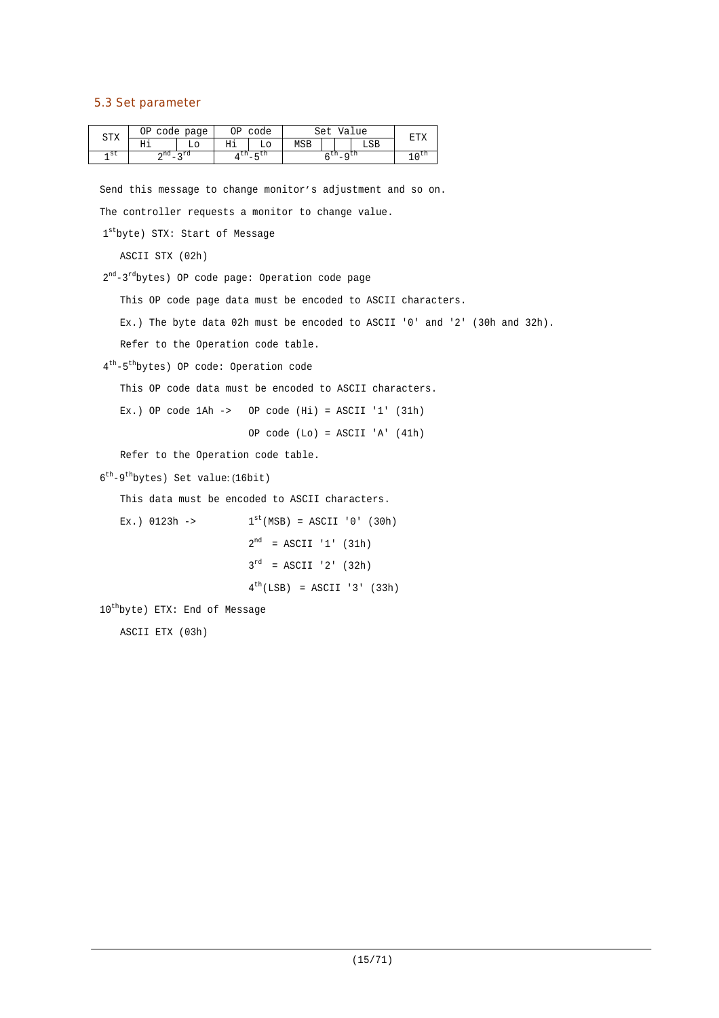# 5.3 Set parameter

| CTV  | ОP  | code page  | ЭP | code   |     | Set        |           | Value | ᠳ᠇ |
|------|-----|------------|----|--------|-----|------------|-----------|-------|----|
| ◡∸▵  | ᅭ   | LС         | Ηi | L٥     | MSB |            |           | LSB   |    |
| ۹ St | ∽nd | $\lnot$ rd | un | $-$ LH |     | <b>LII</b> | $\sim$ CD |       |    |

Send this message to change monitor's adjustment and so on. The controller requests a monitor to change value.

```
1stbyte) STX: Start of Message
```
ASCII STX (02h)

2<sup>nd</sup>-3<sup>rd</sup>bytes) OP code page: Operation code page

This OP code page data must be encoded to ASCII characters.

Ex.) The byte data 02h must be encoded to ASCII '0' and '2' (30h and 32h).

Refer to the Operation code table.

4 th -5 th bytes) OP code: Operation code

This OP code data must be encoded to ASCII characters.

Ex.) OP code  $1$ Ah -> OP code  $(Hi)$  = ASCII '1'  $(31h)$ 

OP code (Lo) = ASCII 'A' (41h)

Refer to the Operation code table.

6<sup>th</sup>-9<sup>th</sup>bytes) Set value: (16bit)

This data must be encoded to ASCII characters.

```
Ex.) 0123h ->
                               ^{\text{st}}(\text{MSB}) = \text{ASCII} '0' (30h)2^{nd} = ASCII '1' (31h)
                             3^{rd} = ASCII '2' (32h)
                             4^{th}(LSB) = ASCII '3' (33h)
```
10 th byte) ETX: End of Message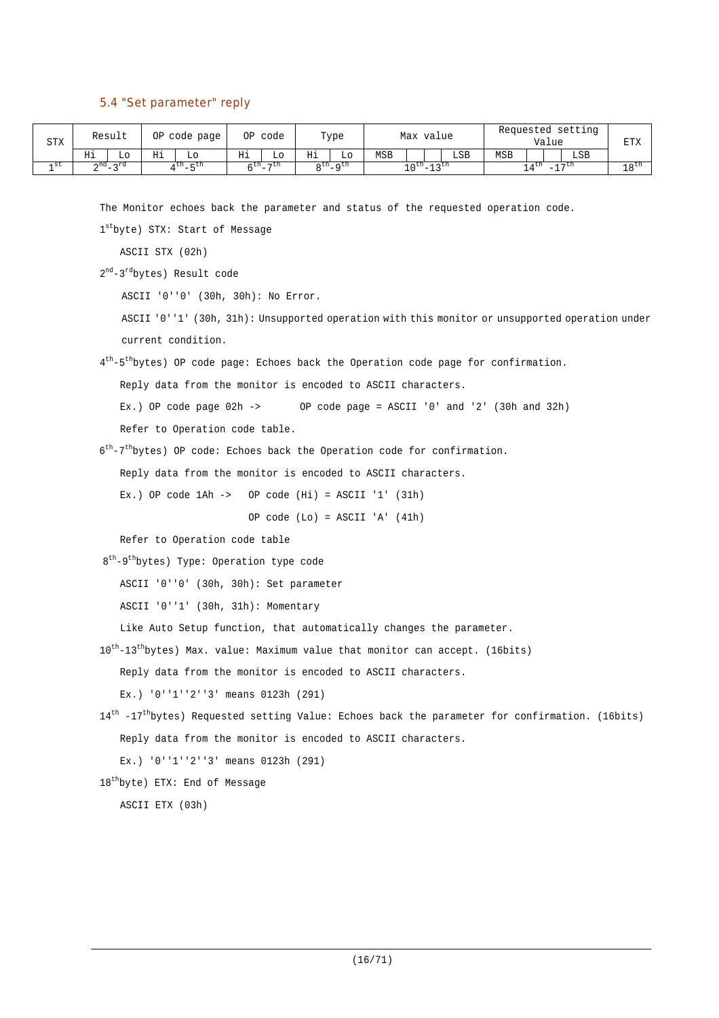# 5.4 "Set parameter" reply

| <b>STX</b> |    | Result            |    | OP code page |    | OP code           |    | Type              |            | Max value           |     |     | Requested setting<br>Value |                  | ᅲᅲV<br>د∠⊥ت⊥     |
|------------|----|-------------------|----|--------------|----|-------------------|----|-------------------|------------|---------------------|-----|-----|----------------------------|------------------|------------------|
|            | Ηi | LO.               | Ηi |              | Ηi | Lο                | Нi | Lo                | <b>MSB</b> |                     | LSB | MSB |                            | LSB              |                  |
| 1 St       |    | $2^{nd} - 2^{rd}$ |    | $4th - 5th$  |    | $6^{th} - 7^{th}$ |    | $R^{th}$ $R^{th}$ |            | $10^{th} - 13^{th}$ |     |     | $\lambda$ cu               | $\neg$ $\neg$ th | 18 <sup>th</sup> |

The Monitor echoes back the parameter and status of the requested operation code.

1 st byte) STX: Start of Message

ASCII STX (02h)

2<sup>nd</sup>-3<sup>rd</sup>bytes) Result code

ASCII '0''0' (30h, 30h): No Error.

ASCII '0''1' (30h, 31h): Unsupported operation with this monitor or unsupported operation under current condition.

4<sup>th</sup>-5<sup>th</sup>bytes) OP code page: Echoes back the Operation code page for confirmation.

Reply data from the monitor is encoded to ASCII characters.

Ex.) OP code page  $02h \rightarrow$  OP code page = ASCII '0' and '2' (30h and 32h)

Refer to Operation code table.

6<sup>th</sup>-7<sup>th</sup>bytes) OP code: Echoes back the Operation code for confirmation.

Reply data from the monitor is encoded to ASCII characters.

Ex.) OP code  $1Ah \rightarrow$  OP code  $(Hi) = ASCII '1' (31h)$ 

OP code (Lo) = ASCII 'A' (41h)

Refer to Operation code table

8<sup>th</sup>-9<sup>th</sup>bytes) Type: Operation type code

ASCII '0''0' (30h, 30h): Set parameter

ASCII '0''1' (30h, 31h): Momentary

Like Auto Setup function, that automatically changes the parameter.

10<sup>th</sup>-13<sup>th</sup>bytes) Max. value: Maximum value that monitor can accept. (16bits)

Reply data from the monitor is encoded to ASCII characters.

Ex.) '0''1''2''3' means 0123h (291)

```
14<sup>th</sup> -17<sup>th</sup>bytes) Requested setting Value: Echoes back the parameter for confirmation. (16bits)
   Reply data from the monitor is encoded to ASCII characters.
```
Ex.) '0''1''2''3' means 0123h (291)

18 th byte) ETX: End of Message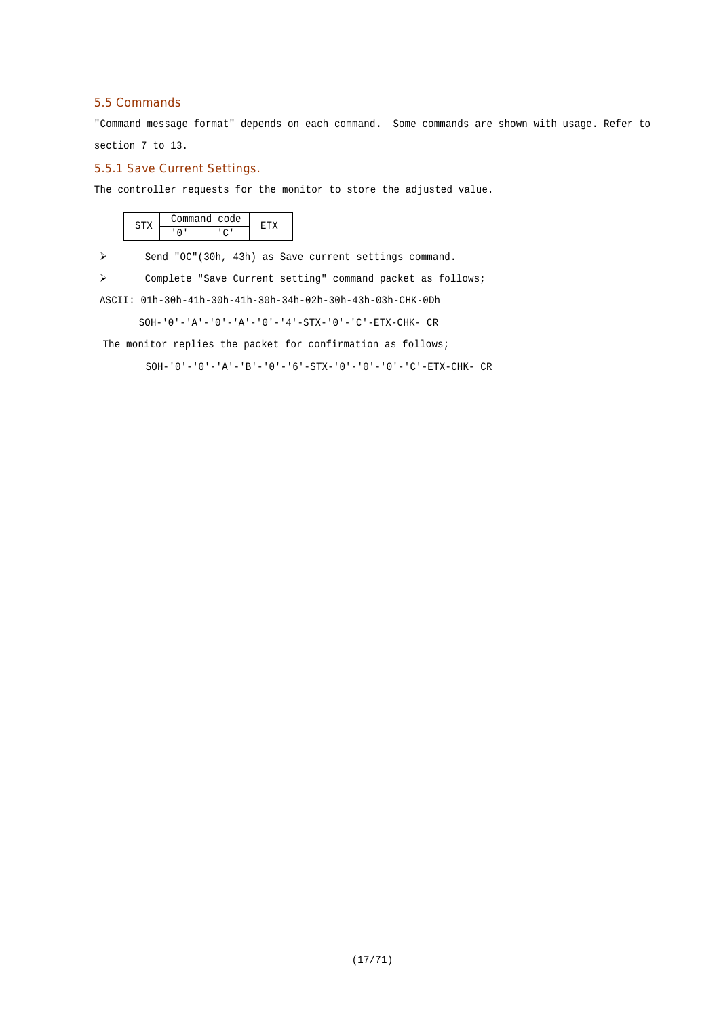# 5.5 Commands

"Command message format" depends on each command. Some commands are shown with usage. Refer to section 7 to 13.

## 5.5.1 Save Current Settings.

The controller requests for the monitor to store the adjusted value.

|  | 'ommand code |  |
|--|--------------|--|
|  |              |  |

> Send "OC"(30h, 43h) as Save current settings command.

Complete "Save Current setting" command packet as follows;

ASCII: 01h-30h-41h-30h-41h-30h-34h-02h-30h-43h-03h-CHK-0Dh

SOH-'0'-'A'-'0'-'A'-'0'-'4'-STX-'0'-'C'-ETX-CHK- CR

The monitor replies the packet for confirmation as follows;

SOH-'0'-'0'-'A'-'B'-'0'-'6'-STX-'0'-'0'-'0'-'C'-ETX-CHK- CR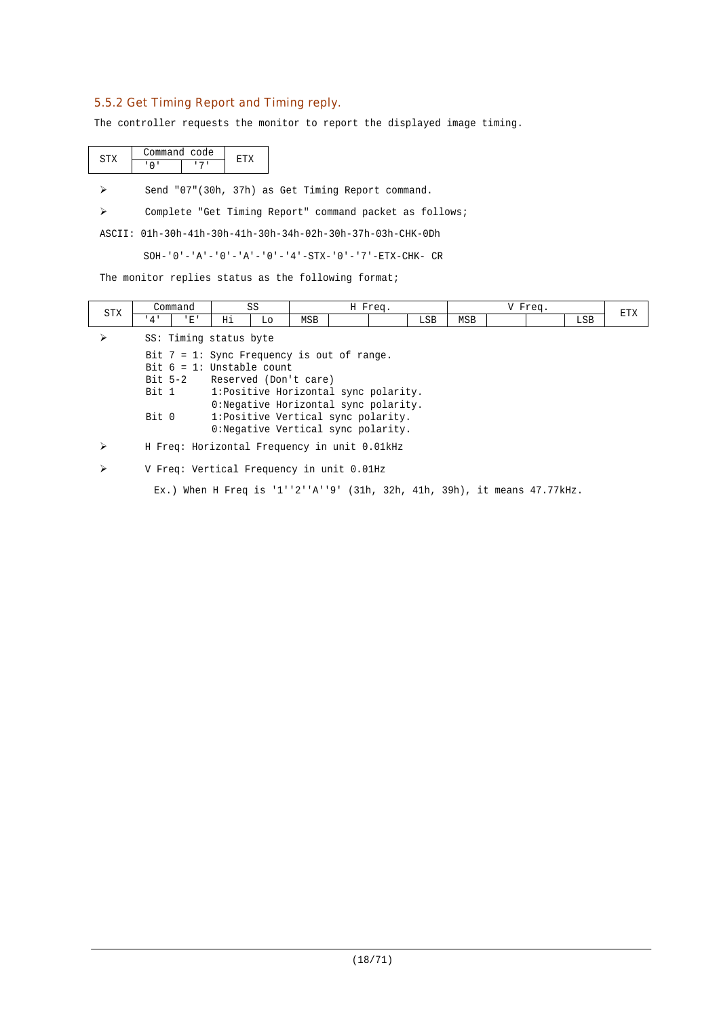# 5.5.2 Get Timing Report and Timing reply.

The controller requests the monitor to report the displayed image timing.

|  | ommand code |  |
|--|-------------|--|
|  |             |  |

Send "07"(30h, 37h) as Get Timing Report command.

Complete "Get Timing Report" command packet as follows;

ASCII: 01h-30h-41h-30h-41h-30h-34h-02h-30h-37h-03h-CHK-0Dh

SOH-'0'-'A'-'0'-'A'-'0'-'4'-STX-'0'-'7'-ETX-CHK- CR

The monitor replies status as the following format;

| <b>STX</b> |       | Command                      |    | SS |                                               | H Freq.                               |            |            | V Freq. |     | <b>ETX</b> |
|------------|-------|------------------------------|----|----|-----------------------------------------------|---------------------------------------|------------|------------|---------|-----|------------|
|            | 4'    | 'E'                          | Ηi | Lo | MSB                                           |                                       | <b>LSB</b> | <b>MSB</b> |         | LSB |            |
|            |       | SS: Timing status byte       |    |    |                                               |                                       |            |            |         |     |            |
|            |       |                              |    |    | Bit $7 = 1$ : Sync Frequency is out of range. |                                       |            |            |         |     |            |
|            |       | Bit $6 = 1$ : Unstable count |    |    |                                               |                                       |            |            |         |     |            |
|            |       |                              |    |    | Bit 5-2 Reserved (Don't care)                 |                                       |            |            |         |     |            |
|            | Bit 1 |                              |    |    |                                               | 1: Positive Horizontal sync polarity. |            |            |         |     |            |
|            |       |                              |    |    |                                               | 0: Negative Horizontal sync polarity. |            |            |         |     |            |
|            | Bit 0 |                              |    |    |                                               | 1: Positive Vertical sync polarity.   |            |            |         |     |            |
|            |       |                              |    |    |                                               | 0: Negative Vertical sync polarity.   |            |            |         |     |            |
|            |       |                              |    |    | H Freq: Horizontal Frequency in unit 0.01kHz  |                                       |            |            |         |     |            |
|            |       |                              |    |    | V Freq: Vertical Frequency in unit 0.01Hz     |                                       |            |            |         |     |            |

Ex.) When H Freq is '1''2''A''9' (31h, 32h, 41h, 39h), it means 47.77kHz.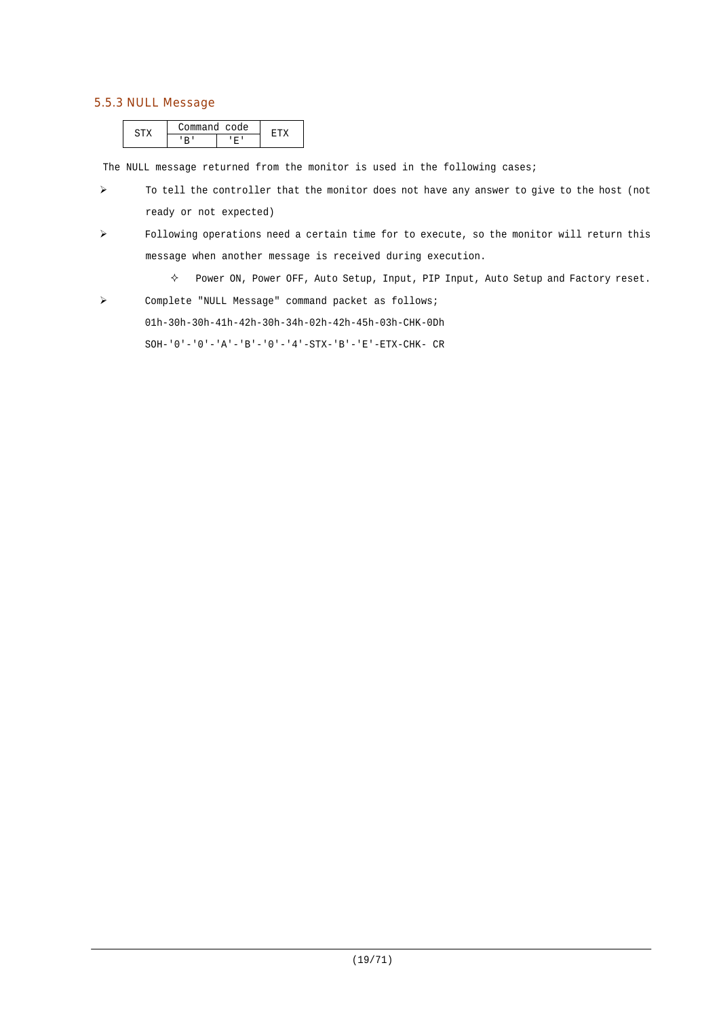# 5.5.3 NULL Message

| . | ommand code |  |
|---|-------------|--|
|   |             |  |

The NULL message returned from the monitor is used in the following cases;

- $\triangleright$  To tell the controller that the monitor does not have any answer to give to the host (not ready or not expected)
- Following operations need a certain time for to execute, so the monitor will return this message when another message is received during execution.
	- $\diamond$  Power ON, Power OFF, Auto Setup, Input, PIP Input, Auto Setup and Factory reset.
- Complete "NULL Message" command packet as follows;

01h-30h-30h-41h-42h-30h-34h-02h-42h-45h-03h-CHK-0Dh

 $\texttt{SOH-}\ '0\ '-\ '0\ '-\ 'A\ '-\ 'B\ '-\ '0\ '-\ '4\ '-\ \texttt{STX-}\ 'B\ '-\ 'E\ '-\ \texttt{ETX-CHK-}\ \ \texttt{CR}$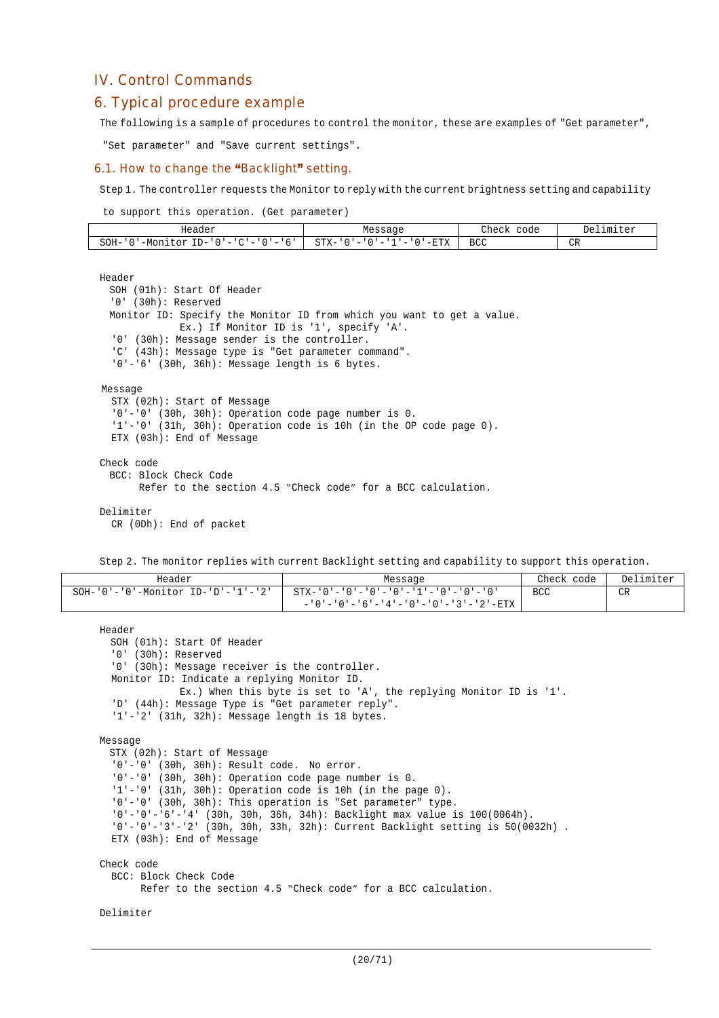# IV. Control Commands

# 6. Typical procedure example

The following is a sample of procedures to control the monitor, these are examples of "Get parameter",

"Set parameter" and "Save current settings".

#### 6.1. How to change the "Backlight" setting.

Step 1. The controller requests the Monitor to reply with the current brightness setting and capability

to support this operation. (Get parameter)

| Header                                                                                                         | Message                                                                                              | Check<br>code    | Del<br>.imiter<br>$F \triangle T$     |
|----------------------------------------------------------------------------------------------------------------|------------------------------------------------------------------------------------------------------|------------------|---------------------------------------|
| $SOH-$<br>--<br>–M∩r<br>∴∩γ<br>$\mathbf{D}$<br>$\overline{\phantom{a}}$<br>- 11 11<br>$\overline{\phantom{a}}$ | $STX-$<br>$-ETX$<br>$\overline{\phantom{a}}$<br>$\overline{\phantom{a}}$<br>$\overline{\phantom{a}}$ | <b>BCC</b><br>__ | $\cap$<br><b>VIV</b><br>$\sim$ $\sim$ |

#### Header

```
SOH (01h): Start Of Header
  '0' (30h): Reserved
 Monitor ID: Specify the Monitor ID from which you want to get a value.
             Ex.) If Monitor ID is '1', specify 'A'.
  '0' (30h): Message sender is the controller.
  'C' (43h): Message type is "Get parameter command".
  '0'-'6' (30h, 36h): Message length is 6 bytes.
Message
  STX (02h): Start of Message
  '0'-'0' (30h, 30h): Operation code page number is 0.
  '1'-'0' (31h, 30h): Operation code is 10h (in the OP code page 0).
 ETX (03h): End of Message
Check code
 BCC: Block Check Code
       Refer to the section 4.5 "Check code" for a BCC calculation.
Delimiter
  CR (0Dh): End of packet
```
Step 2. The monitor replies with current Backlight setting and capability to support this operation.

| Header                                           | Message                               | Check code | Delimiter |
|--------------------------------------------------|---------------------------------------|------------|-----------|
| $SOH - '0' - '0' - Monttor ID - 'D' - '1' - '2'$ | STX-'0'-'0'-'0'-'0'-'1'-'0'-'0'-'0'   | BCC        | <b>CR</b> |
|                                                  | - '0'-'0'-'6'-'4'-'0'-'0'-'3'-'2'-ETX |            |           |

```
Header
 SOH (01h): Start Of Header
  '0' (30h): Reserved
  '0' (30h): Message receiver is the controller.
 Monitor ID: Indicate a replying Monitor ID.
             Ex.) When this byte is set to 'A', the replying Monitor ID is '1'.
  'D' (44h): Message Type is "Get parameter reply".
  '1'-'2' (31h, 32h): Message length is 18 bytes.
Message
 STX (02h): Start of Message
  '0'-'0' (30h, 30h): Result code. No error.
  '0'-'0' (30h, 30h): Operation code page number is 0.
  '1'-'0' (31h, 30h): Operation code is 10h (in the page 0).
  '0'-'0' (30h, 30h): This operation is "Set parameter" type.
  '0'-'0'-'6'-'4' (30h, 30h, 36h, 34h): Backlight max value is 100(0064h).
  '0'-'0'-'3'-'2' (30h, 30h, 33h, 32h): Current Backlight setting is 50(0032h) .
  ETX (03h): End of Message
Check code
  BCC: Block Check Code
        Refer to the section 4.5 "Check code" for a BCC calculation.
```
Delimiter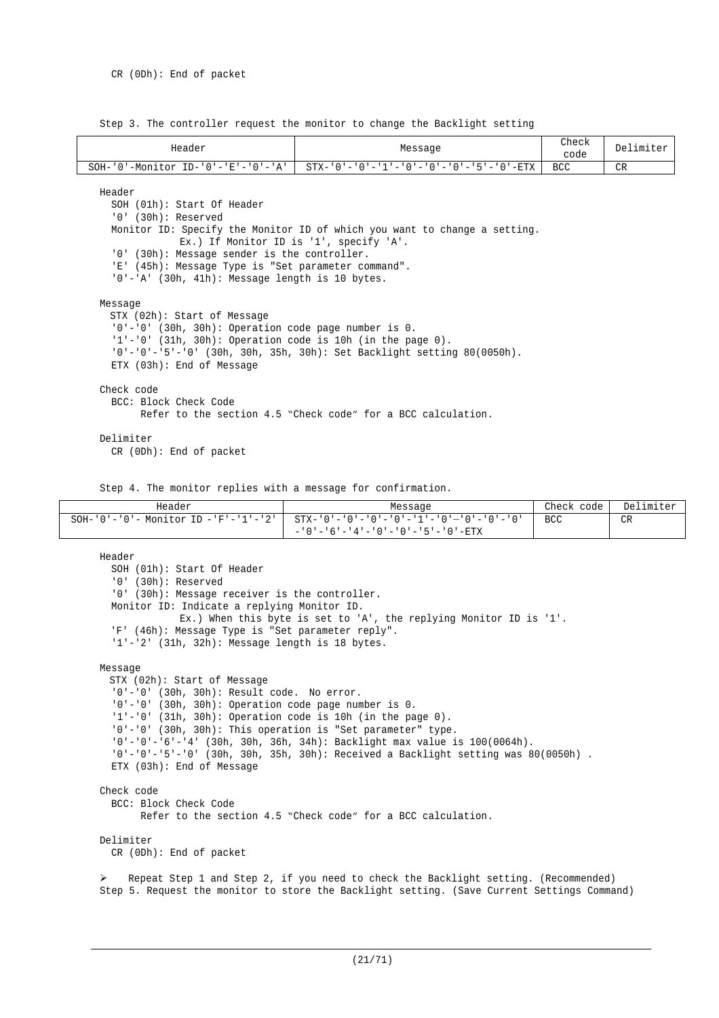Step 3. The controller request the monitor to change the Backlight setting

| Header                                                                                                                                                                                                                                                                       | Message                                                                                                              | Check<br>code | Delimiter |  |  |  |
|------------------------------------------------------------------------------------------------------------------------------------------------------------------------------------------------------------------------------------------------------------------------------|----------------------------------------------------------------------------------------------------------------------|---------------|-----------|--|--|--|
| $SOH - '0' - Monttor ID - '0' - 'E' - '0' - 'A'$                                                                                                                                                                                                                             | $STX - 10! - 10! - 11! - 10! - 10! - 10! - 15! - 10! - ETY$                                                          |               |           |  |  |  |
| Header<br>SOH (01h): Start Of Header<br>$'0'$ (30h): Reserved<br>'0' (30h): Message sender is the controller.<br>'E' (45h): Message Type is "Set parameter command".<br>$'0'$ -'A' (30h, 41h): Message length is 10 bytes.                                                   | Monitor ID: Specify the Monitor ID of which you want to change a setting.<br>Ex.) If Monitor ID is '1', specify 'A'. |               |           |  |  |  |
| Message<br>STX (02h): Start of Message<br>$'0'$ -'0' (30h, 30h): Operation code page number is 0.<br>$'1'$ -'0' (31h, 30h): Operation code is 10h (in the page 0).<br>$'0'$ -'0'-'5'-'0' (30h, 30h, 35h, 30h): Set Backlight setting 80(0050h).<br>ETX (03h): End of Message |                                                                                                                      |               |           |  |  |  |
| Check code<br>BCC: Block Check Code                                                                                                                                                                                                                                          | Refer to the section 4.5 "Check code" for a BCC calculation.                                                         |               |           |  |  |  |
| Delimiter<br>$CR$ (ODh): End of packet                                                                                                                                                                                                                                       |                                                                                                                      |               |           |  |  |  |
| Step 4. The monitor replies with a message for confirmation.                                                                                                                                                                                                                 |                                                                                                                      |               |           |  |  |  |

Header **Message Check code** Delimiter SOH-'0'-'0'- Monitor ID -'F'-'1'-'2' STX-'0'-'0'-'0'-'0'-'1'-'0'—'0'-'0'-'0'  $-10$ ' - '6' - '4' - '0' - '0' - '5' - '0' -ETX BCC CR

```
Header
  SOH (01h): Start Of Header
  '0' (30h): Reserved
  '0' (30h): Message receiver is the controller.
  Monitor ID: Indicate a replying Monitor ID.
             Ex.) When this byte is set to 'A', the replying Monitor ID is '1'.
  'F' (46h): Message Type is "Set parameter reply".
  '1'-'2' (31h, 32h): Message length is 18 bytes.
Message
 STX (02h): Start of Message
  '0'-'0' (30h, 30h): Result code. No error.
  '0'-'0' (30h, 30h): Operation code page number is 0.
  '1'-'0' (31h, 30h): Operation code is 10h (in the page 0).
  '0'-'0' (30h, 30h): This operation is "Set parameter" type.
  '0'-'0'-'6'-'4' (30h, 30h, 36h, 34h): Backlight max value is 100(0064h).
  '0'-'0'-'5'-'0' (30h, 30h, 35h, 30h): Received a Backlight setting was 80(0050h) .
  ETX (03h): End of Message
Check code
  BCC: Block Check Code
        Refer to the section 4.5 "Check code" for a BCC calculation.
Delimiter
 CR (0Dh): End of packet
```
 Repeat Step 1 and Step 2, if you need to check the Backlight setting. (Recommended) Step 5. Request the monitor to store the Backlight setting. (Save Current Settings Command)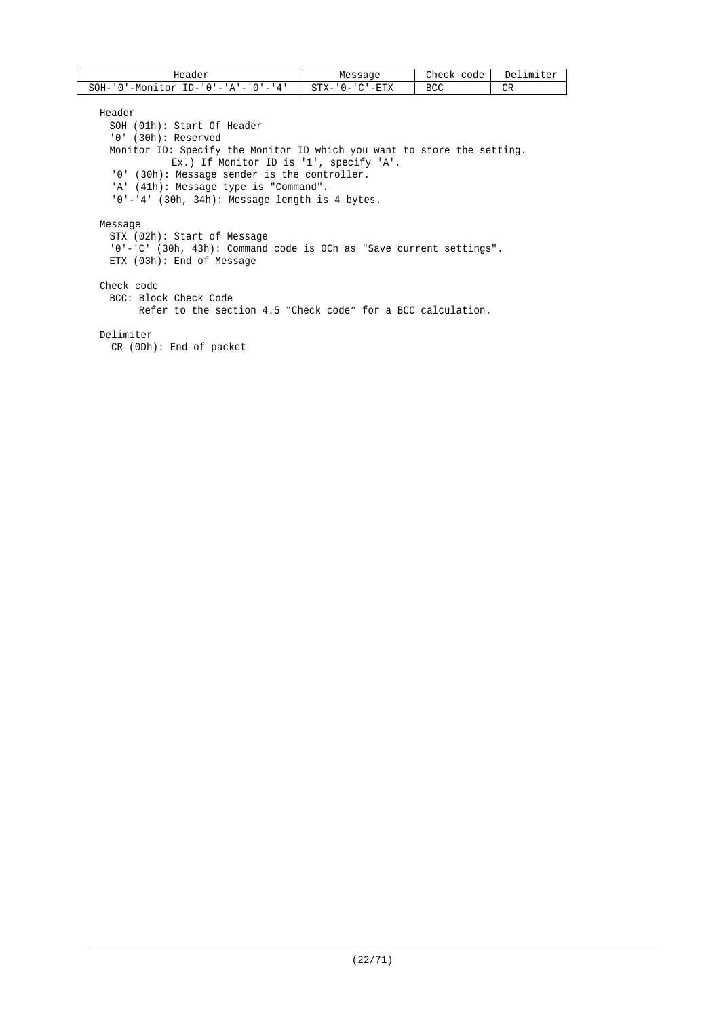| Header                                           | Messaqe                            | Check<br>code | Delimiter |
|--------------------------------------------------|------------------------------------|---------------|-----------|
| SOH-<br>$ID - '0' - 'A' - '0' - '4'$<br>-Monitor | '-ETX<br>$CTY -$<br>ั∩ – '<br>۵⊥ ت | BCC           | CR        |

Header

SOH (01h): Start Of Header '0' (30h): Reserved Monitor ID: Specify the Monitor ID which you want to store the setting. Ex.) If Monitor ID is '1', specify 'A'. '0' (30h): Message sender is the controller. 'A' (41h): Message type is "Command". '0'-'4' (30h, 34h): Message length is 4 bytes. Message STX (02h): Start of Message

'0'-'C' (30h, 43h): Command code is 0Ch as "Save current settings". ETX (03h): End of Message

#### Check code

BCC: Block Check Code Refer to the section 4.5 "Check code" for a BCC calculation.

Delimiter

CR (0Dh): End of packet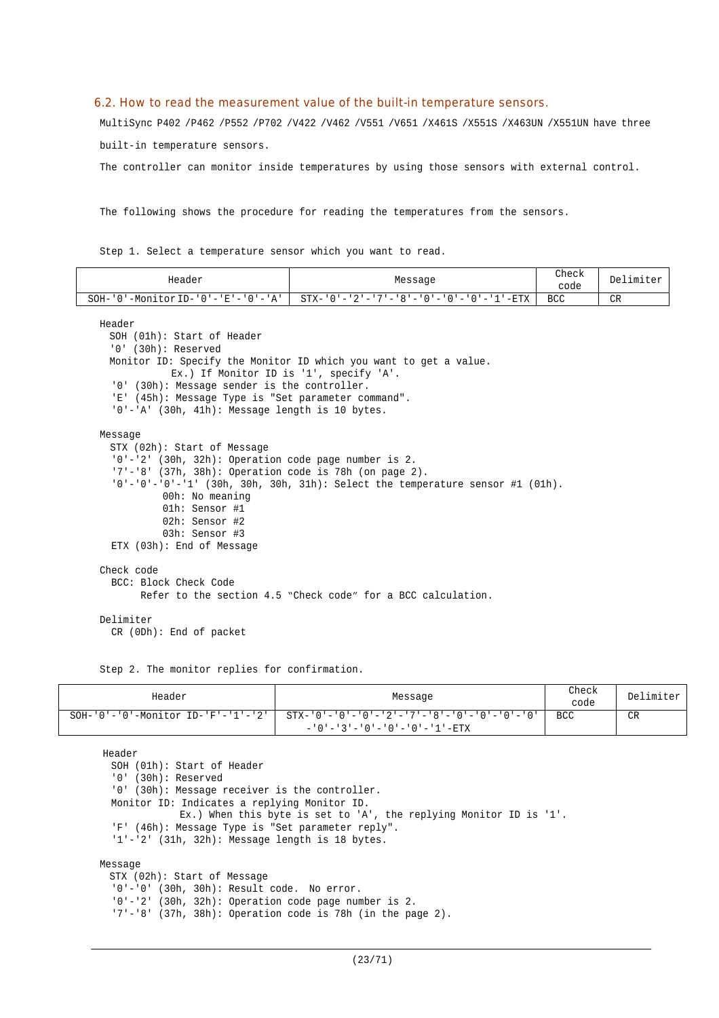#### 6.2. How to read the measurement value of the built-in temperature sensors.

MultiSync P402 /P462 /P552 /P702 /V422 /V462 /V551 /V651 /X461S /X551S /X463UN /X551UN have three

built-in temperature sensors.

The controller can monitor inside temperatures by using those sensors with external control.

The following shows the procedure for reading the temperatures from the sensors.

Step 1. Select a temperature sensor which you want to read.

| Header                                                  | Message                                                                            | Check<br>code | Delimiter |  |  |
|---------------------------------------------------------|------------------------------------------------------------------------------------|---------------|-----------|--|--|
| $SOH - '0' - Monitor ID - '0' - 'E' - '0' - 'A'$        | $STX - 10! - 2! - 7! - 8! - 10! - 10! - 10! - 11! - RTX$                           |               |           |  |  |
| Header                                                  |                                                                                    |               |           |  |  |
| SOH (01h): Start of Header                              |                                                                                    |               |           |  |  |
| '0' (30h): Reserved                                     |                                                                                    |               |           |  |  |
|                                                         | Monitor ID: Specify the Monitor ID which you want to get a value.                  |               |           |  |  |
| Ex.) If Monitor ID is '1', specify 'A'.                 |                                                                                    |               |           |  |  |
| '0' (30h): Message sender is the controller.            |                                                                                    |               |           |  |  |
| 'E' (45h): Message Type is "Set parameter command".     |                                                                                    |               |           |  |  |
| $'0'$ -'A' (30h, 41h): Message length is 10 bytes.      |                                                                                    |               |           |  |  |
| Message                                                 |                                                                                    |               |           |  |  |
| STX (02h): Start of Message                             |                                                                                    |               |           |  |  |
| $'0'$ -'2' (30h, 32h): Operation code page number is 2. |                                                                                    |               |           |  |  |
| '7'-'8' (37h, 38h): Operation code is 78h (on page 2).  |                                                                                    |               |           |  |  |
|                                                         | $'0'$ -'0' -'0' -'1' (30h, 30h, 30h, 31h): Select the temperature sensor #1 (01h). |               |           |  |  |
| 00h: No meaning                                         |                                                                                    |               |           |  |  |
| 01h: Sensor #1                                          |                                                                                    |               |           |  |  |
| 02h: Sensor #2                                          |                                                                                    |               |           |  |  |
| 03h: Sensor #3                                          |                                                                                    |               |           |  |  |
| ETX (03h): End of Message                               |                                                                                    |               |           |  |  |
| Check code                                              |                                                                                    |               |           |  |  |
| BCC: Block Check Code                                   |                                                                                    |               |           |  |  |
|                                                         | Refer to the section 4.5 "Check code" for a BCC calculation.                       |               |           |  |  |
|                                                         |                                                                                    |               |           |  |  |
| Delimiter                                               |                                                                                    |               |           |  |  |
| $CR$ (ODh): End of packet                               |                                                                                    |               |           |  |  |

Step 2. The monitor replies for confirmation.

| Header | Message                                                                                                                                                                 | Check<br>code | Delimiter |
|--------|-------------------------------------------------------------------------------------------------------------------------------------------------------------------------|---------------|-----------|
|        | $SOH - '0' - '0' - Monttor ID - 'F' - '1' - '2'$   $STX - '0' - '0' - '0' - '2' - '7' - '8' - '0' - '0' - '0' - '0'$<br>$-10! - 3! - 0! - 0! - 0! - 0! - 1! - 1! - ETX$ | BCC           | CR        |

Header SOH (01h): Start of Header '0' (30h): Reserved '0' (30h): Message receiver is the controller. Monitor ID: Indicates a replying Monitor ID. Ex.) When this byte is set to 'A', the replying Monitor ID is '1'. 'F' (46h): Message Type is "Set parameter reply". '1'-'2' (31h, 32h): Message length is 18 bytes.

#### Message

STX (02h): Start of Message '0'-'0' (30h, 30h): Result code. No error. '0'-'2' (30h, 32h): Operation code page number is 2. '7'-'8' (37h, 38h): Operation code is 78h (in the page 2).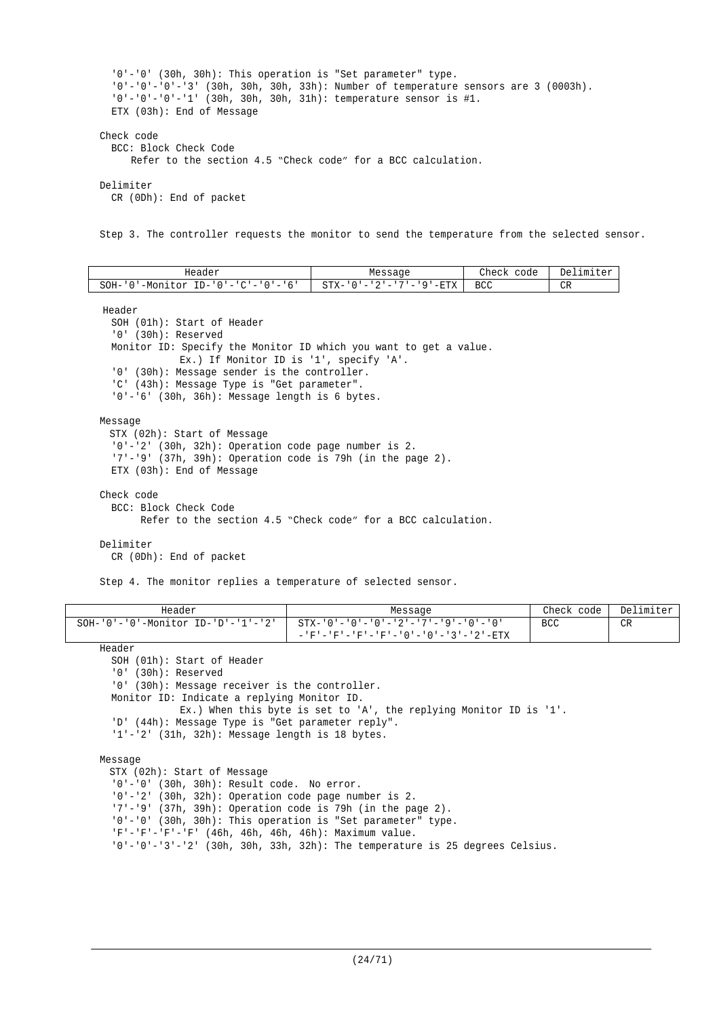```
'0'-'0' (30h, 30h): This operation is "Set parameter" type.
  '0'-'0'-'0'-'3' (30h, 30h, 30h, 33h): Number of temperature sensors are 3 (0003h).
  '0'-'0'-'0'-'1' (30h, 30h, 30h, 31h): temperature sensor is #1.
  ETX (03h): End of Message
Check code
  BCC: Block Check Code
      Refer to the section 4.5 "Check code" for a BCC calculation.
Delimiter
  CR (0Dh): End of packet
```
Step 3. The controller requests the monitor to send the temperature from the selected sensor.

| Header                                    | Check<br>Delimiter<br>Message<br>code<br>STX-'0'-'2'-'7'-'9'-ETX  <br>BCC<br>CR |  |  |
|-------------------------------------------|---------------------------------------------------------------------------------|--|--|
| '-Monitor ID-'0'-'C'-'0'-'6'<br>$SOH - '$ |                                                                                 |  |  |

Header

SOH (01h): Start of Header '0' (30h): Reserved Monitor ID: Specify the Monitor ID which you want to get a value. Ex.) If Monitor ID is '1', specify 'A'. '0' (30h): Message sender is the controller. 'C' (43h): Message Type is "Get parameter". '0'-'6' (30h, 36h): Message length is 6 bytes.

Message

```
STX (02h): Start of Message
  '0'-'2' (30h, 32h): Operation code page number is 2.
  '7'-'9' (37h, 39h): Operation code is 79h (in the page 2).
  ETX (03h): End of Message
Check code
```
BCC: Block Check Code Refer to the section 4.5 "Check code" for a BCC calculation.

#### Delimiter

CR (0Dh): End of packet

Step 4. The monitor replies a temperature of selected sensor.

| Header                                           | Message                                                         | Check code | Delimiter |
|--------------------------------------------------|-----------------------------------------------------------------|------------|-----------|
| $SOH - '0' - '0' - Monttor ID - 'D' - '1' - '2'$ | - 10' – '0' – '0' – '0' – '2' – '7' – '9' – '0' – '0'           | <b>BCC</b> | CR        |
|                                                  | - - 'F' - 'F' - 'F' - 'F' - ' 0 ' - ' 0 ' - ' 3 ' - ' 2 ' - ETX |            |           |

Header

```
SOH (01h): Start of Header
```
'0' (30h): Reserved

'0' (30h): Message receiver is the controller.

Monitor ID: Indicate a replying Monitor ID.

Ex.) When this byte is set to 'A', the replying Monitor ID is '1'.

```
'D' (44h): Message Type is "Get parameter reply".
```
'1'-'2' (31h, 32h): Message length is 18 bytes.

Message

STX (02h): Start of Message '0'-'0' (30h, 30h): Result code. No error. '0'-'2' (30h, 32h): Operation code page number is 2. '7'-'9' (37h, 39h): Operation code is 79h (in the page 2). '0'-'0' (30h, 30h): This operation is "Set parameter" type. 'F'-'F'-'F'-'F' (46h, 46h, 46h, 46h): Maximum value. '0'-'0'-'3'-'2' (30h, 30h, 33h, 32h): The temperature is 25 degrees Celsius.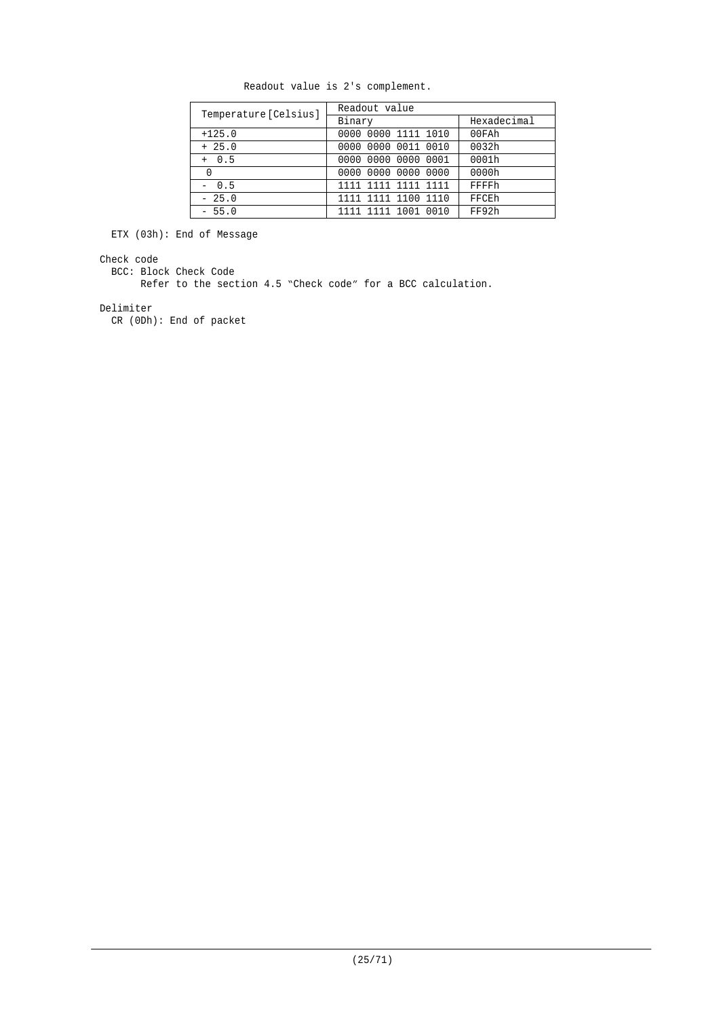| Temperature [Celsius] | Readout value       |             |  |  |  |
|-----------------------|---------------------|-------------|--|--|--|
|                       | Binary              | Hexadecimal |  |  |  |
| $+125.0$              | 0000 0000 1111 1010 | 00FAh       |  |  |  |
| $+25.0$               | 0000 0000 0011 0010 | 0032h       |  |  |  |
| $+ 0.5$               | 0000 0000 0000 0001 | 0001h       |  |  |  |
| 0                     | 0000 0000 0000 0000 | 0000h       |  |  |  |
| $-0.5$                | 1111 1111 1111 1111 | FFFFh       |  |  |  |
| $-25.0$               | 1111 1111 1100 1110 | FFCEh       |  |  |  |
| $-55.0$               | 1111 1111 1001 0010 | FF92h       |  |  |  |

Readout value is 2's complement.

ETX (03h): End of Message

#### Check code

BCC: Block Check Code

Refer to the section 4.5 "Check code" for a BCC calculation.

#### Delimiter

CR (0Dh): End of packet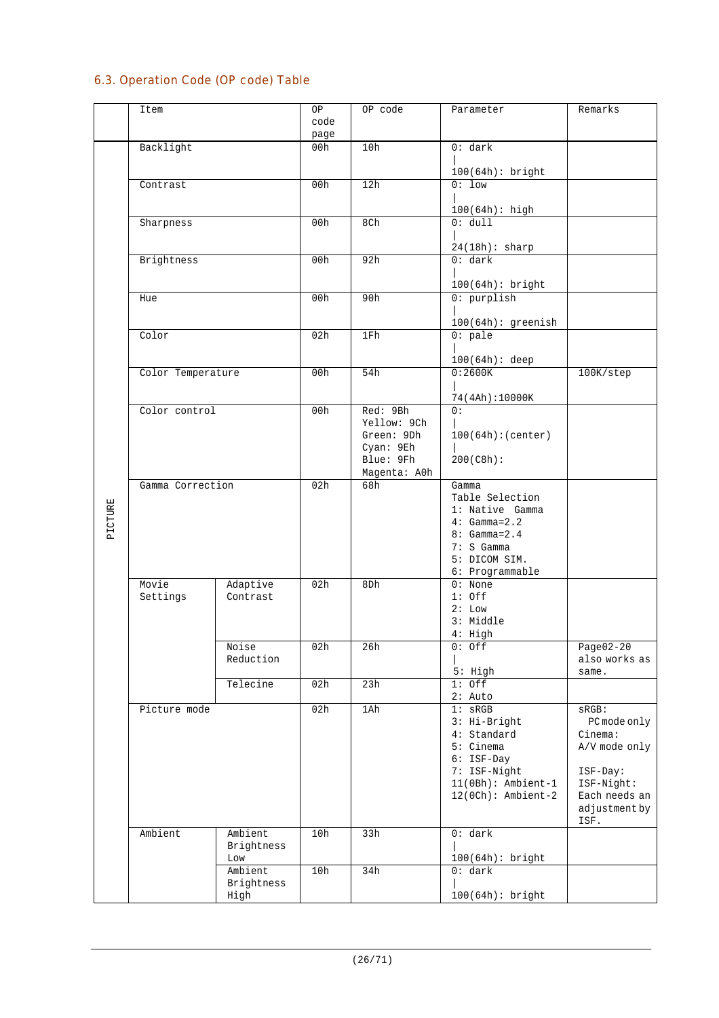# 6.3. Operation Code (OP code) Table

|         | Item              |            | ОP   | OP code             | Parameter                 | Remarks       |
|---------|-------------------|------------|------|---------------------|---------------------------|---------------|
|         |                   |            | code |                     |                           |               |
|         |                   |            | page |                     |                           |               |
|         | Backlight         |            | 00h  | 10h                 | 0: dark                   |               |
|         |                   |            |      |                     |                           |               |
|         |                   |            |      |                     | $100(64h):$ bright        |               |
|         | Contrast          |            | 00h  | 12h                 | $0:1$ ow                  |               |
|         |                   |            |      |                     |                           |               |
|         | Sharpness         |            | 00h  | 8Ch                 | 100(64h): high<br>0: dull |               |
|         |                   |            |      |                     |                           |               |
|         |                   |            |      |                     | 24(18h): sharp            |               |
|         | Brightness        |            | 00h  | 92h                 | 0: dark                   |               |
|         |                   |            |      |                     |                           |               |
|         |                   |            |      |                     | 100(64h): bright          |               |
|         | Hue               |            | 00h  | 90h                 | $0:$ purplish             |               |
|         |                   |            |      |                     |                           |               |
|         |                   |            |      |                     | $100(64h):$ greenish      |               |
|         | Color             |            | 02h  | 1Fh                 | $0:$ pale                 |               |
|         |                   |            |      |                     | $100(64h):$ deep          |               |
|         | Color Temperature |            | 00h  | 54h                 | 0:2600K                   | 100K/step     |
|         |                   |            |      |                     |                           |               |
|         |                   |            |      |                     | 74(4Ah):10000K            |               |
|         | Color control     |            | 00h  | Red: 9Bh            | 0:                        |               |
|         |                   |            |      | Yellow: 9Ch         |                           |               |
|         |                   |            |      | Green: 9Dh          | 100(64h):(center)         |               |
|         |                   |            |      | Cyan: 9Eh           |                           |               |
|         |                   |            |      | Blue: 9Fh           | 200(C8h):                 |               |
|         | Gamma Correction  |            | 02h  | Magenta: AOh<br>68h | Gamma                     |               |
|         |                   |            |      |                     | Table Selection           |               |
| PICTURE |                   |            |      |                     | 1: Native Gamma           |               |
|         |                   |            |      |                     | $4: Gamma=2.2$            |               |
|         |                   |            |      |                     | $8: Gamma = 2.4$          |               |
|         |                   |            |      |                     | $7: S$ Gamma              |               |
|         |                   |            |      |                     | 5: DICOM SIM.             |               |
|         |                   |            |      |                     | 6: Programmable           |               |
|         | Movie             | Adaptive   | 02h  | 8Dh                 | $0:$ None                 |               |
|         | Settings          | Contrast   |      |                     | $1:$ Off<br>2: Low        |               |
|         |                   |            |      |                     | 3: Middle                 |               |
|         |                   |            |      |                     | $4:$ High                 |               |
|         |                   | Noise      | 02h  | 26h                 | $0:$ Off                  | $Page02-20$   |
|         |                   | Reduction  |      |                     |                           | also works as |
|         |                   |            |      |                     | 5: High                   | same.         |
|         |                   | Telecine   | 02h  | 23h                 | $1:$ Off                  |               |
|         |                   |            |      |                     | $2:$ Auto                 |               |
|         | Picture mode      |            | 02h  | 1Ah                 | $1:$ sRGB                 | $SRGB$ :      |
|         |                   |            |      |                     | 3: Hi-Bright              | PC mode only  |
|         |                   |            |      |                     | 4: Standard               | Cinema:       |
|         |                   |            |      |                     | 5: Cinema<br>6: ISF-Day   | A/V mode only |
|         |                   |            |      |                     | 7: ISF-Night              | ISF-Day:      |
|         |                   |            |      |                     | $11(0Bh):$ Ambient-1      | ISF-Night:    |
|         |                   |            |      |                     | $12(0Ch):$ Ambient-2      | Each needs an |
|         |                   |            |      |                     |                           | adjustment by |
|         |                   |            |      |                     |                           | ISF.          |
|         | Ambient           | Ambient    | 10h  | 33h                 | 0: dark                   |               |
|         |                   | Brightness |      |                     |                           |               |
|         |                   | Low        |      |                     | 100(64h): bright          |               |
|         |                   | Ambient    | 10h  | 34h                 | 0: dark                   |               |
|         |                   | Brightness |      |                     |                           |               |
|         |                   | High       |      |                     | 100(64h): bright          |               |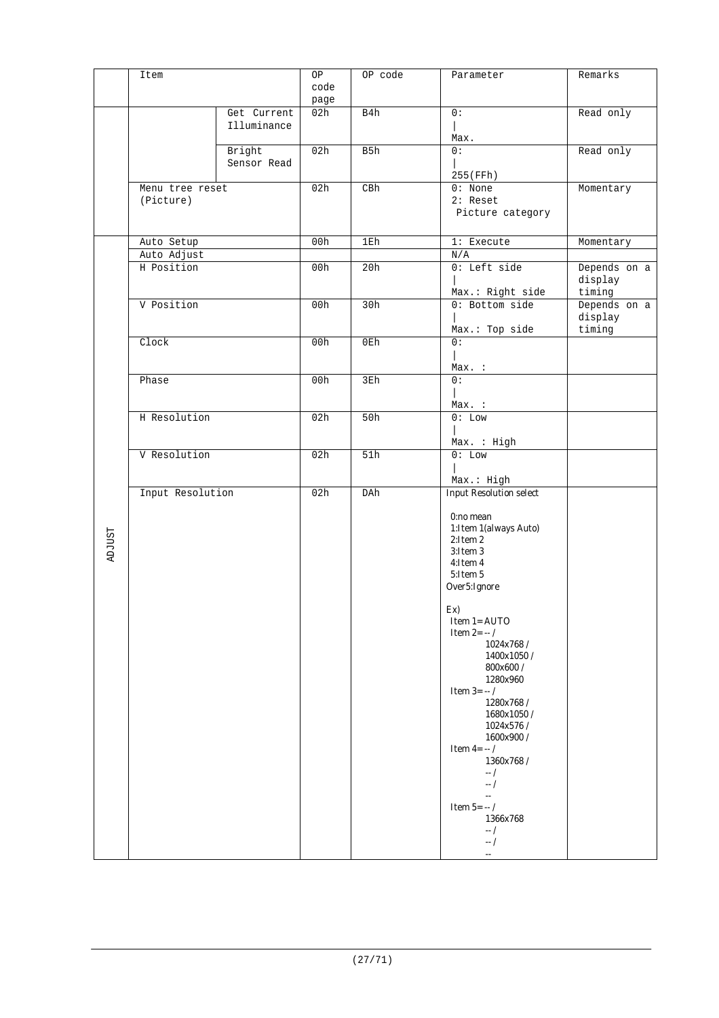|               | Item             |             | OP   | OP code | Parameter                      | Remarks      |
|---------------|------------------|-------------|------|---------|--------------------------------|--------------|
|               |                  |             | code |         |                                |              |
|               |                  |             |      |         |                                |              |
|               |                  |             | page |         |                                |              |
|               |                  | Get Current | 02h  | B4h     | 0:                             | Read only    |
|               |                  | Illuminance |      |         |                                |              |
|               |                  |             |      |         | Max.                           |              |
|               |                  | Bright      | 02h  | B5h     | 0:                             | Read only    |
|               |                  | Sensor Read |      |         |                                |              |
|               |                  |             |      |         | 255 (FFh)                      |              |
|               |                  |             |      |         |                                |              |
|               | Menu tree reset  |             | 02h  | C B h   | $0:$ None                      | Momentary    |
|               | (Picture)        |             |      |         | $2:$ Reset                     |              |
|               |                  |             |      |         | Picture category               |              |
|               |                  |             |      |         |                                |              |
|               | Auto Setup       |             | 00h  | 1Eh     | 1: Execute                     | Momentary    |
|               |                  |             |      |         |                                |              |
|               | Auto Adjust      |             |      |         | N/A                            |              |
|               | H Position       |             | 00h  | 20h     | $0:$ Left side                 | Depends on a |
|               |                  |             |      |         |                                | display      |
|               |                  |             |      |         | Max.: Right side               | timing       |
|               | V Position       |             | 00h  | 30h     | 0: Bottom side                 | Depends on a |
|               |                  |             |      |         |                                | display      |
|               |                  |             |      |         |                                |              |
|               |                  |             |      |         | Max.: Top side                 | timing       |
|               | Clock            |             | 00h  | 0Eh     | 0:                             |              |
|               |                  |             |      |         |                                |              |
|               |                  |             |      |         | Max. :                         |              |
|               | Phase            |             | 00h  | 3Eh     | $\overline{0}$ :               |              |
|               |                  |             |      |         |                                |              |
|               |                  |             |      |         | Max. :                         |              |
|               |                  |             |      |         |                                |              |
|               | H Resolution     |             | 02h  | 50h     | $0:$ Low                       |              |
|               |                  |             |      |         |                                |              |
|               |                  |             |      |         | Max. : High                    |              |
|               | V Resolution     |             | 02h  | 51h     | $0:$ Low                       |              |
|               |                  |             |      |         |                                |              |
|               |                  |             |      |         | Max.: High                     |              |
|               | Input Resolution |             | 02h  | DAh     | <b>Input Resolution select</b> |              |
|               |                  |             |      |         |                                |              |
|               |                  |             |      |         |                                |              |
|               |                  |             |      |         | 0:no mean                      |              |
| <b>ADJUST</b> |                  |             |      |         | 1: Item 1 (always Auto)        |              |
|               |                  |             |      |         | 2:Item 2                       |              |
|               |                  |             |      |         | 3:Item 3                       |              |
|               |                  |             |      |         | 4:Item 4                       |              |
|               |                  |             |      |         | $5:$ Item $5$                  |              |
|               |                  |             |      |         | Over5:Ignore                   |              |
|               |                  |             |      |         |                                |              |
|               |                  |             |      |         | Ex)                            |              |
|               |                  |             |      |         | Item 1= AUTO                   |              |
|               |                  |             |      |         | Item $2 = -/$                  |              |
|               |                  |             |      |         |                                |              |
|               |                  |             |      |         | 1024x768/                      |              |
|               |                  |             |      |         | 1400x1050/                     |              |
|               |                  |             |      |         | 800x600 /                      |              |
|               |                  |             |      |         | 1280x960                       |              |
|               |                  |             |      |         | <b>Item 3=</b> $-/-$           |              |
|               |                  |             |      |         | 1280x768/                      |              |
|               |                  |             |      |         | 1680x1050/                     |              |
|               |                  |             |      |         | 1024x576 /                     |              |
|               |                  |             |      |         | 1600x900 /                     |              |
|               |                  |             |      |         | Item 4= $-$ /                  |              |
|               |                  |             |      |         | 1360x768/                      |              |
|               |                  |             |      |         | $-$ /                          |              |
|               |                  |             |      |         | $-$ /                          |              |
|               |                  |             |      |         |                                |              |
|               |                  |             |      |         | ω.                             |              |
|               |                  |             |      |         | Item 5= $-$ /                  |              |
|               |                  |             |      |         | 1366x768                       |              |
|               |                  |             |      |         | $-$ /                          |              |
|               |                  |             |      |         | $-1$                           |              |
|               |                  |             |      |         | ω.                             |              |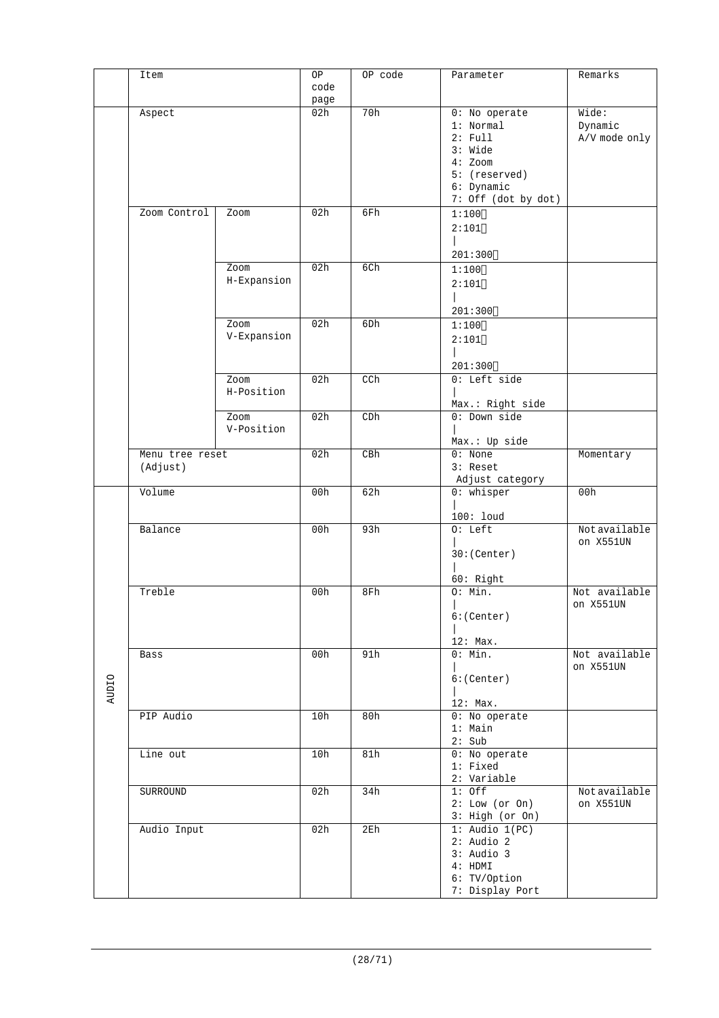|              | Item            |             | OP   | OP code | Parameter           | Remarks       |
|--------------|-----------------|-------------|------|---------|---------------------|---------------|
|              |                 |             | code |         |                     |               |
|              |                 |             | page |         |                     |               |
|              | Aspect          |             | 02h  | 70h     | 0: No operate       | Wide:         |
|              |                 |             |      |         | 1: Normal           | Dynamic       |
|              |                 |             |      |         | 2: Full             | A/V mode only |
|              |                 |             |      |         | 3: Wide             |               |
|              |                 |             |      |         | $4:$ Zoom           |               |
|              |                 |             |      |         | 5: (reserved)       |               |
|              |                 |             |      |         | 6: Dynamic          |               |
|              |                 |             |      |         | 7: Off (dot by dot) |               |
|              | Zoom Control    | Zoom        | 02h  | 6Fh     | 1:100               |               |
|              |                 |             |      |         | 2:101               |               |
|              |                 |             |      |         |                     |               |
|              |                 |             |      |         | 201:300             |               |
|              |                 | Zoom        | 02h  | 6Ch     | 1:100               |               |
|              |                 | H-Expansion |      |         |                     |               |
|              |                 |             |      |         | 2:101               |               |
|              |                 |             |      |         |                     |               |
|              |                 |             |      |         | 201:300             |               |
|              |                 | Zoom        | 02h  | 6Dh     | 1:100               |               |
|              |                 | V-Expansion |      |         | 2:101               |               |
|              |                 |             |      |         |                     |               |
|              |                 |             |      |         | 201:300             |               |
|              |                 | Zoom        | 02h  | CCh     | 0: Left side        |               |
|              |                 | H-Position  |      |         |                     |               |
|              |                 |             |      |         | Max.: Right side    |               |
|              |                 | Zoom        | 02h  | CDh     | 0: Down side        |               |
|              |                 | V-Position  |      |         |                     |               |
|              |                 |             |      |         | Max.: Up side       |               |
|              | Menu tree reset |             | 02h  | C B h   | $0:$ None           | Momentary     |
|              | (Adjust)        |             |      |         | 3: Reset            |               |
|              |                 |             |      |         | Adjust category     |               |
|              | Volume          |             | 00h  | 62h     | $0:$ whisper        | 00h           |
|              |                 |             |      |         |                     |               |
|              |                 |             |      |         | 100: loud           |               |
|              | Balance         |             | 00h  | 93h     | $0:$ Left           | Notavailable  |
|              |                 |             |      |         |                     | on X551UN     |
|              |                 |             |      |         | 30:(Center)         |               |
|              |                 |             |      |         |                     |               |
|              |                 |             |      |         | 60: Right           |               |
|              | Treble          |             | 00h  | 8Fh     | 0: Min.             | Not available |
|              |                 |             |      |         |                     | on X551UN     |
|              |                 |             |      |         | 6:(Center)          |               |
|              |                 |             |      |         |                     |               |
|              |                 |             |      |         | 12: Max.            |               |
|              | Bass            |             | 00h  | 91h     | 0: Min.             | Not available |
|              |                 |             |      |         |                     | on X551UN     |
|              |                 |             |      |         | 6:(Center)          |               |
| <b>AUDIO</b> |                 |             |      |         |                     |               |
|              |                 |             |      |         | 12: Max.            |               |
|              | PIP Audio       |             | 10h  | 80h     | 0: No operate       |               |
|              |                 |             |      |         | $1:$ Main           |               |
|              |                 |             |      |         | 2: Sub              |               |
|              | Line out        |             | 10h  | 81h     | 0: No operate       |               |
|              |                 |             |      |         | 1: Fixed            |               |
|              |                 |             |      |         | 2: Variable         |               |
|              | SURROUND        |             | 02h  | 34h     | $1:$ Off            | Notavailable  |
|              |                 |             |      |         | 2: Low (or On)      | on X551UN     |
|              |                 |             |      |         | 3: High (or On)     |               |
|              | Audio Input     |             | 02h  | 2Eh     | $1:$ Audio $1(PC)$  |               |
|              |                 |             |      |         | $2:$ Audio $2$      |               |
|              |                 |             |      |         | $3:$ Audio $3$      |               |
|              |                 |             |      |         | 4: HDMI             |               |
|              |                 |             |      |         | 6: TV/Option        |               |
|              |                 |             |      |         | 7: Display Port     |               |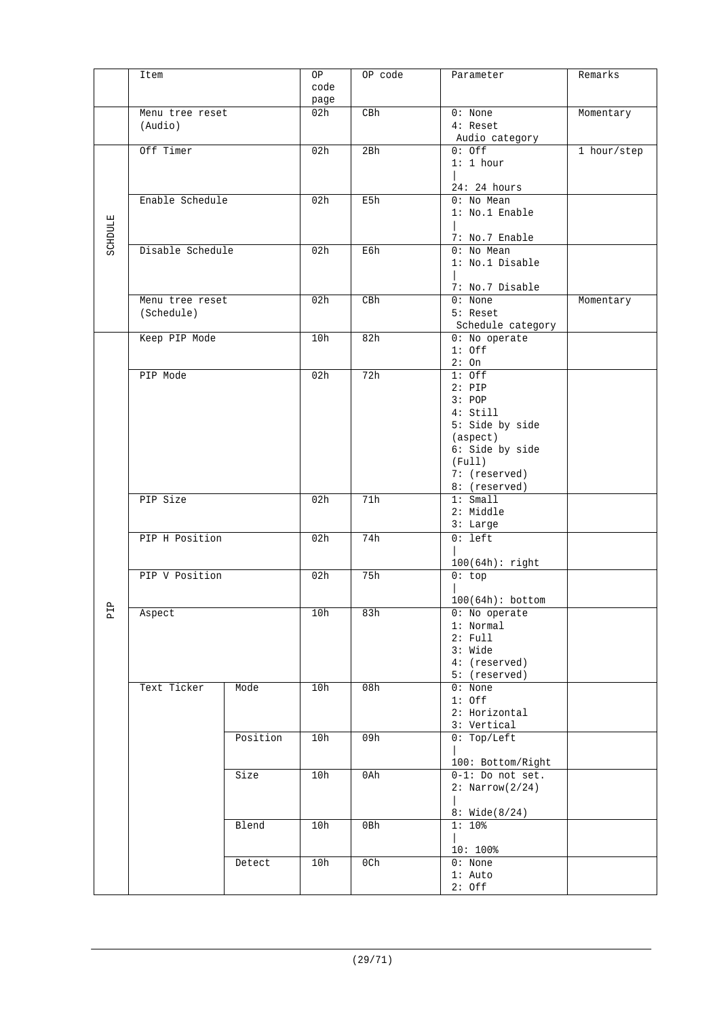|                | Item             |          | ΟP   | OP code | Parameter                | Remarks     |
|----------------|------------------|----------|------|---------|--------------------------|-------------|
|                |                  |          | code |         |                          |             |
|                |                  |          | page |         |                          |             |
|                | Menu tree reset  |          | 02h  | CBh     | $0:$ None                | Momentary   |
|                | (Audio)          |          |      |         | 4: Reset                 |             |
|                |                  |          |      |         | Audio category           |             |
|                | Off Timer        |          | 02h  | 2Bh     | $0:$ Off                 | 1 hour/step |
|                |                  |          |      |         | 1: 1 hour                |             |
|                |                  |          |      |         |                          |             |
|                |                  |          |      |         | 24:24 hours              |             |
|                | Enable Schedule  |          | 02h  | E5h     | $0:$ No Mean             |             |
|                |                  |          |      |         | 1: No.1 Enable           |             |
|                |                  |          |      |         |                          |             |
| <b>SCHDULE</b> |                  |          |      |         | 7: No.7 Enable           |             |
|                | Disable Schedule |          | 02h  | E6h     | $0:$ No Mean             |             |
|                |                  |          |      |         | 1: No.1 Disable          |             |
|                |                  |          |      |         |                          |             |
|                |                  |          |      |         | 7: No.7 Disable          |             |
|                | Menu tree reset  |          | 02h  | CBh     | $0:$ None                | Momentary   |
|                | (Schedule)       |          |      |         | 5: Reset                 |             |
|                |                  |          |      |         | Schedule category        |             |
|                | Keep PIP Mode    |          | 10h  | 82h     | 0: No operate            |             |
|                |                  |          |      |         | $1:$ Off                 |             |
|                |                  |          |      |         | 2:On                     |             |
|                | PIP Mode         |          | 02h  | 72h     | $1:$ Off                 |             |
|                |                  |          |      |         |                          |             |
|                |                  |          |      |         | $2:$ PIP                 |             |
|                |                  |          |      |         | 3: POP                   |             |
|                |                  |          |      |         | 4: Still                 |             |
|                |                  |          |      |         | 5: Side by side          |             |
|                |                  |          |      |         | (aspect)                 |             |
|                |                  |          |      |         | 6: Side by side          |             |
|                |                  |          |      |         | (Full)                   |             |
|                |                  |          |      |         | 7: (reserved)            |             |
|                |                  |          |      |         | 8: (reserved)            |             |
|                | PIP Size         |          | 02h  | 71h     | 1: Small                 |             |
|                |                  |          |      |         | 2: Middle                |             |
|                |                  |          |      |         | 3: Large                 |             |
|                | PIP H Position   |          | 02h  | 74h     | $0: \text{left}$         |             |
|                |                  |          |      |         |                          |             |
|                |                  |          |      |         | $100(64h):$ right        |             |
|                | PIP V Position   |          | 02h  | 75h     | 0:top                    |             |
|                |                  |          |      |         |                          |             |
|                |                  |          |      |         |                          |             |
| $\mathbf{r}$   |                  |          |      |         | $100(64h):$ bottom       |             |
| д              | Aspect           |          | 10h  | 83h     | 0: No operate            |             |
|                |                  |          |      |         | 1: Normal                |             |
|                |                  |          |      |         | $2:$ Full                |             |
|                |                  |          |      |         | 3: Wide                  |             |
|                |                  |          |      |         | 4: (reserved)            |             |
|                |                  |          |      |         | 5: (reserved)            |             |
|                | Text Ticker      | Mode     | 10h  | 08h     | $0:$ None                |             |
|                |                  |          |      |         | $1:$ Off                 |             |
|                |                  |          |      |         | 2: Horizontal            |             |
|                |                  |          |      |         | 3: Vertical              |             |
|                |                  | Position | 10h  | 09h     | 0: Top/Left              |             |
|                |                  |          |      |         |                          |             |
|                |                  |          |      |         | 100: Bottom/Right        |             |
|                |                  | Size     | 10h  | 0Ah     | $0-1$ : Do not set.      |             |
|                |                  |          |      |         | $2: \text{Narrow}(2/24)$ |             |
|                |                  |          |      |         |                          |             |
|                |                  |          |      |         | 8: Wide(8/24)            |             |
|                |                  | Blend    | 10h  | 0Bh     | $1:10$ %                 |             |
|                |                  |          |      |         |                          |             |
|                |                  |          |      |         | $10:100$ %               |             |
|                |                  | Detect   | 10h  | 0Ch     | $0:$ None                |             |
|                |                  |          |      |         | $1:$ Auto                |             |
|                |                  |          |      |         |                          |             |
|                |                  |          |      |         | $2:$ Off                 |             |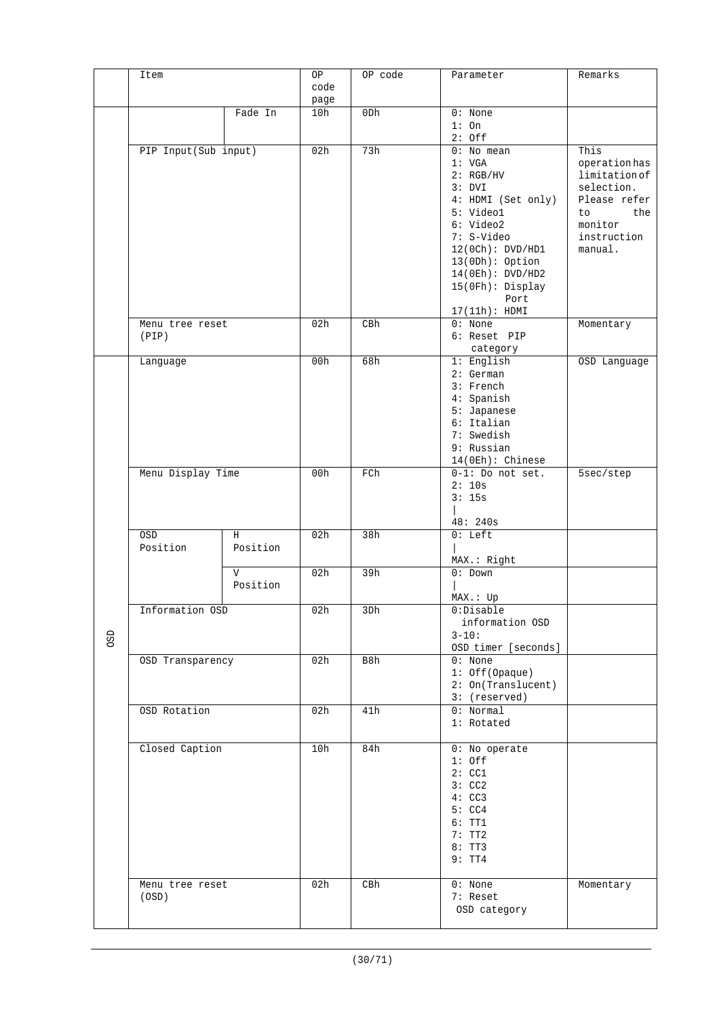|     | Item                 |                          | OP   | OP code | Parameter                        | Remarks                   |
|-----|----------------------|--------------------------|------|---------|----------------------------------|---------------------------|
|     |                      |                          | code |         |                                  |                           |
|     |                      |                          | page |         |                                  |                           |
|     |                      | Fade In                  | 10h  | 0Dh     | $0:$ None<br>$1:$ On             |                           |
|     |                      |                          |      |         | $2:$ Off                         |                           |
|     | PIP Input(Sub input) |                          | 02h  | 73h     | $0:$ No mean                     | This                      |
|     |                      |                          |      |         | 1: VGA                           | operation has             |
|     |                      |                          |      |         | 2: RGB/HV                        | limitation of             |
|     |                      |                          |      |         | 3: DVI                           | selection.                |
|     |                      |                          |      |         | 4: HDMI (Set only)<br>5: Video1  | Please refer<br>the<br>to |
|     |                      |                          |      |         | 6: Video2                        | monitor                   |
|     |                      |                          |      |         | 7: S-Video                       | instruction               |
|     |                      |                          |      |         | 12(0Ch): DVD/HDI                 | manual.                   |
|     |                      |                          |      |         | $13(0Dh):$ Option                |                           |
|     |                      |                          |      |         | 14(0Eh): DVD/HD2                 |                           |
|     |                      |                          |      |         | 15(0Fh): Display<br>Port         |                           |
|     |                      |                          |      |         | 17(11h): HDMI                    |                           |
|     | Menu tree reset      |                          | 02h  | CBh     | $0:$ None                        | Momentary                 |
|     | (PIP)                |                          |      |         | 6: Reset PIP                     |                           |
|     |                      |                          |      |         | category                         |                           |
|     | Language             |                          | 00h  | 68h     | $1:$ English                     | OSD Language              |
|     |                      |                          |      |         | $2:$ German<br>3: French         |                           |
|     |                      |                          |      |         | 4: Spanish                       |                           |
|     |                      |                          |      |         | 5: Japanese                      |                           |
|     |                      |                          |      |         | 6: Italian                       |                           |
|     |                      |                          |      |         | 7: Swedish                       |                           |
|     |                      |                          |      |         | 9: Russian<br>$14(0Eh):$ Chinese |                           |
|     | Menu Display Time    |                          | 00h  | FCh     | $0-1$ : Do not set.              | 5sec/step                 |
|     |                      |                          |      |         | 2:10s                            |                           |
|     |                      |                          |      |         | 3:15s                            |                           |
|     |                      |                          |      |         | 48:240s                          |                           |
|     | OSD                  | H                        | 02h  | 38h     | $0:$ Left                        |                           |
|     | Position             | Position                 |      |         |                                  |                           |
|     |                      |                          |      |         | MAX.: Right                      |                           |
|     |                      | $\mathbf{V}$<br>Position | 02h  | 39h     | $0:$ Down                        |                           |
|     |                      |                          |      |         | MAX: Up                          |                           |
|     | Information OSD      |                          | 02h  | 3Dh     | 0:Disable                        |                           |
|     |                      |                          |      |         | information OSD                  |                           |
| OSD |                      |                          |      |         | $3 - 10:$<br>OSD timer [seconds] |                           |
|     | OSD Transparency     |                          | 02h  | B8h     | $0:$ None                        |                           |
|     |                      |                          |      |         | 1: Off(Opaque)                   |                           |
|     |                      |                          |      |         | 2: On(Translucent)               |                           |
|     |                      |                          |      | 41h     | 3: (reserved)                    |                           |
|     | OSD Rotation         |                          | 02h  |         | 0: Normal<br>1: Rotated          |                           |
|     |                      |                          |      |         |                                  |                           |
|     | Closed Caption       |                          | 10h  | 84h     | 0: No operate                    |                           |
|     |                      |                          |      |         | $1:$ Off                         |                           |
|     |                      |                          |      |         | 2:CC1<br>3:CC2                   |                           |
|     |                      |                          |      |         | 4:CC3                            |                           |
|     |                      |                          |      |         | 5:CC4                            |                           |
|     |                      |                          |      |         | 6:TT1                            |                           |
|     |                      |                          |      |         | 7:TT2                            |                           |
|     |                      |                          |      |         | 8:TT3<br>9:TT4                   |                           |
|     |                      |                          |      |         |                                  |                           |
|     | Menu tree reset      |                          | 02h  | CBh     | $0:$ None                        | Momentary                 |
|     | (OSD)                |                          |      |         | 7: Reset<br>OSD category         |                           |
|     |                      |                          |      |         |                                  |                           |
|     |                      |                          |      |         |                                  |                           |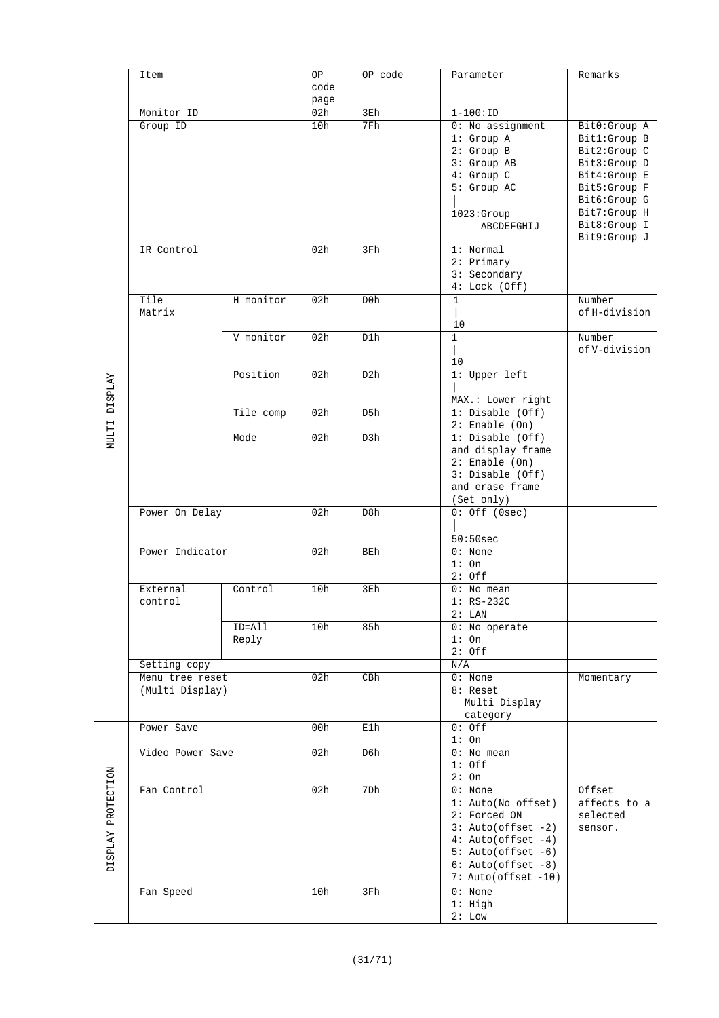|                      | Item             |           | OP   | OP code    | Parameter                             | Remarks                 |
|----------------------|------------------|-----------|------|------------|---------------------------------------|-------------------------|
|                      |                  |           | code |            |                                       |                         |
|                      |                  |           | page |            |                                       |                         |
|                      | Monitor ID       |           | 02h  | 3Eh        | $1 - 100 : ID$                        |                         |
|                      | Group ID         |           | 10h  | 7Fh        | $0:$ No assignment                    | Bit0:Group A            |
|                      |                  |           |      |            | 1: Group A                            | Bit1:Group B            |
|                      |                  |           |      |            | 2: Group B                            | Bit2:Group C            |
|                      |                  |           |      |            | 3: Group AB                           | Bit3:Group D            |
|                      |                  |           |      |            | 4: Group C                            | Bit4:Group E            |
|                      |                  |           |      |            | 5: Group AC                           | Bit5:Group F            |
|                      |                  |           |      |            |                                       | Bit6:Group G            |
|                      |                  |           |      |            | 1023:Group                            | Bit7:Group H            |
|                      |                  |           |      |            | ABCDEFGHIJ                            | Bit8:Group I            |
|                      |                  |           |      |            |                                       | Bit9:Group J            |
|                      | IR Control       |           | 02h  | 3Fh        | 1: Normal                             |                         |
|                      |                  |           |      |            | 2: Primary                            |                         |
|                      |                  |           |      |            | 3: Secondary                          |                         |
|                      |                  |           |      |            | 4: Lock(Off)                          |                         |
|                      | Tile             | H monitor | 02h  | D0h        | $\mathbf 1$                           | Number                  |
|                      | Matrix           |           |      |            |                                       | of H-division           |
|                      |                  |           |      |            | 10                                    |                         |
|                      |                  | V monitor | 02h  | D1h        | 1                                     | Number<br>of V-division |
|                      |                  |           |      |            |                                       |                         |
|                      |                  |           |      |            | 10                                    |                         |
| <b>MULTI DISPLAY</b> |                  | Position  | 02h  | D2h        | 1: Upper left                         |                         |
|                      |                  |           |      |            |                                       |                         |
|                      |                  |           | 02h  | D5h        | MAX.: Lower right<br>1: Disable (Off) |                         |
|                      |                  | Tile comp |      |            |                                       |                         |
|                      |                  | Mode      | 02h  | D3h        | $2:$ Enable (On)<br>1: Disable (Off)  |                         |
|                      |                  |           |      |            |                                       |                         |
|                      |                  |           |      |            | and display frame<br>$2:$ Enable (On) |                         |
|                      |                  |           |      |            | 3: Disable (Off)                      |                         |
|                      |                  |           |      |            | and erase frame                       |                         |
|                      |                  |           |      |            | (Set only)                            |                         |
|                      | Power On Delay   |           | 02h  | D8h        | $0:$ Off $(0sec)$                     |                         |
|                      |                  |           |      |            |                                       |                         |
|                      |                  |           |      |            | 50:50sec                              |                         |
|                      | Power Indicator  |           | 02h  | <b>BEh</b> | 0: None                               |                         |
|                      |                  |           |      |            | $1:$ On                               |                         |
|                      |                  |           |      |            | $2:$ Off                              |                         |
|                      | External         | Control   | 10h  | 3Eh        | $0:$ No mean                          |                         |
|                      | control          |           |      |            | $1:RS-232C$                           |                         |
|                      |                  |           |      |            | 2: LAN                                |                         |
|                      |                  | ID=All    | 10h  | 85h        | 0: No operate                         |                         |
|                      |                  | Reply     |      |            | $1:$ On                               |                         |
|                      |                  |           |      |            | $2:$ Off                              |                         |
|                      | Setting copy     |           |      |            | N/A                                   |                         |
|                      | Menu tree reset  |           | 02h  | CBh        | $0:$ None                             | Momentary               |
|                      | (Multi Display)  |           |      |            | 8: Reset                              |                         |
|                      |                  |           |      |            | Multi Display                         |                         |
|                      |                  |           |      |            | category                              |                         |
|                      | Power Save       |           | 00h  | E1h        | $0:$ Off                              |                         |
|                      |                  |           |      |            | $1:$ On                               |                         |
|                      | Video Power Save |           | 02h  | D6h        | $0:$ No mean                          |                         |
|                      |                  |           |      |            | $1:$ Off                              |                         |
|                      |                  |           |      |            | $2:$ On                               |                         |
|                      | Fan Control      |           | 02h  | 7Dh        | $0:$ None                             | Offset                  |
|                      |                  |           |      |            | 1: Auto(No offset)                    | affects to a            |
|                      |                  |           |      |            | 2: Forced ON                          | selected                |
|                      |                  |           |      |            | $3: Auto(offset -2)$                  | sensor.                 |
|                      |                  |           |      |            | $4: Auto(offset -4)$                  |                         |
| DISPLAY PROTECTION   |                  |           |      |            | $5: Auto(offset -6)$                  |                         |
|                      |                  |           |      |            | $6: Auto(offset -8)$                  |                         |
|                      |                  |           |      |            | 7: Auto(offset -10)                   |                         |
|                      | Fan Speed        |           | 10h  | 3Fh        | $0:$ None                             |                         |
|                      |                  |           |      |            | $1:$ High                             |                         |
|                      |                  |           |      |            | 2: Low                                |                         |
|                      |                  |           |      |            |                                       |                         |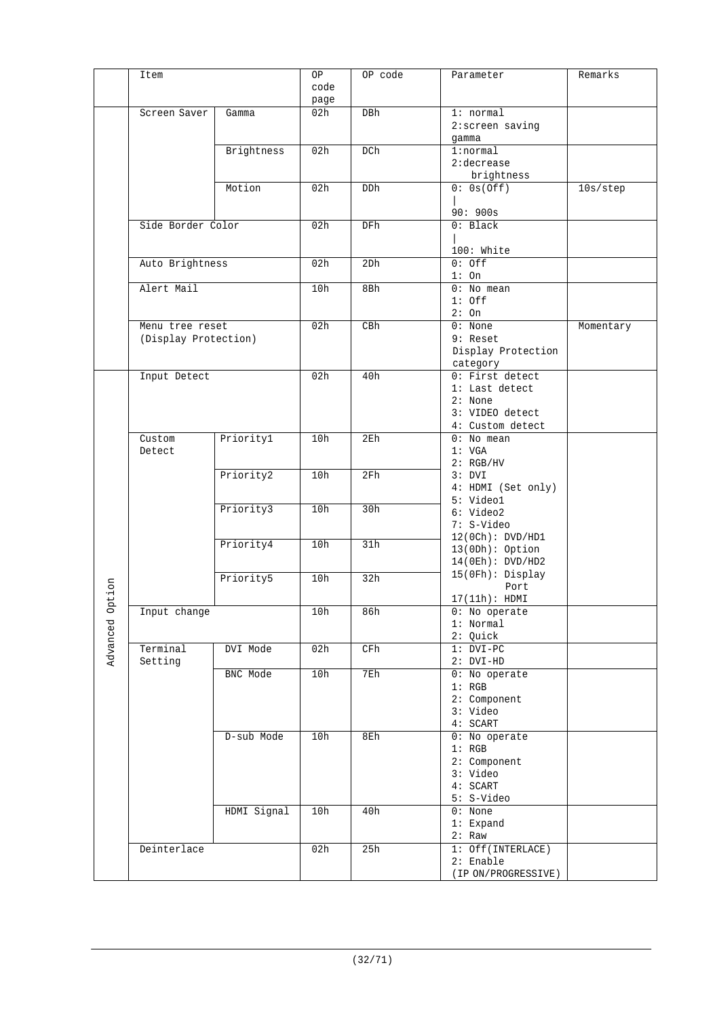|          | Item                 |             | OP   | OP code | Parameter                        | Remarks   |
|----------|----------------------|-------------|------|---------|----------------------------------|-----------|
|          |                      |             | code |         |                                  |           |
|          |                      |             | page |         |                                  |           |
|          | Screen Saver         | Gamma       | 02h  | DBh     | 1: normal                        |           |
|          |                      |             |      |         | 2:screen saving                  |           |
|          |                      |             |      |         | gamma                            |           |
|          |                      | Brightness  | 02h  | DCh     | 1:normal                         |           |
|          |                      |             |      |         | 2:decrease                       |           |
|          |                      |             |      |         |                                  |           |
|          |                      |             |      |         | brightness                       |           |
|          |                      | Motion      | 02h  | DDh     | 0: 0s(Off)                       | 10s/step  |
|          |                      |             |      |         |                                  |           |
|          |                      |             |      |         | 90:900s                          |           |
|          | Side Border Color    |             | 02h  | DFh     | 0: Black                         |           |
|          |                      |             |      |         |                                  |           |
|          |                      |             |      |         | 100: White                       |           |
|          | Auto Brightness      |             | 02h  | 2Dh     | $0:$ Off                         |           |
|          |                      |             |      |         | $1:$ On                          |           |
|          | Alert Mail           |             | 10h  | 8Bh     | $0:$ No mean                     |           |
|          |                      |             |      |         | $1:$ Off                         |           |
|          |                      |             |      |         | 2:On                             |           |
|          | Menu tree reset      |             | 02h  | CBh     | $0:$ None                        | Momentary |
|          | (Display Protection) |             |      |         | 9: Reset                         |           |
|          |                      |             |      |         | Display Protection               |           |
|          |                      |             |      |         | category                         |           |
|          | Input Detect         |             | 02h  | 40h     | 0: First detect                  |           |
|          |                      |             |      |         | 1: Last detect                   |           |
|          |                      |             |      |         | 2: None                          |           |
|          |                      |             |      |         | 3: VIDEO detect                  |           |
|          |                      |             |      |         | 4: Custom detect                 |           |
|          | Custom               | Priority1   | 10h  | 2Eh     | $0:$ No mean                     |           |
|          | Detect               |             |      |         | 1: VGA                           |           |
|          |                      |             |      |         | 2: RGB/HV                        |           |
|          |                      | Priority2   | 10h  | 2Fh     | 3: DVI                           |           |
|          |                      |             |      |         | 4: HDMI (Set only)               |           |
|          |                      |             |      |         | 5: Video1                        |           |
|          |                      | Priority3   | 10h  | 30h     | 6: Video2                        |           |
|          |                      |             |      |         | 7: S-Video                       |           |
|          |                      |             |      |         | 12(0Ch): DVD/HDI                 |           |
|          |                      | Priority4   | 10h  | 31h     | $13(0Dh):$ Option                |           |
|          |                      |             |      |         | 14(0Eh): DVD/HD2                 |           |
|          |                      |             |      |         | $15(0Fh):$ Display               |           |
|          |                      | Priority5   | 10h  | 32h     | Port                             |           |
| ption    |                      |             |      |         | 17(11h): HDMI                    |           |
| $\circ$  |                      |             | 10h  |         |                                  |           |
|          | Input change         |             |      | 86h     | 0: No operate<br>1: Normal       |           |
|          |                      |             |      |         | 2: Quick                         |           |
|          | Terminal             | DVI Mode    | 02h  | CFh     | $1: DVI-PC$                      |           |
| Advanced | Setting              |             |      |         | $2: DVI-HD$                      |           |
|          |                      | BNC Mode    | 10h  | 7Eh     | 0: No operate                    |           |
|          |                      |             |      |         | 1: RGB                           |           |
|          |                      |             |      |         | 2: Component                     |           |
|          |                      |             |      |         | 3: Video                         |           |
|          |                      |             |      |         | 4: SCART                         |           |
|          |                      | D-sub Mode  | 10h  | 8Eh     | 0: No operate                    |           |
|          |                      |             |      |         | 1: RGB                           |           |
|          |                      |             |      |         | 2: Component                     |           |
|          |                      |             |      |         | 3: Video                         |           |
|          |                      |             |      |         | 4: SCART                         |           |
|          |                      |             |      |         | 5: S-Video                       |           |
|          |                      | HDMI Signal | 10h  | 40h     | $0:$ None                        |           |
|          |                      |             |      |         | 1: Expand                        |           |
|          |                      |             |      |         | 2: Raw                           |           |
|          |                      |             |      |         |                                  |           |
|          | Deinterlace          |             | 02h  | 25h     | 1: Off(INTERLACE)<br>$2:$ Enable |           |
|          |                      |             |      |         |                                  |           |
|          |                      |             |      |         | (IP ON/PROGRESSIVE)              |           |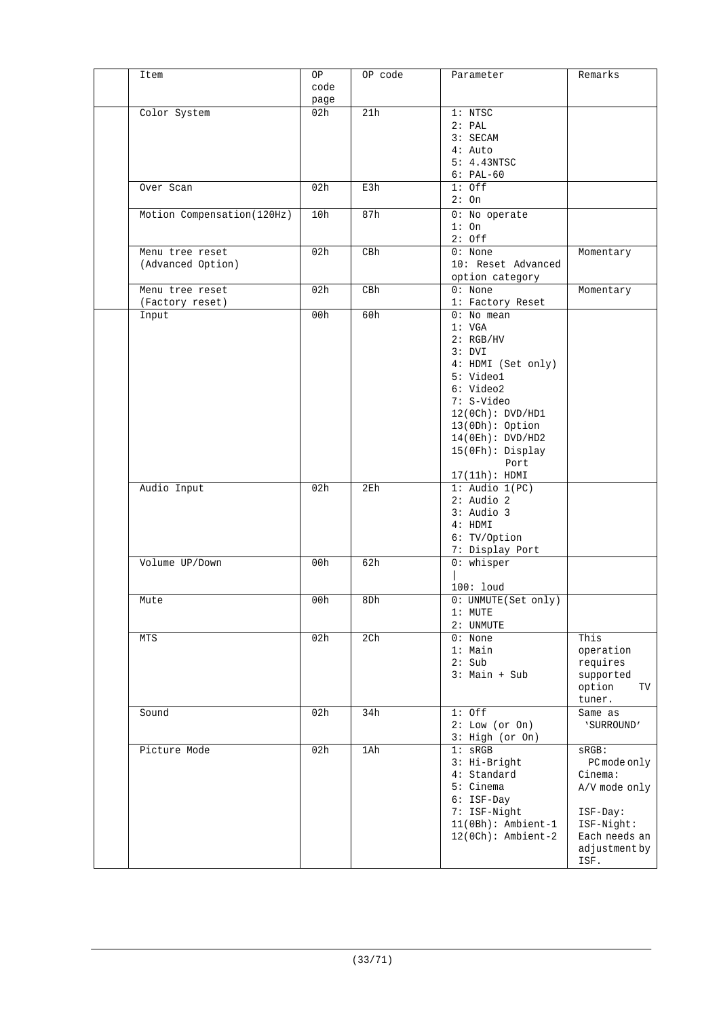| Item                        | OP   | OP code         | Parameter             | Remarks       |
|-----------------------------|------|-----------------|-----------------------|---------------|
|                             | code |                 |                       |               |
|                             | page |                 |                       |               |
| Color System                | 02h  | 21h             | 1: NTSC               |               |
|                             |      |                 | 2: PAL                |               |
|                             |      |                 | 3: SECAM              |               |
|                             |      |                 | $4:$ Auto             |               |
|                             |      |                 | 5: 4.43NTSC           |               |
|                             |      |                 | $6: PAL-60$           |               |
|                             |      |                 |                       |               |
| Over Scan                   | 02h  | E3h             | $1:$ Off              |               |
|                             |      |                 | 2:On                  |               |
| Motion Compensation (120Hz) | 10h  | 87h             | 0: No operate         |               |
|                             |      |                 | $1:$ On               |               |
|                             |      |                 | $2:$ Off              |               |
| Menu tree reset             | 02h  | C B h           | $0:$ None             | Momentary     |
| (Advanced Option)           |      |                 | 10: Reset Advanced    |               |
|                             |      |                 | option category       |               |
| Menu tree reset             | 02h  | CBh             | $\overline{0}$ : None | Momentary     |
| (Factory reset)             |      |                 | 1: Factory Reset      |               |
| Input                       | 00h  | 60h             | $0:$ No mean          |               |
|                             |      |                 | 1: VGA                |               |
|                             |      |                 |                       |               |
|                             |      |                 | 2: RGB/HV             |               |
|                             |      |                 | 3: DVI                |               |
|                             |      |                 | 4: HDMI (Set only)    |               |
|                             |      |                 | 5: Video1             |               |
|                             |      |                 | 6: Video2             |               |
|                             |      |                 | 7: S-Video            |               |
|                             |      |                 | 12(0Ch): DVD/HDI      |               |
|                             |      |                 | $13(0Dh):$ Option     |               |
|                             |      |                 | 14(0Eh): DVD/HD2      |               |
|                             |      |                 | 15(OFh): Display      |               |
|                             |      |                 | Port                  |               |
|                             |      |                 | 17(11h): HDMI         |               |
| Audio Input                 | 02h  | 2E <sub>h</sub> | $1:$ Audio $1(PC)$    |               |
|                             |      |                 | $2:$ Audio $2$        |               |
|                             |      |                 | $3:$ Audio $3$        |               |
|                             |      |                 | 4: HDMI               |               |
|                             |      |                 |                       |               |
|                             |      |                 | 6: TV/Option          |               |
|                             |      |                 | 7: Display Port       |               |
| Volume UP/Down              | 00h  | 62h             | $0:$ whisper          |               |
|                             |      |                 |                       |               |
|                             |      |                 | 100: loud             |               |
| Mute                        | 00h  | 8Dh             | 0: UNMUTE(Set only)   |               |
|                             |      |                 | $1:$ MUTE             |               |
|                             |      |                 | 2: UNMUTE             |               |
| MTS                         | 02h  | 2Ch             | $0:$ None             | This          |
|                             |      |                 | $1:$ Main             | operation     |
|                             |      |                 | 2: Sub                | requires      |
|                             |      |                 | $3:$ Main + Sub       | supported     |
|                             |      |                 |                       | option<br>TV  |
|                             |      |                 |                       | tuner.        |
| Sound                       | 02h  | 34h             | $1:$ Off              | Same as       |
|                             |      |                 | 2: Low (or On)        | 'SURROUND'    |
|                             |      |                 | 3: High (or On)       |               |
| Picture Mode                | 02h  | 1Ah             | $1:$ sRGB             | $SRGB$ :      |
|                             |      |                 |                       |               |
|                             |      |                 | 3: Hi-Bright          | PC mode only  |
|                             |      |                 | 4: Standard           | Cinema:       |
|                             |      |                 | 5: Cinema             | A/V mode only |
|                             |      |                 | 6: ISF-Day            |               |
|                             |      |                 | 7: ISF-Night          | ISF-Day:      |
|                             |      |                 | $11(0Bh):$ Ambient-1  | ISF-Night:    |
|                             |      |                 | $12(0Ch):$ Ambient-2  | Each needs an |
|                             |      |                 |                       | adjustment by |
|                             |      |                 |                       | ISF.          |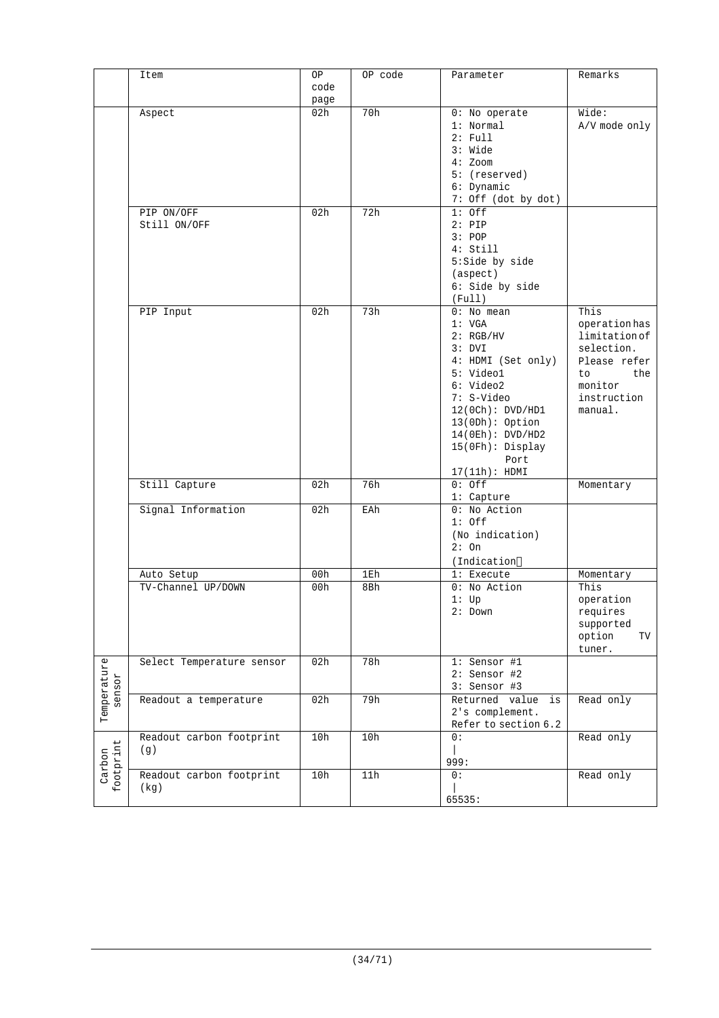|                       | Item                      | ОP   | OP code | Parameter                  | Remarks       |
|-----------------------|---------------------------|------|---------|----------------------------|---------------|
|                       |                           | code |         |                            |               |
|                       |                           | page |         |                            |               |
|                       | Aspect                    | 02h  | 70h     | 0: No operate              | Wide:         |
|                       |                           |      |         | 1: Normal                  | A/V mode only |
|                       |                           |      |         | $2:$ Full                  |               |
|                       |                           |      |         | 3: Wide                    |               |
|                       |                           |      |         | $4:$ Zoom                  |               |
|                       |                           |      |         | 5: (reserved)              |               |
|                       |                           |      |         | 6: Dynamic                 |               |
|                       |                           |      |         | 7: Off (dot by dot)        |               |
|                       | PIP ON/OFF                | 02h  | 72h     | $1:$ Off                   |               |
|                       | Still ON/OFF              |      |         | $2:$ PIP                   |               |
|                       |                           |      |         |                            |               |
|                       |                           |      |         | 3: POP                     |               |
|                       |                           |      |         | 4: Still                   |               |
|                       |                           |      |         | 5:Side by side             |               |
|                       |                           |      |         | (aspect)                   |               |
|                       |                           |      |         | 6: Side by side            |               |
|                       |                           |      |         | (Full)                     |               |
|                       | PIP Input                 | 02h  | 73h     | $0:$ No mean               | This          |
|                       |                           |      |         | 1: VGA                     | operation has |
|                       |                           |      |         | 2: RGB/HV                  | limitation of |
|                       |                           |      |         | 3: DVI                     | selection.    |
|                       |                           |      |         | 4: HDMI (Set only)         | Please refer  |
|                       |                           |      |         | 5: Video1                  | the<br>to     |
|                       |                           |      |         | 6: Video2                  | monitor       |
|                       |                           |      |         | 7: S-Video                 | instruction   |
|                       |                           |      |         | 12(0Ch): DVD/HDI           | manual.       |
|                       |                           |      |         | $13(0Dh):$ Option          |               |
|                       |                           |      |         | 14(0Eh): DVD/HD2           |               |
|                       |                           |      |         | 15(OFh): Display           |               |
|                       |                           |      |         | Port                       |               |
|                       |                           |      |         | 17(11h): HDMI              |               |
|                       | Still Capture             | 02h  | 76h     | $0:$ Off                   | Momentary     |
|                       |                           |      |         | 1: Capture                 |               |
|                       | Signal Information        | 02h  | EAh     | 0: No Action               |               |
|                       |                           |      |         | $1:$ Off                   |               |
|                       |                           |      |         |                            |               |
|                       |                           |      |         | (No indication)<br>$2:$ On |               |
|                       |                           |      |         |                            |               |
|                       |                           |      |         | (Indication                |               |
|                       | Auto Setup                | 00h  | 1Eh     | 1: Execute                 | Momentary     |
|                       | TV-Channel UP/DOWN        | 00h  | 8Bh     | 0: No Action               | This          |
|                       |                           |      |         | $1:$ Up                    | operation     |
|                       |                           |      |         | 2: Down                    | requires      |
|                       |                           |      |         |                            | supported     |
|                       |                           |      |         |                            | option<br>TV  |
|                       |                           |      |         |                            | tuner.        |
|                       | Select Temperature sensor | 02h  | 78h     | 1: Sensor #1               |               |
|                       |                           |      |         | 2: Sensor #2               |               |
| Temperature<br>sensor |                           |      |         | 3: Sensor #3               |               |
|                       | Readout a temperature     | 02h  | 79h     | Returned value is          | Read only     |
|                       |                           |      |         | 2's complement.            |               |
|                       |                           |      |         | Refer to section 6.2       |               |
|                       |                           |      |         |                            |               |
|                       | Readout carbon footprint  | 10h  | 10h     | 0:                         | Read only     |
| footprint<br>Carbon   | (g)                       |      |         |                            |               |
|                       |                           |      |         | 999:                       |               |
|                       | Readout carbon footprint  | 10h  | 11h     | 0:                         | Read only     |
|                       | (kg)                      |      |         |                            |               |
|                       |                           |      |         | 65535:                     |               |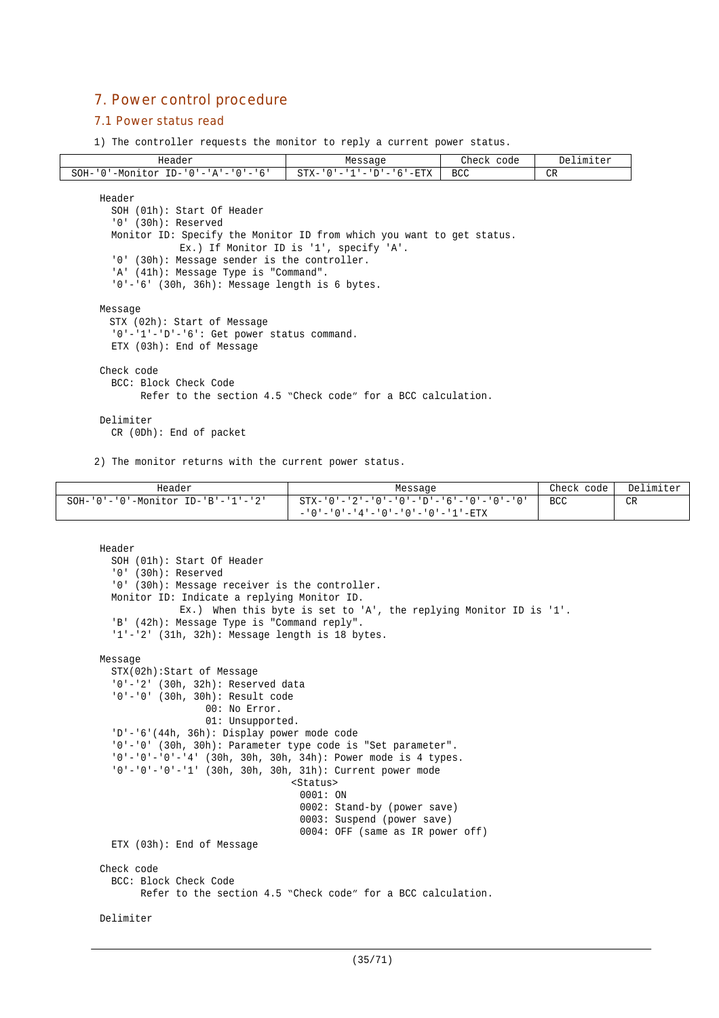# 7. Power control procedure

#### 7.1 Power status read

1) The controller requests the monitor to reply a current power status.

| Header                                                                | Message                                                      | Check code | Delimiter |  |  |  |
|-----------------------------------------------------------------------|--------------------------------------------------------------|------------|-----------|--|--|--|
| $SOH - '0'$ -Monitor ID-'0'-'A'-'0'-'6'                               | $STX - '0' - '1' - 'D' - '6' - ETX$                          | <b>BCC</b> | <b>CR</b> |  |  |  |
|                                                                       |                                                              |            |           |  |  |  |
| Header                                                                |                                                              |            |           |  |  |  |
| SOH (01h): Start Of Header                                            |                                                              |            |           |  |  |  |
| $'0'$ (30h): Reserved                                                 |                                                              |            |           |  |  |  |
| Monitor ID: Specify the Monitor ID from which you want to get status. |                                                              |            |           |  |  |  |
|                                                                       | Ex.) If Monitor ID is '1', specify 'A'.                      |            |           |  |  |  |
| '0' (30h): Message sender is the controller.                          |                                                              |            |           |  |  |  |
| 'A' (41h): Message Type is "Command".                                 |                                                              |            |           |  |  |  |
| $'0'$ -'6' (30h, 36h): Message length is 6 bytes.                     |                                                              |            |           |  |  |  |
| Message                                                               |                                                              |            |           |  |  |  |
| STX (02h): Start of Message                                           |                                                              |            |           |  |  |  |
| '0'-'1'-'D'-'6': Get power status command.                            |                                                              |            |           |  |  |  |
| ETX (03h): End of Message                                             |                                                              |            |           |  |  |  |
| Check code                                                            |                                                              |            |           |  |  |  |
| BCC: Block Check Code                                                 |                                                              |            |           |  |  |  |
|                                                                       | Refer to the section 4.5 "Check code" for a BCC calculation. |            |           |  |  |  |
| Delimiter                                                             |                                                              |            |           |  |  |  |
| $CR$ (ODh): End of packet                                             |                                                              |            |           |  |  |  |
|                                                                       |                                                              |            |           |  |  |  |

2) The monitor returns with the current power status.

| Header                                           | Message                                                           | Check code | Delimiter |
|--------------------------------------------------|-------------------------------------------------------------------|------------|-----------|
| $SOH - '0' - '0' - Monitor ID - 'B' - '1' - '2'$ | $STX - '0' - '2' - '0' - '0' - '0' - '0' - '6' - '0' - '0' - '0'$ | <b>BCC</b> | CR        |
|                                                  | - '0'-'0'-'4'-'0'-'0'-'0'-'1'-ETX                                 |            |           |

```
Header
  SOH (01h): Start Of Header
  '0' (30h): Reserved
  '0' (30h): Message receiver is the controller.
 Monitor ID: Indicate a replying Monitor ID.
             Ex.) When this byte is set to 'A', the replying Monitor ID is '1'.
  'B' (42h): Message Type is "Command reply".
  '1'-'2' (31h, 32h): Message length is 18 bytes.
Message
  STX(02h):Start of Message
  '0'-'2' (30h, 32h): Reserved data
  '0'-'0' (30h, 30h): Result code
                  00: No Error.
                  01: Unsupported.
  'D'-'6'(44h, 36h): Display power mode code
  '0'-'0' (30h, 30h): Parameter type code is "Set parameter".
  '0'-'0'-'0'-'4' (30h, 30h, 30h, 34h): Power mode is 4 types.
  '0'-'0'-'0'-'1' (30h, 30h, 30h, 31h): Current power mode
                                 <Status>
                                  0001: ON
                                  0002: Stand-by (power save)
                                  0003: Suspend (power save)
                                  0004: OFF (same as IR power off)
  ETX (03h): End of Message
Check code
  BCC: Block Check Code
        Refer to the section 4.5 "Check code" for a BCC calculation.
Delimiter
```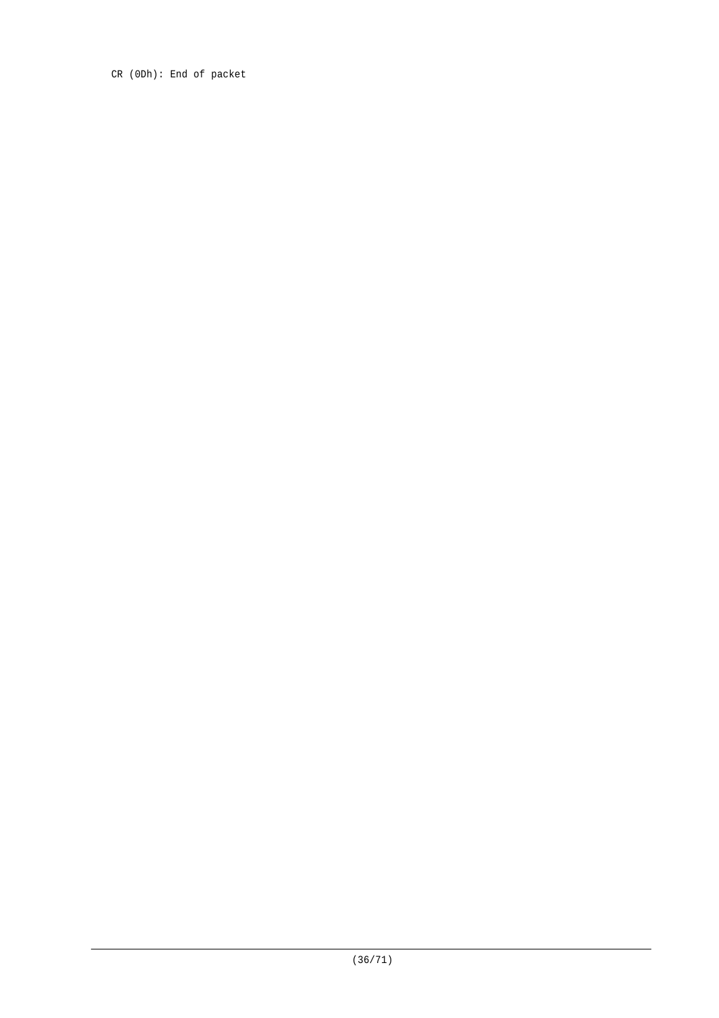CR (0Dh): End of packet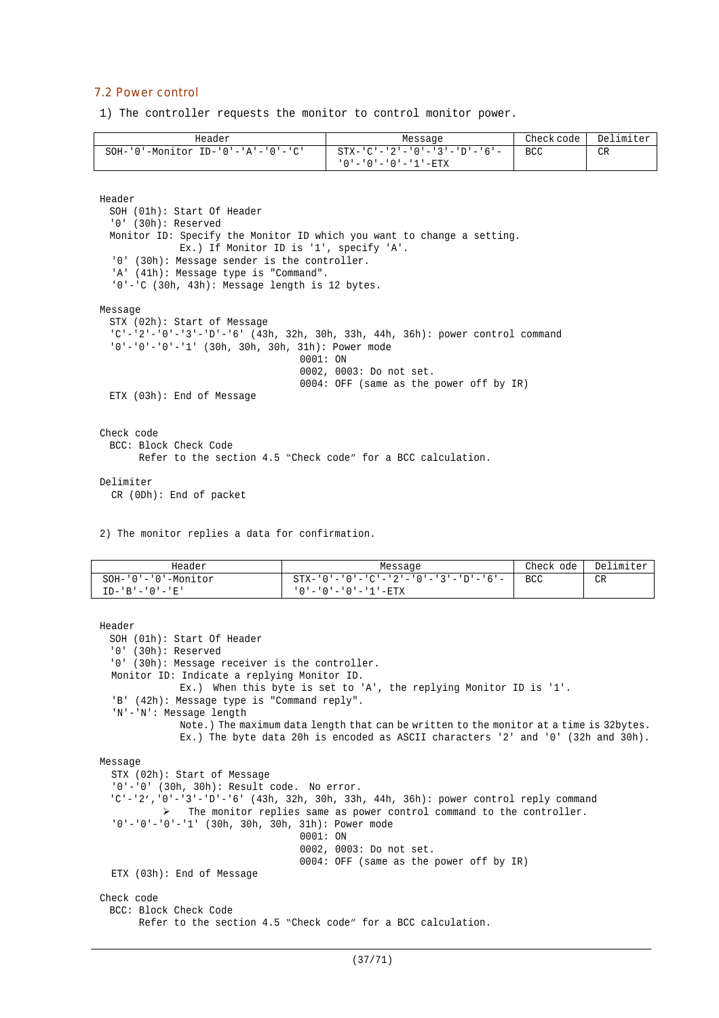#### 7.2 Power control

1) The controller requests the monitor to control monitor power.

| Header                                           | Message                             | Check code | Delimiter |
|--------------------------------------------------|-------------------------------------|------------|-----------|
| $SOH - '0' - Monttor ID - '0' - 'A' - '0' - 'C'$ | - STX-'C'-'2'-'0'-'3'-'D'-'6'-      | BCC        | CR        |
|                                                  | ' 0 ' - ' 0 ' - ' 0 ' - ' 1 ' - ETX |            |           |

Header

```
SOH (01h): Start Of Header
  '0' (30h): Reserved
 Monitor ID: Specify the Monitor ID which you want to change a setting.
             Ex.) If Monitor ID is '1', specify 'A'.
  '0' (30h): Message sender is the controller.
  'A' (41h): Message type is "Command".
  '0'-'C (30h, 43h): Message length is 12 bytes.
Message
 STX (02h): Start of Message
  'C'-'2'-'0'-'3'-'D'-'6' (43h, 32h, 30h, 33h, 44h, 36h): power control command
  '0'-'0'-'0'-'1' (30h, 30h, 30h, 31h): Power mode
                                   0001: ON
                                  0002, 0003: Do not set.
                                  0004: OFF (same as the power off by IR)
 ETX (03h): End of Message
Check code
 BCC: Block Check Code
       Refer to the section 4.5 "Check code" for a BCC calculation.
```
#### Delimiter

CR (0Dh): End of packet

2) The monitor replies a data for confirmation.

| Header                 | Message                                                 | Check ode  | Delimiter |
|------------------------|---------------------------------------------------------|------------|-----------|
| $SOH-101-101$ -Monitor | $STX - '0' - '0' - 'C' - '2' - '0' - '3' - 'D' - '6' -$ | <b>BCC</b> | CR        |
| $ID - 'B' - '0' - 'E'$ | ' 0 ' - ' 0 ' - ' 0 ' - ' 1 ' - ETX                     |            |           |

```
Header
 SOH (01h): Start Of Header
  '0' (30h): Reserved
  '0' (30h): Message receiver is the controller.
 Monitor ID: Indicate a replying Monitor ID.
             Ex.) When this byte is set to 'A', the replying Monitor ID is '1'.
  'B' (42h): Message type is "Command reply".
  'N'-'N': Message length
             Note.) The maximum data length that can be written to the monitor at a time is 32bytes.
             Ex.) The byte data 20h is encoded as ASCII characters '2' and '0' (32h and 30h).
Message
  STX (02h): Start of Message
  '0'-'0' (30h, 30h): Result code. No error.
  'C'-'2','0'-'3'-'D'-'6' (43h, 32h, 30h, 33h, 44h, 36h): power control reply command
           The monitor replies same as power control command to the controller.
  '0'-'0'-'0'-'1' (30h, 30h, 30h, 31h): Power mode
                                  0001: ON
                                  0002, 0003: Do not set.
                                  0004: OFF (same as the power off by IR)
  ETX (03h): End of Message
Check code
 BCC: Block Check Code
       Refer to the section 4.5 "Check code" for a BCC calculation.
```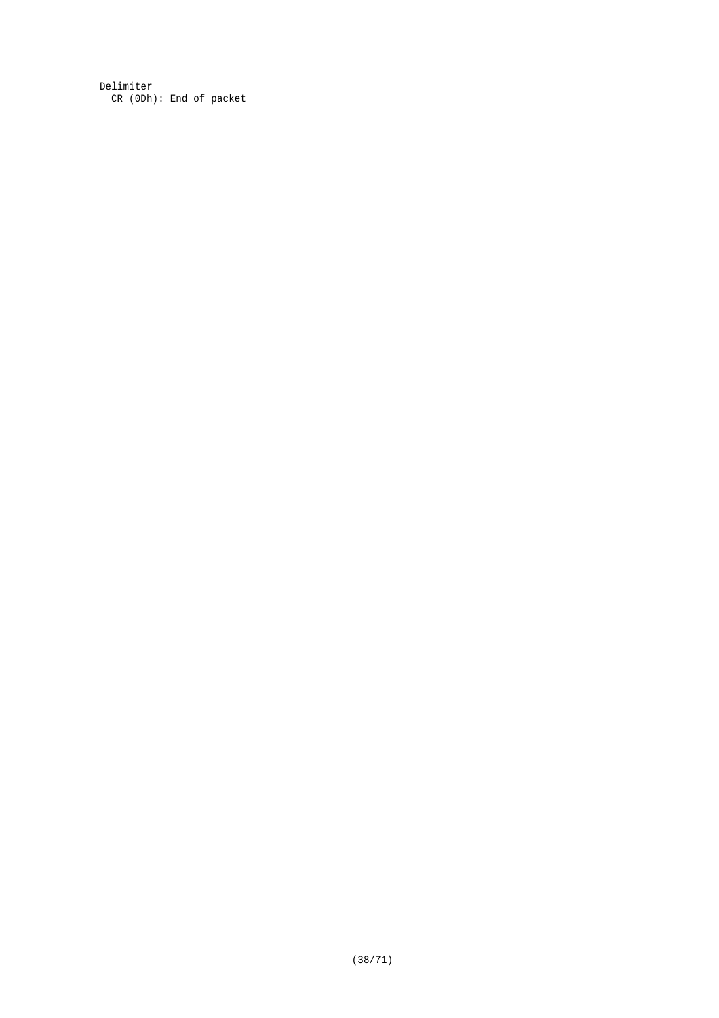Delimiter CR (0Dh): End of packet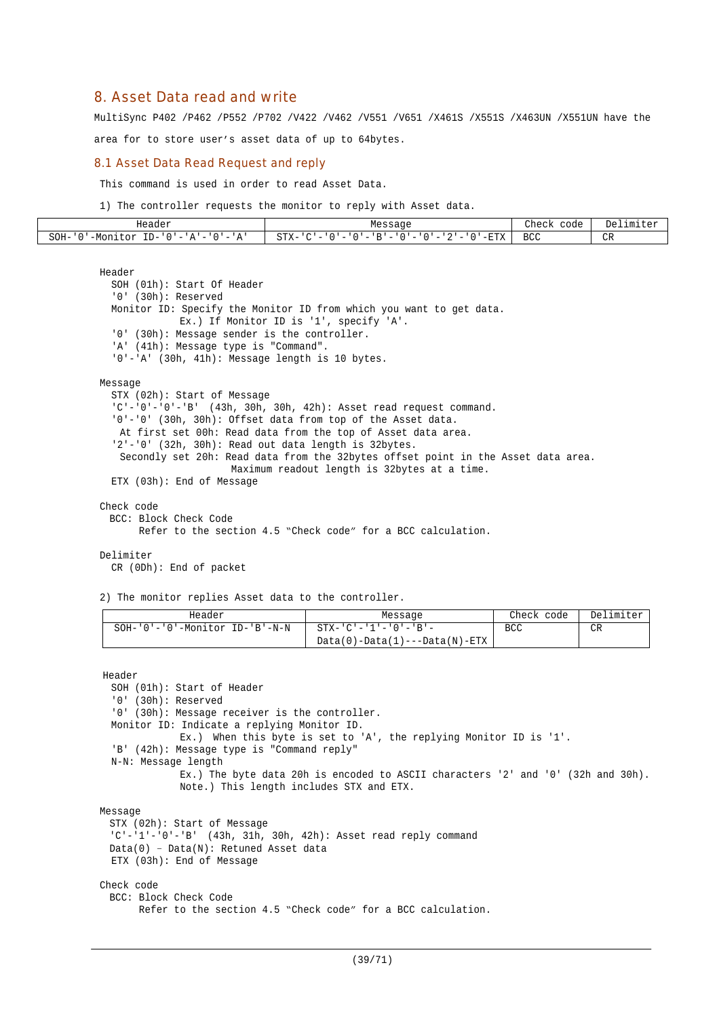# 8. Asset Data read and write

MultiSync P402 /P462 /P552 /P702 /V422 /V462 /V551 /V651 /X461S /X551S /X463UN /X551UN have the

area for to store user's asset data of up to 64bytes.

#### 8.1 Asset Data Read Request and reply

This command is used in order to read Asset Data.

1) The controller requests the monitor to reply with Asset data.

| Header                                                                                                                                                                | Message                                                                                                                                                                                                                 | Check<br>code | Delimiter<br>~≏ + . |
|-----------------------------------------------------------------------------------------------------------------------------------------------------------------------|-------------------------------------------------------------------------------------------------------------------------------------------------------------------------------------------------------------------------|---------------|---------------------|
| SOH-<br>$ -$<br>T <sub>D</sub><br>c<br>$\cap$<br>'-Moni<br>∵∩r<br>$\overline{\phantom{a}}$<br>$\cdots$<br>⊥ப−<br>$\overline{\phantom{a}}$<br>$\mathbf{a}$<br>д<br>. . | $ \Gamma$ $\Gamma$ $\vee$<br>$\sim$<br>D <sub>1</sub><br>$\sim$<br>$\overline{\phantom{0}}$<br>$\overline{\phantom{0}}$<br>-<br>$\overline{\phantom{a}}$<br>-<br>$\overline{\phantom{0}}$<br>۵۰ تن<br>▵<br>77 - 77<br>u | <b>BCC</b>    | CR                  |

```
Header
  SOH (01h): Start Of Header
  '0' (30h): Reserved
 Monitor ID: Specify the Monitor ID from which you want to get data.
             Ex.) If Monitor ID is '1', specify 'A'.
  '0' (30h): Message sender is the controller.
  'A' (41h): Message type is "Command".
  '0'-'A' (30h, 41h): Message length is 10 bytes.
Message
 STX (02h): Start of Message
  'C'-'0'-'0'-'B' (43h, 30h, 30h, 42h): Asset read request command.
  '0'-'0' (30h, 30h): Offset data from top of the Asset data.
  At first set 00h: Read data from the top of Asset data area.
  '2'-'0' (32h, 30h): Read out data length is 32bytes.
  Secondly set 20h: Read data from the 32bytes offset point in the Asset data area.
                     Maximum readout length is 32bytes at a time.
 ETX (03h): End of Message
Check code
 BCC: Block Check Code
       Refer to the section 4.5 "Check code" for a BCC calculation.
Delimiter
 CR (0Dh): End of packet
2) The monitor replies Asset data to the controller.
              Header Message Check code Delimiter
  SOH-'0'-'0'-Monitor ID-'B'-N-N STX-'C'-'1'-'0'-'B'-
                                   Data(0)-Data(1)---Data(N)-ETX
                                                                  BCC CR
Header
  SOH (01h): Start of Header
  '0' (30h): Reserved
```
'0' (30h): Message receiver is the controller. Monitor ID: Indicate a replying Monitor ID. Ex.) When this byte is set to 'A', the replying Monitor ID is '1'. 'B' (42h): Message type is "Command reply" N-N: Message length Ex.) The byte data 20h is encoded to ASCII characters '2' and '0' (32h and 30h). Note.) This length includes STX and ETX. Message STX (02h): Start of Message 'C'-'1'-'0'-'B' (43h, 31h, 30h, 42h): Asset read reply command Data(0) – Data(N): Retuned Asset data ETX (03h): End of Message Check code BCC: Block Check Code Refer to the section 4.5 "Check code" for a BCC calculation.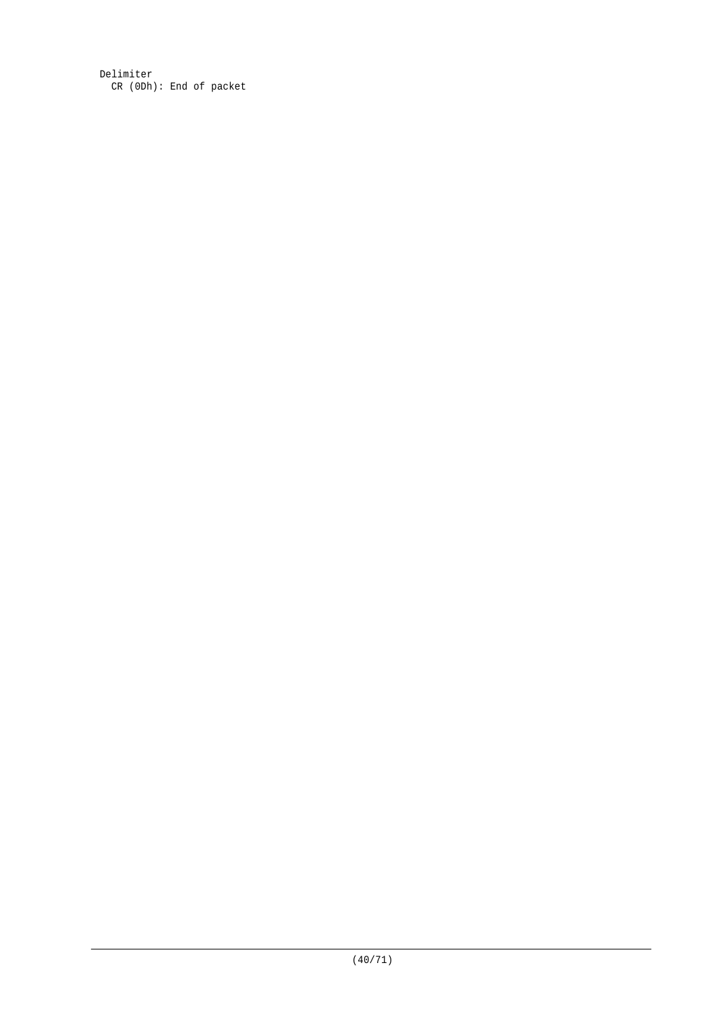Delimiter CR (0Dh): End of packet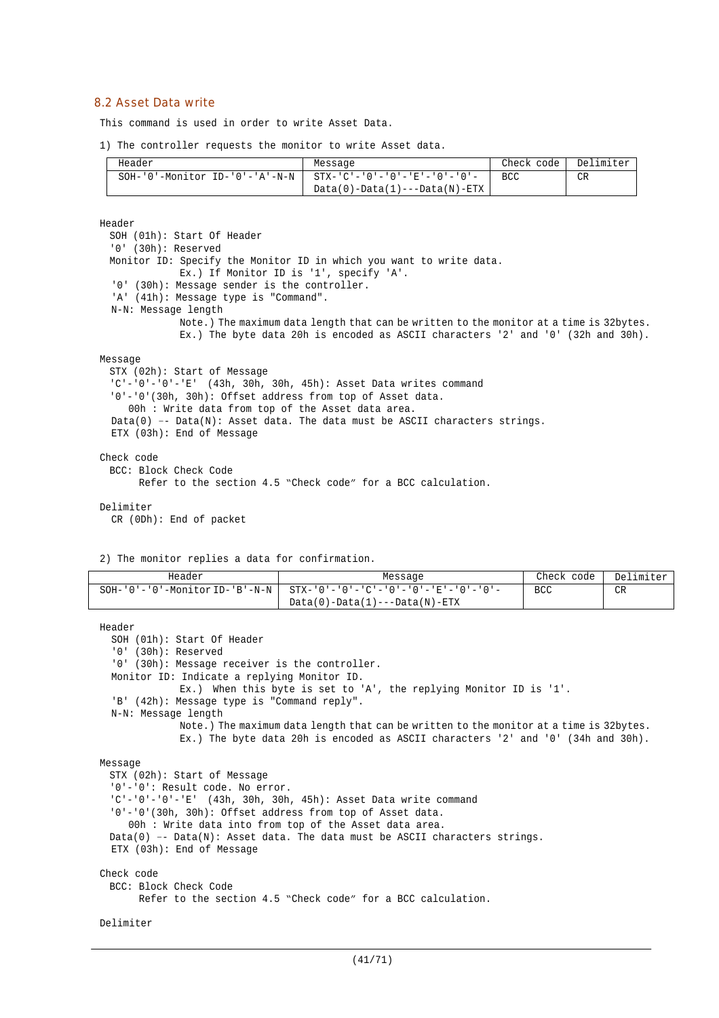### 8.2 Asset Data write

This command is used in order to write Asset Data.

1) The controller requests the monitor to write Asset data.

| Header                            | Message                              | Check code | Delimiter |
|-----------------------------------|--------------------------------------|------------|-----------|
| $SOH-10$ '-Monitor ID-'0'-'A'-N-N | -   STX-'C'-'0'-'0'-'E'-'0'-'0'-     | BCC.       | <b>CR</b> |
|                                   | $Data(0) - Data(1) -- Data(N) - ETX$ |            |           |

Header

SOH (01h): Start Of Header '0' (30h): Reserved Monitor ID: Specify the Monitor ID in which you want to write data. Ex.) If Monitor ID is '1', specify 'A'. '0' (30h): Message sender is the controller. 'A' (41h): Message type is "Command". N-N: Message length Note.) The maximum data length that can be written to the monitor at a time is 32bytes. Ex.) The byte data 20h is encoded as ASCII characters '2' and '0' (32h and 30h). Message STX (02h): Start of Message  $'C'-'0'-'0'-'E'$  (43h, 30h, 30h, 45h): Asset Data writes command '0'-'0'(30h, 30h): Offset address from top of Asset data. 00h : Write data from top of the Asset data area. Data(0) -- Data(N): Asset data. The data must be ASCII characters strings. ETX (03h): End of Message Check code BCC: Block Check Code

Refer to the section 4.5 "Check code" for a BCC calculation.

Delimiter

CR (0Dh): End of packet

2) The monitor replies a data for confirmation.

| Header                                       | Message                                                 | Check code | Delimiter |
|----------------------------------------------|---------------------------------------------------------|------------|-----------|
| $SOH - '0' - '0' - Monttor ID - 'B' - N - N$ | $STX - '0' - '0' - 'C' - '0' - '0' - 'E' - '0' - '0' -$ | <b>BCC</b> | CR        |
|                                              | $Data(0) - Data(1) -- Data(M) - ETX$                    |            |           |

```
Header
  SOH (01h): Start Of Header
  '0' (30h): Reserved
  '0' (30h): Message receiver is the controller.
  Monitor ID: Indicate a replying Monitor ID.
             Ex.) When this byte is set to 'A', the replying Monitor ID is '1'.
  'B' (42h): Message type is "Command reply".
  N-N: Message length
              Note.) The maximum data length that can be written to the monitor at a time is 32bytes.
              Ex.) The byte data 20h is encoded as ASCII characters '2' and '0' (34h and 30h).
Message
 STX (02h): Start of Message
  '0'-'0': Result code. No error.
  'C'-'0'-'0'-'E' (43h, 30h, 30h, 45h): Asset Data write command
  '0'-'0'(30h, 30h): Offset address from top of Asset data.
    00h : Write data into from top of the Asset data area.
 Data(0) -- Data(N): Asset data. The data must be ASCII characters strings.
 ETX (03h): End of Message
Check code
 BCC: Block Check Code
       Refer to the section 4.5 "Check code" for a BCC calculation.
```

```
Delimiter
```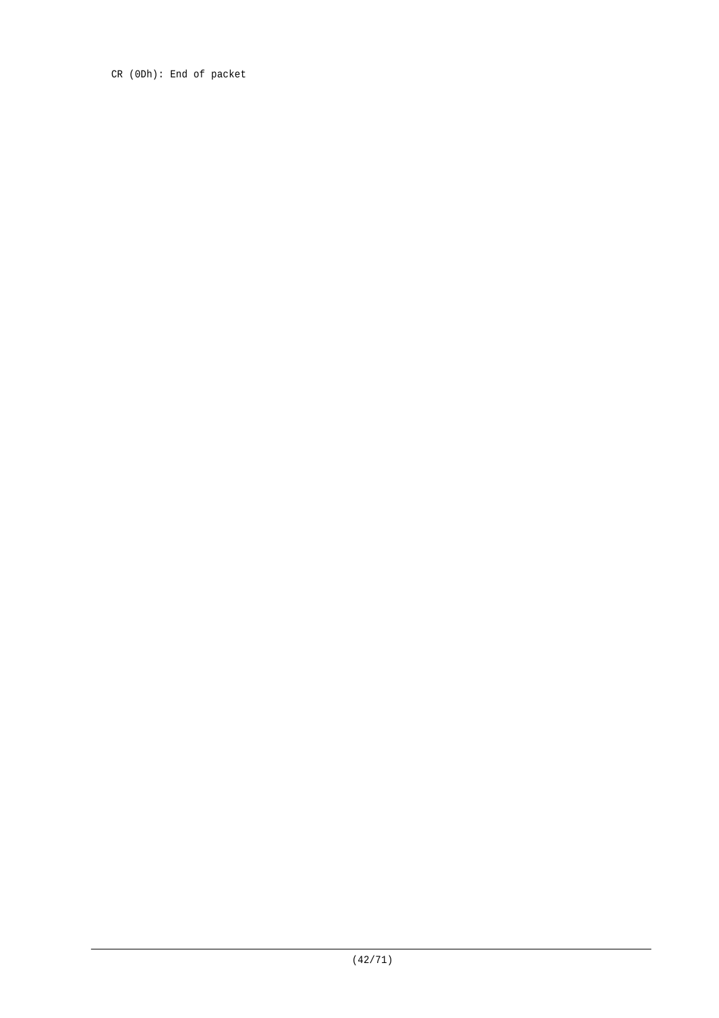CR (0Dh): End of packet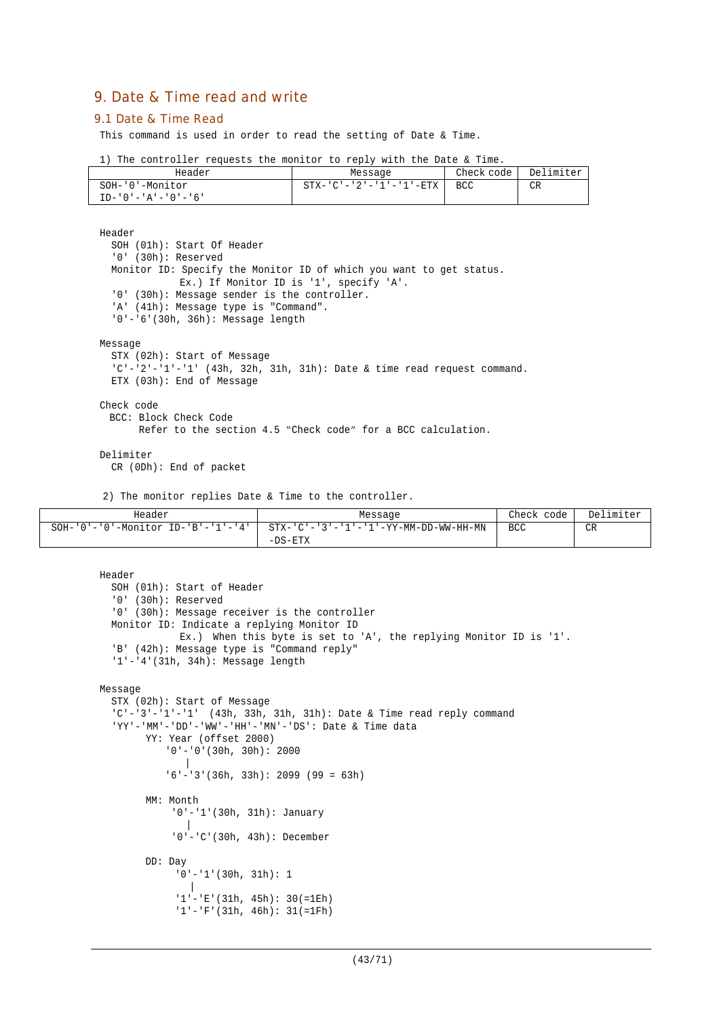# 9. Date & Time read and write

#### 9.1 Date & Time Read

This command is used in order to read the setting of Date & Time.

|  |  | 1) The controller requests the monitor to reply with the Date & Time. |  |  |  |  |  |  |  |  |  |  |  |
|--|--|-----------------------------------------------------------------------|--|--|--|--|--|--|--|--|--|--|--|
|--|--|-----------------------------------------------------------------------|--|--|--|--|--|--|--|--|--|--|--|

| Header                       | Message                 | Check code | Delimiter |
|------------------------------|-------------------------|------------|-----------|
| SOH-'0'-Monitor              | STX-'C'-'2'-'1'-'1'-ETX | BCC        | CR        |
| $TD - '0' - 'A' - '0' - '6'$ |                         |            |           |

Header SOH (01h): Start Of Header '0' (30h): Reserved Monitor ID: Specify the Monitor ID of which you want to get status. Ex.) If Monitor ID is '1', specify 'A'. '0' (30h): Message sender is the controller. 'A' (41h): Message type is "Command". '0'-'6'(30h, 36h): Message length Message STX (02h): Start of Message 'C'-'2'-'1'-'1' (43h, 32h, 31h, 31h): Date & time read request command. ETX (03h): End of Message Check code BCC: Block Check Code Refer to the section 4.5 "Check code" for a BCC calculation.

#### Delimiter

CR (0Dh): End of packet

2) The monitor replies Date & Time to the controller.

| Header                                           | Message                               | Check<br>code I | Delimiter |
|--------------------------------------------------|---------------------------------------|-----------------|-----------|
| $SOH - '0' - '0' - Monitor ID - 'B' - '1' - '4'$ | STX-'C'-'3'-'1'-'1'-YY-MM-DD-WW-HH-MN | <b>BCC</b>      | CR        |
|                                                  | $-DS-ETX$                             |                 |           |

```
Header
  SOH (01h): Start of Header
  '0' (30h): Reserved
  '0' (30h): Message receiver is the controller
 Monitor ID: Indicate a replying Monitor ID
             Ex.) When this byte is set to 'A', the replying Monitor ID is '1'.
  'B' (42h): Message type is "Command reply"
  '1'-'4'(31h, 34h): Message length
Message
  STX (02h): Start of Message
  'C'-'3'-'1'-'1' (43h, 33h, 31h, 31h): Date & Time read reply command
  'YY'-'MM'-'DD'-'WW'-'HH'-'MN'-'DS': Date & Time data
       YY: Year (offset 2000)
           '0'-'0'(30h, 30h): 2000
           |
            '6'-'3'(36h, 33h): 2099 (99 = 63h)
       MM: Month
            '0'-'1'(30h, 31h): January
               |
             '0'-'C'(30h, 43h): December
       DD: Day
             '0'-'1'(30h, 31h): 1
               |
             '1'-'E'(31h, 45h): 30(=1Eh)
             '1'-'F'(31h, 46h): 31(=1Fh)
```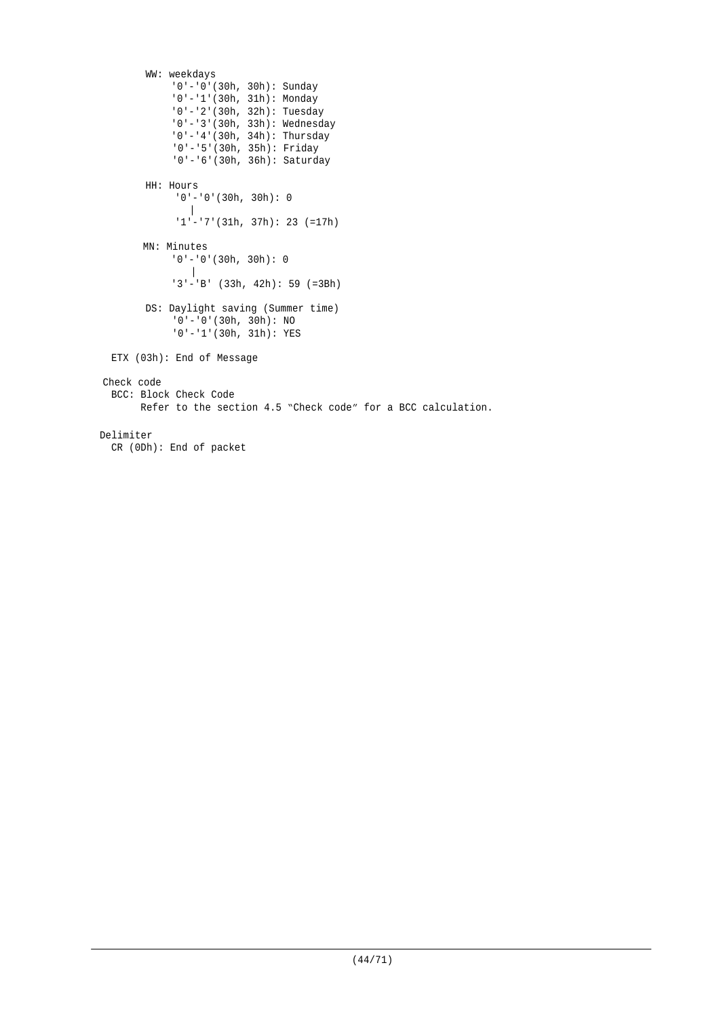```
WW: weekdays
            '0'-'0'(30h, 30h): Sunday
            '0'-'1'(30h, 31h): Monday
            '0'-'2'(30h, 32h): Tuesday
             '0'-'3'(30h, 33h): Wednesday
             '0'-'4'(30h, 34h): Thursday
             '0'-'5'(30h, 35h): Friday
            '0'-'6'(30h, 36h): Saturday
        HH: Hours
             '0'-'0'(30h, 30h): 0
               |
             1'-'7'(31h, 37h): 23 (=17h)
       MN: Minutes
            '0'-'0'(30h, 30h): 0
               \blacksquare'3'-'B' (33h, 42h): 59 (=3Bh)
        DS: Daylight saving (Summer time)
             '0'-'0'(30h, 30h): NO
             '0'-'1'(30h, 31h): YES
 ETX (03h): End of Message
Check code
 BCC: Block Check Code
        Refer to the section 4.5 "Check code" for a BCC calculation.
Delimiter
  CR (0Dh): End of packet
```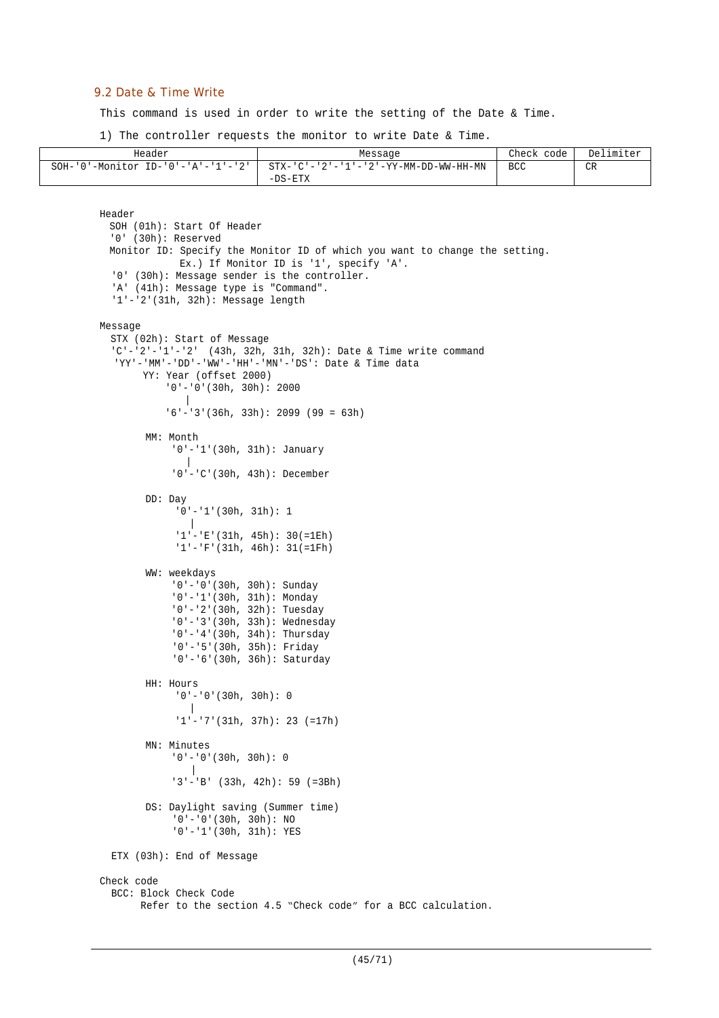## 9.2 Date & Time Write

This command is used in order to write the setting of the Date & Time.

1) The controller requests the monitor to write Date & Time.

| Header                                     | Message                                            | Check<br>code | Delimiter |
|--------------------------------------------|----------------------------------------------------|---------------|-----------|
| "-'0'-Monitor ID-'0'-'A'-'1'-'2'<br>$SOH-$ | STX-'C'-'2'-'1'-'2'-YY-MM-DD-WW-HH-MN<br>$-DS-ETX$ | <b>BCC</b>    | CR        |

```
Header
 SOH (01h): Start Of Header
  '0' (30h): Reserved
 Monitor ID: Specify the Monitor ID of which you want to change the setting.
             Ex.) If Monitor ID is '1', specify 'A'.
  '0' (30h): Message sender is the controller.
  'A' (41h): Message type is "Command".
  '1'-'2'(31h, 32h): Message length
Message
  STX (02h): Start of Message
  'C'-'2'-'1'-'2' (43h, 32h, 31h, 32h): Date & Time write command
  'YY'-'MM'-'DD'-'WW'-'HH'-'MN'-'DS': Date & Time data
       YY: Year (offset 2000)
            '0'-'0'(30h, 30h): 2000
           |
           '6'-'3'(36h, 33h): 2099 (99 = 63h)
        MM: Month
            '0'-'1'(30h, 31h): January
               |
            '0'-'C'(30h, 43h): December
        DD: Day
             '0'-'1'(30h, 31h): 1
                |
             '1'-'E'(31h, 45h): 30(=1Eh)
             '1'-'F'(31h, 46h): 31(=1Fh)
        WW: weekdays
            '0'-'0'(30h, 30h): Sunday
             '0'-'1'(30h, 31h): Monday
             '0'-'2'(30h, 32h): Tuesday
            '0'-'3'(30h, 33h): Wednesday
            '0'-'4'(30h, 34h): Thursday
            '0'-'5'(30h, 35h): Friday
            '0'-'6'(30h, 36h): Saturday
        HH: Hours
             '0'-'0'(30h, 30h): 0
                |
              '1'-'7'(31h, 37h): 23 (=17h)
        MN: Minutes
            '0'-'0'(30h, 30h): 0
               \Box'3'-'B' (33h, 42h): 59 (=3Bh)
        DS: Daylight saving (Summer time)
            '0'-'0'(30h, 30h): NO
            '0'-'1'(30h, 31h): YES
  ETX (03h): End of Message
Check code
  BCC: Block Check Code
        Refer to the section 4.5 "Check code" for a BCC calculation.
```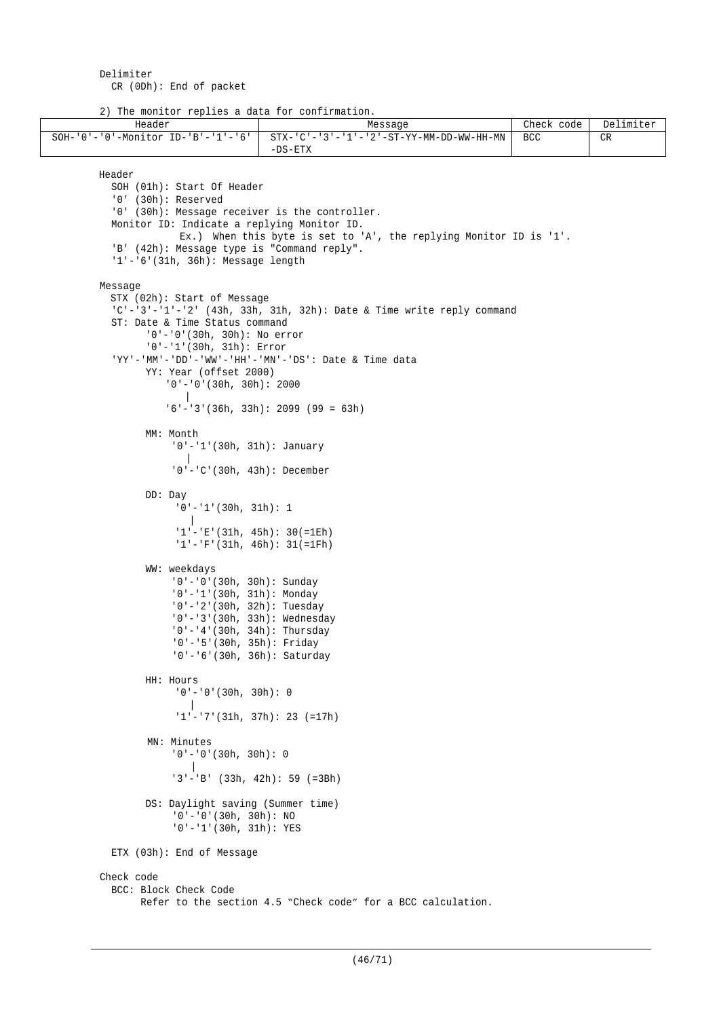Delimiter CR (0Dh): End of packet

2) The monitor replies a data for confirmation.

```
Header Message Check code Delimiter Message Check code Delimiter
SOH-'0'-'0'-Monitor ID-'B'-'1'-'6' STX-'C'-'3'-'1'-'2'-ST-YY-MM-DD-WW-HH-MN
                                     -DS-ETX
                                                                               BCC CRHeader
         SOH (01h): Start Of Header
          '0' (30h): Reserved
          '0' (30h): Message receiver is the controller.
         Monitor ID: Indicate a replying Monitor ID.
                     Ex.) When this byte is set to 'A', the replying Monitor ID is '1'.
          'B' (42h): Message type is "Command reply".
          '1'-'6'(31h, 36h): Message length
       Message
         STX (02h): Start of Message
          'C'-'3'-'1'-'2' (43h, 33h, 31h, 32h): Date & Time write reply command
          ST: Date & Time Status command
                '0'-'0'(30h, 30h): No error
               '0'-'1'(30h, 31h): Error
          'YY'-'MM'-'DD'-'WW'-'HH'-'MN'-'DS': Date & Time data
               YY: Year (offset 2000)
                   '0'-'0'(30h, 30h): 2000
                     \blacksquare'6'-'3'(36h, 33h): 2099 (99 = 63h)
               MM: Month
                   '0'-'1'(30h, 31h): January
                       |
                    '0'-'C'(30h, 43h): December
               DD: Day
                    '0'-'1'(30h, 31h): 1
                       |
                    '1'-'E'(31h, 45h): 30(=1Eh)
                    '1'-'F'(31h, 46h): 31(=1Fh)
               WW: weekdays
                    '0'-'0'(30h, 30h): Sunday
                    '0'-'1'(30h, 31h): Monday
                    '0'-'2'(30h, 32h): Tuesday
                    '0'-'3'(30h, 33h): Wednesday
                    '0'-'4'(30h, 34h): Thursday
                     '0'-'5'(30h, 35h): Friday
                    '0'-'6'(30h, 36h): Saturday
               HH: Hours
                    '0'-'0'(30h, 30h): 0
                       |
                     '1'-'7'(31h, 37h): 23 (=17h)
                MN: Minutes
                    '0'-'0'(30h, 30h): 0
                       |
                    '3'-'B' (33h, 42h): 59 (=3Bh)
               DS: Daylight saving (Summer time)
                    '0'-'0'(30h, 30h): NO
                    '0'-'1'(30h, 31h): YES
         ETX (03h): End of Message
       Check code
          BCC: Block Check Code
               Refer to the section 4.5 "Check code" for a BCC calculation.
```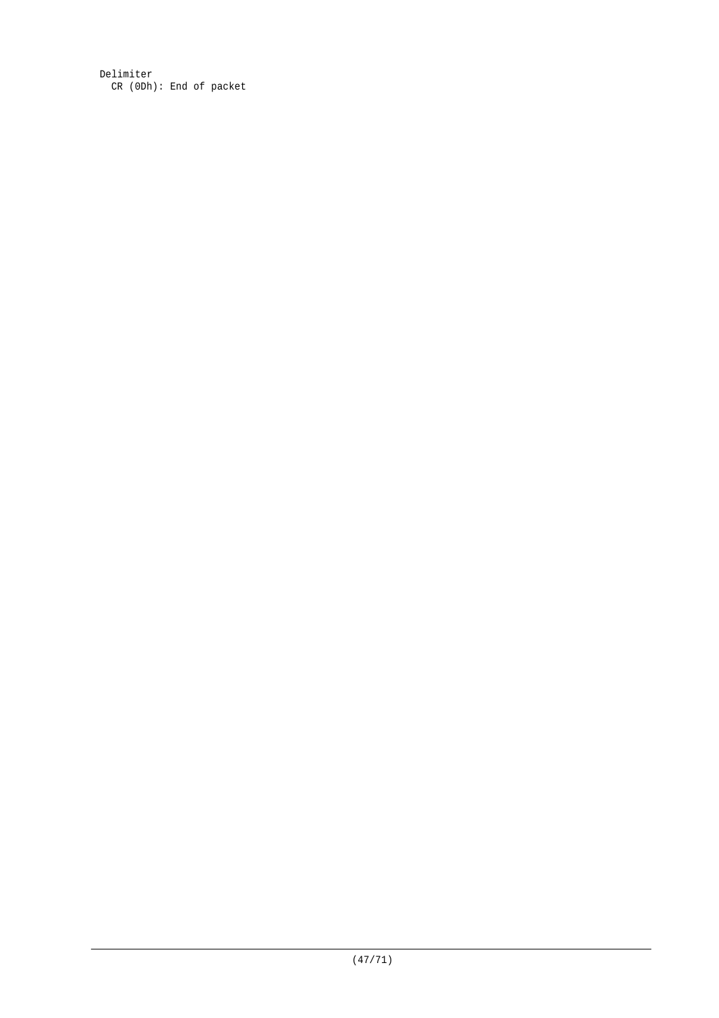Delimiter CR (0Dh): End of packet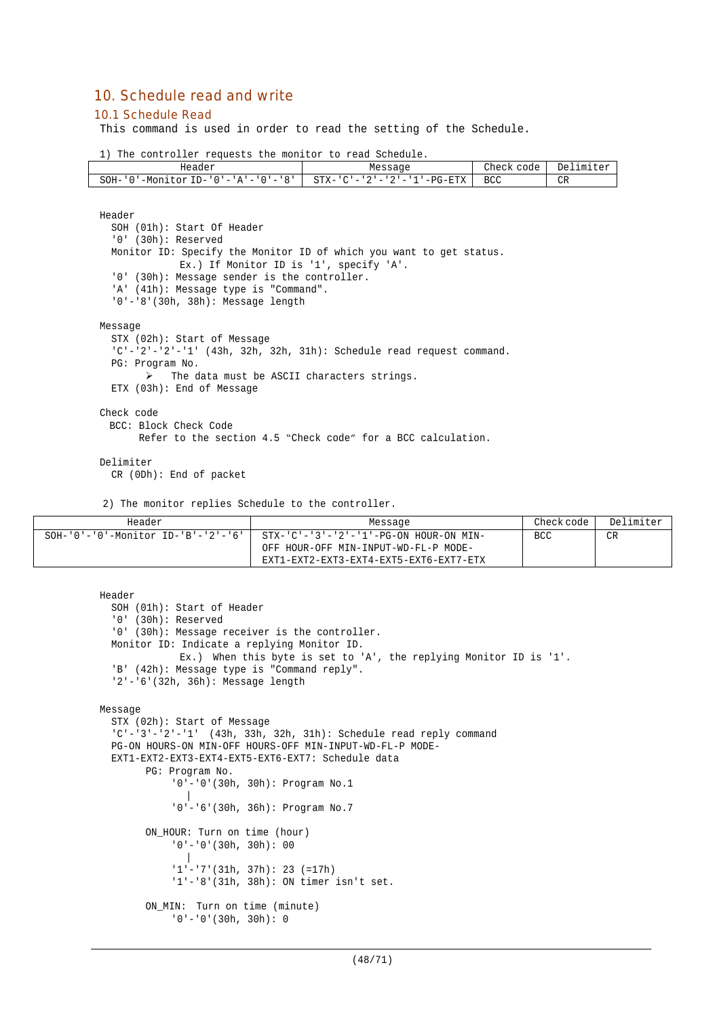# 10. Schedule read and write

#### 10.1 Schedule Read

This command is used in order to read the setting of the Schedule.

1) The controller requests the monitor to read Schedule.

| Header                                                      | Message              | Check<br>code | Delimiter |
|-------------------------------------------------------------|----------------------|---------------|-----------|
| '-Monitor ID-'0'-'A'-'0'-'8'    STX-'C'-'2'-'2'-'1'<br>SOH- | $-$ -PG-ETX $\qquad$ | <b>BCC</b>    | CR        |

Header

```
SOH (01h): Start Of Header
  '0' (30h): Reserved
  Monitor ID: Specify the Monitor ID of which you want to get status.
              Ex.) If Monitor ID is '1', specify 'A'.
  '0' (30h): Message sender is the controller.
  'A' (41h): Message type is "Command".
  '0'-'8'(30h, 38h): Message length
Message
  STX (02h): Start of Message
  'C'-'2'-'2'-'1' (43h, 32h, 32h, 31h): Schedule read request command.
  PG: Program No.
        \triangleright The data must be ASCII characters strings.
  ETX (03h): End of Message
Check code
 BCC: Block Check Code
      Refer to the section 4.5 "Check code" for a BCC calculation.
```
Delimiter

CR (0Dh): End of packet

2) The monitor replies Schedule to the controller.

ON MIN: Turn on time (minute) '0'-'0'(30h, 30h): 0

| Header | Message                                                                     | Check code | Delimiter |
|--------|-----------------------------------------------------------------------------|------------|-----------|
|        | SOH-'0'-'0'-Monitor ID-'B'-'2'-'6'   STX-'C'-'3'-'2'-'1'-PG-ON HOUR-ON MIN- | BCC        | CR        |
|        | OFF HOUR-OFF MIN-INPUT-WD-FL-P MODE-                                        |            |           |
|        | EXT1-EXT2-EXT3-EXT4-EXT5-EXT6-EXT7-ETX                                      |            |           |

```
Header
  SOH (01h): Start of Header
  '0' (30h): Reserved
  '0' (30h): Message receiver is the controller.
  Monitor ID: Indicate a replying Monitor ID.
             Ex.) When this byte is set to 'A', the replying Monitor ID is '1'.
  'B' (42h): Message type is "Command reply".
  '2'-'6'(32h, 36h): Message length
Message
  STX (02h): Start of Message
  'C'-'3'-'2'-'1' (43h, 33h, 32h, 31h): Schedule read reply command
  PG-ON HOURS-ON MIN-OFF HOURS-OFF MIN-INPUT-WD-FL-P MODE-
  EXT1-EXT2-EXT3-EXT4-EXT5-EXT6-EXT7: Schedule data
       PG: Program No.
            '0'-'0'(30h, 30h): Program No.1
               |
            '0'-'6'(30h, 36h): Program No.7
        ON HOUR: Turn on time (hour)
            '0'-'0'(30h, 30h): 00
               |
            '1'-'7'(31h, 37h): 23 (=17h)
            '1'-'8'(31h, 38h): ON timer isn't set.
```
(48/71)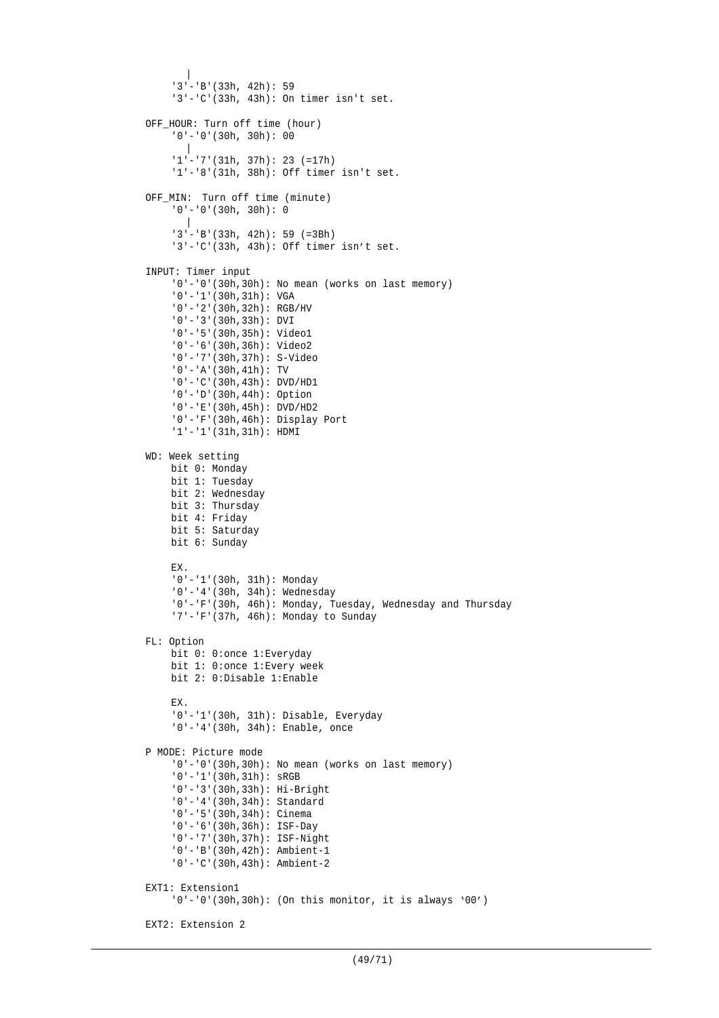```
|
     '3'-'B'(33h, 42h): 59
    '3'-'C'(33h, 43h): On timer isn't set.
OFF_HOUR: Turn off time (hour)
    '0'-'0'(30h, 30h): 00
      \blacksquare'1'-'7'(31h, 37h): 23 (=17h)
    '1'-'8'(31h, 38h): Off timer isn't set.
OFF MIN: Turn off time (minute)
    '0'-'0'(30h, 30h): 0
      \blacksquare'3'-'B'(33h, 42h): 59 (=3Bh)
    '3'-'C'(33h, 43h): Off timer isn't set.
INPUT: Timer input
    '0'-'0'(30h,30h): No mean (works on last memory)
    '0'-'1'(30h,31h): VGA
    '0'-'2'(30h,32h): RGB/HV
    '0'-'3'(30h,33h): DVI
    '0'-'5'(30h,35h): Video1
    '0'-'6'(30h,36h): Video2
    '0'-'7'(30h,37h): S-Video
    '0'-'A'(30h,41h): TV
    '0'-'C'(30h,43h): DVD/HD1
    '0'-'D'(30h,44h): Option
    '0'-'E'(30h,45h): DVD/HD2
    '0'-'F'(30h,46h): Display Port
    '1'-'1'(31h,31h): HDMI
WD: Week setting
    bit 0: Monday
    bit 1: Tuesday
    bit 2: Wednesday
    bit 3: Thursday
    bit 4: Friday
    bit 5: Saturday
    bit 6: Sunday
    EX.
    '0'-'1'(30h, 31h): Monday
    '0'-'4'(30h, 34h): Wednesday
    '0'-'F'(30h, 46h): Monday, Tuesday, Wednesday and Thursday
    '7'-'F'(37h, 46h): Monday to Sunday
FL: Option
    bit 0: 0:once 1:Everyday
    bit 1: 0:once 1:Every week
    bit 2: 0:Disable 1:Enable
    EX.
    '0'-'1'(30h, 31h): Disable, Everyday
    '0'-'4'(30h, 34h): Enable, once
P MODE: Picture mode
    '0'-'0'(30h,30h): No mean (works on last memory)
    '0'-'1'(30h,31h): sRGB
    '0'-'3'(30h,33h): Hi-Bright
    '0'-'4'(30h,34h): Standard
    '0'-'5'(30h,34h): Cinema
    '0'-'6'(30h,36h): ISF-Day
    '0'-'7'(30h,37h): ISF-Night
    '0'-'B'(30h,42h): Ambient-1
    '0'-'C'(30h,43h): Ambient-2
EXT1: Extension1
    '0'-'0'(30h,30h): (On this monitor, it is always '00')
EXT2: Extension 2
```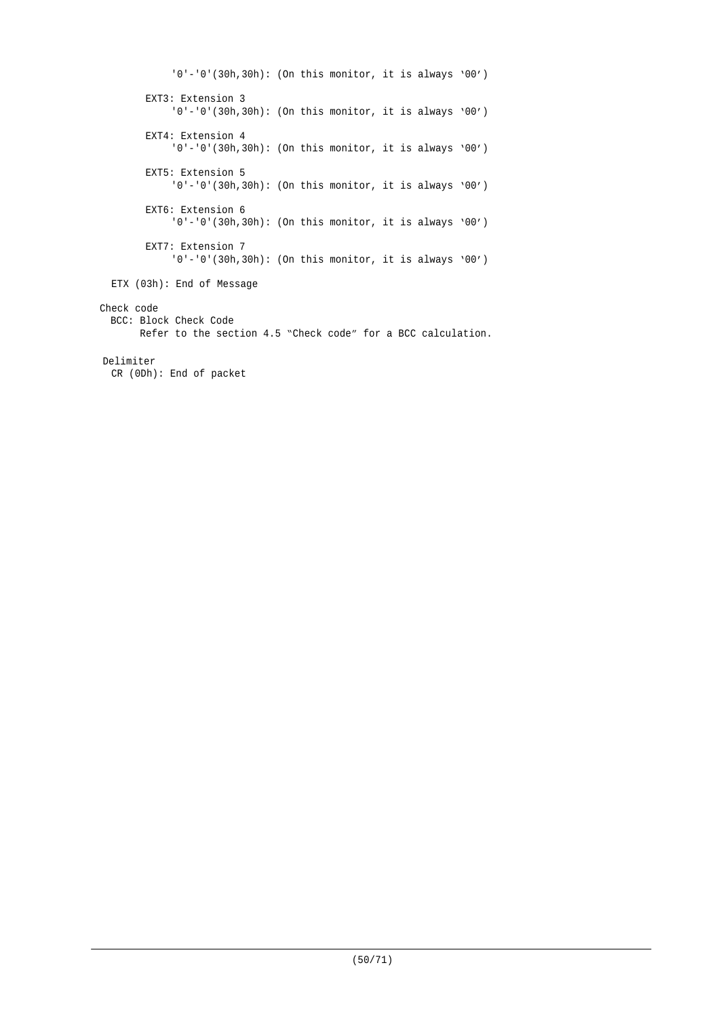'0'-'0'(30h,30h): (On this monitor, it is always '00') EXT3: Extension 3 '0'-'0'(30h,30h): (On this monitor, it is always '00') EXT4: Extension 4 '0'-'0'(30h,30h): (On this monitor, it is always '00') EXT5: Extension 5 '0'-'0'(30h,30h): (On this monitor, it is always '00') EXT6: Extension 6 '0'-'0'(30h,30h): (On this monitor, it is always '00') EXT7: Extension 7 '0'-'0'(30h,30h): (On this monitor, it is always '00') ETX (03h): End of Message Check code BCC: Block Check Code Refer to the section 4.5 "Check code" for a BCC calculation. Delimiter CR (0Dh): End of packet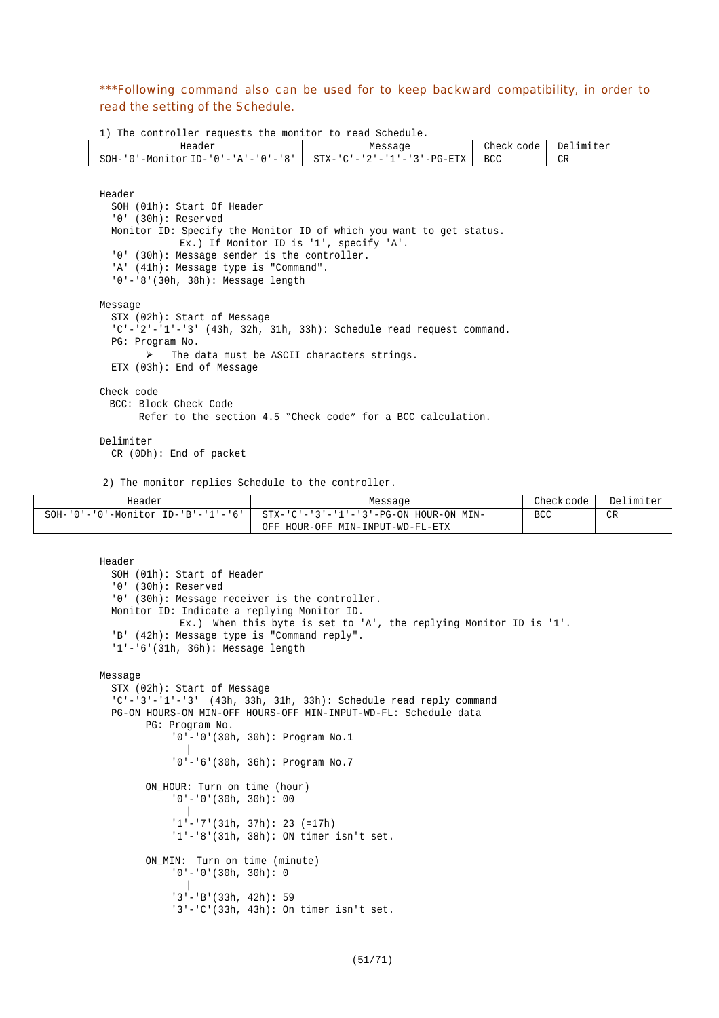\*\*\*Following command also can be used for to keep backward compatibility, in order to read the setting of the Schedule.

1) The controller requests the monitor to read Schedule.

| Header                                  | Message                    | Check code | Delimiter |
|-----------------------------------------|----------------------------|------------|-----------|
| '-Monitor ID-'0'-'A'-'0'-'8',<br>SOH-'0 | STX-'C'-'2'-'1'-'3'-PG-ETX | <b>BCC</b> | CR        |

```
Header
  SOH (01h): Start Of Header
  '0' (30h): Reserved
  Monitor ID: Specify the Monitor ID of which you want to get status.
              Ex.) If Monitor ID is '1', specify 'A'.
  '0' (30h): Message sender is the controller.
  'A' (41h): Message type is "Command".
  '0'-'8'(30h, 38h): Message length
Message
  STX (02h): Start of Message
  'C'-'2'-'1'-'3' (43h, 32h, 31h, 33h): Schedule read request command.
  PG: Program No.
       \triangleright The data must be ASCII characters strings.
  ETX (03h): End of Message
Check code
 BCC: Block Check Code
      Refer to the section 4.5 "Check code" for a BCC calculation.
```
Delimiter

CR (0Dh): End of packet

2) The monitor replies Schedule to the controller.

| Header                                           | Message                                            | Check code | Delimiter |
|--------------------------------------------------|----------------------------------------------------|------------|-----------|
| $SOH - '0' - '0' - Monttor ID - 'B' - '1' - '6'$ | $STX - 'C' - '3' - '1' - '3' - PG-ON HOUR-ON MIN-$ | <b>BCC</b> | <b>CR</b> |
|                                                  | HOUR-OFF MIN-INPUT-WD-FL-ETX<br>OFF                |            |           |

```
Header
  SOH (01h): Start of Header
  '0' (30h): Reserved
  '0' (30h): Message receiver is the controller.
 Monitor ID: Indicate a replying Monitor ID.
             Ex.) When this byte is set to 'A', the replying Monitor ID is '1'.
  'B' (42h): Message type is "Command reply".
  '1'-'6'(31h, 36h): Message length
Message
  STX (02h): Start of Message
  'C'-'3'-'1'-'3' (43h, 33h, 31h, 33h): Schedule read reply command
  PG-ON HOURS-ON MIN-OFF HOURS-OFF MIN-INPUT-WD-FL: Schedule data
        PG: Program No.
             '0'-'0'(30h, 30h): Program No.1
              |
            '0'-'6'(30h, 36h): Program No.7
        ON_HOUR: Turn on time (hour)
            '0'-'0'(30h, 30h): 00
              \blacksquare'1'-'7'(31h, 37h): 23 (=17h)
            '1'-'8'(31h, 38h): ON timer isn't set.
        ON_MIN: Turn on time (minute)
            '0'-'0'(30h, 30h): 0
               |
            '3'-'B'(33h, 42h): 59
            '3'-'C'(33h, 43h): On timer isn't set.
```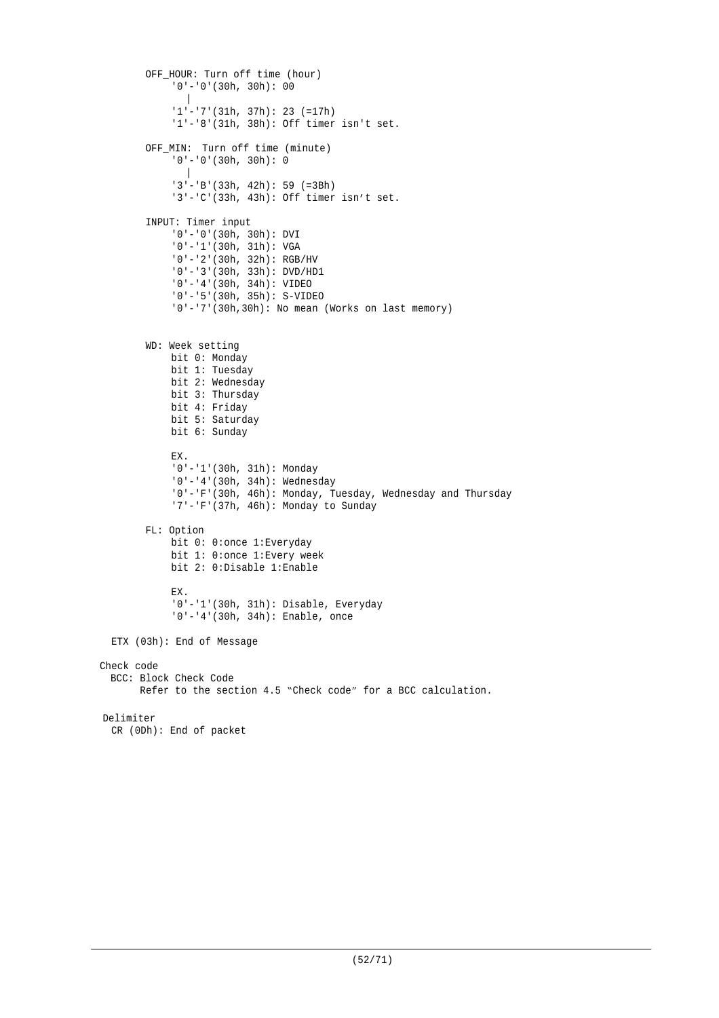```
OFF_HOUR: Turn off time (hour)
            '0'-'0'(30h, 30h): 00
              \blacksquare'1'-'7'(31h, 37h): 23 (=17h)
            '1'-'8'(31h, 38h): Off timer isn't set.
        OFF_MIN: Turn off time (minute)
            '0'-'0'(30h, 30h): 0
              \blacksquare'3'-'B'(33h, 42h): 59 (=3Bh)
            '3'-'C'(33h, 43h): Off timer isn't set.
        INPUT: Timer input
            '0'-'0'(30h, 30h): DVI
            '0'-'1'(30h, 31h): VGA
             '0'-'2'(30h, 32h): RGB/HV
             '0'-'3'(30h, 33h): DVD/HD1
             '0'-'4'(30h, 34h): VIDEO
            '0'-'5'(30h, 35h): S-VIDEO
            '0'-'7'(30h,30h): No mean (Works on last memory)
        WD: Week setting
            bit 0: Monday
            bit 1: Tuesday
            bit 2: Wednesday
            bit 3: Thursday
            bit 4: Friday
            bit 5: Saturday
            bit 6: Sunday
            EX.
            '0'-'1'(30h, 31h): Monday
            '0'-'4'(30h, 34h): Wednesday
            '0'-'F'(30h, 46h): Monday, Tuesday, Wednesday and Thursday
            '7'-'F'(37h, 46h): Monday to Sunday
        FL: Option
            bit 0: 0:once 1:Everyday
            bit 1: 0:once 1:Every week
            bit 2: 0:Disable 1:Enable
            EX.
            '0'-'1'(30h, 31h): Disable, Everyday
            '0'-'4'(30h, 34h): Enable, once
  ETX (03h): End of Message
Check code
 BCC: Block Check Code
       Refer to the section 4.5 "Check code" for a BCC calculation.
Delimiter
 CR (0Dh): End of packet
```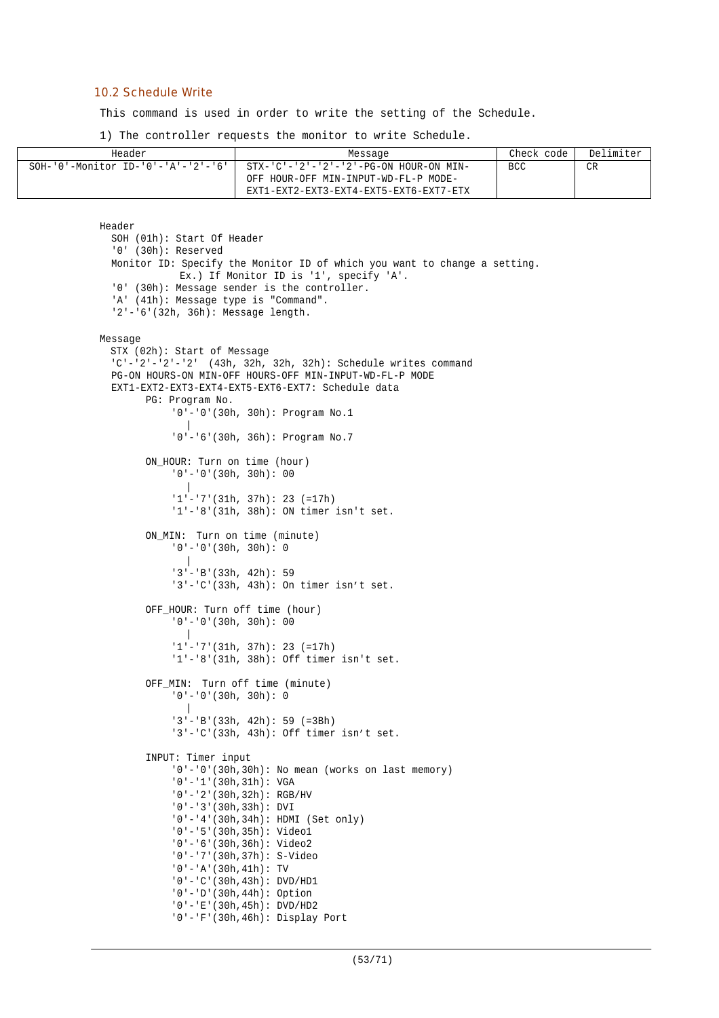#### 10.2 Schedule Write

This command is used in order to write the setting of the Schedule.

1) The controller requests the monitor to write Schedule.

| Header                                | Message                                                                                                                                   | Check code | Delimiter |
|---------------------------------------|-------------------------------------------------------------------------------------------------------------------------------------------|------------|-----------|
| $SOH-10$ '-Monitor ID-'0'-'A'-'2'-'6' | $STX - 'C' - '2' - '2' - '2' - PG - ON HOUR - ON MIN -$<br>OFF HOUR-OFF MIN-INPUT-WD-FL-P MODE-<br>EXT1-EXT2-EXT3-EXT4-EXT5-EXT6-EXT7-ETX | <b>BCC</b> | CR        |

```
Header
  SOH (01h): Start Of Header
  '0' (30h): Reserved
  Monitor ID: Specify the Monitor ID of which you want to change a setting.
             Ex.) If Monitor ID is '1', specify 'A'.
  '0' (30h): Message sender is the controller.
  'A' (41h): Message type is "Command".
  '2'-'6'(32h, 36h): Message length.
Message
 STX (02h): Start of Message
  'C'-'2'-'2'-'2' (43h, 32h, 32h, 32h): Schedule writes command
  PG-ON HOURS-ON MIN-OFF HOURS-OFF MIN-INPUT-WD-FL-P MODE
  EXT1-EXT2-EXT3-EXT4-EXT5-EXT6-EXT7: Schedule data
        PG: Program No.
             '0'-'0'(30h, 30h): Program No.1
              \blacksquare'0'-'6'(30h, 36h): Program No.7
        ON HOUR: Turn on time (hour)
            '0'-'0'(30h, 30h): 00
               |
             '1'-'7'(31h, 37h): 23 (=17h)
            '1'-'8'(31h, 38h): ON timer isn't set.
        ON_MIN: Turn on time (minute)
            '0'-'0'(30h, 30h): 0
              \blacksquare'3'-'B'(33h, 42h): 59
             '3'-'C'(33h, 43h): On timer isn't set.
        OFF_HOUR: Turn off time (hour)
             '0'-'0'(30h, 30h): 00
               |
             '1'-'7'(31h, 37h): 23 (=17h)
             '1'-'8'(31h, 38h): Off timer isn't set.
        OFF_MIN: Turn off time (minute)
             '0'-'0'(30h, 30h): 0
              \blacksquare'3'-'B'(33h, 42h): 59 (=3Bh)
            '3'-'C'(33h, 43h): Off timer isn't set.
        INPUT: Timer input
            '0'-'0'(30h,30h): No mean (works on last memory)
             '0'-'1'(30h,31h): VGA
             '0'-'2'(30h,32h): RGB/HV
             '0'-'3'(30h,33h): DVI
             '0'-'4'(30h,34h): HDMI (Set only)
            '0'-'5'(30h,35h): Video1
            '0'-'6'(30h,36h): Video2
             '0'-'7'(30h,37h): S-Video
             '0'-'A'(30h,41h): TV
             '0'-'C'(30h,43h): DVD/HD1
            '0'-'D'(30h,44h): Option
            '0'-'E'(30h,45h): DVD/HD2
            '0'-'F'(30h,46h): Display Port
```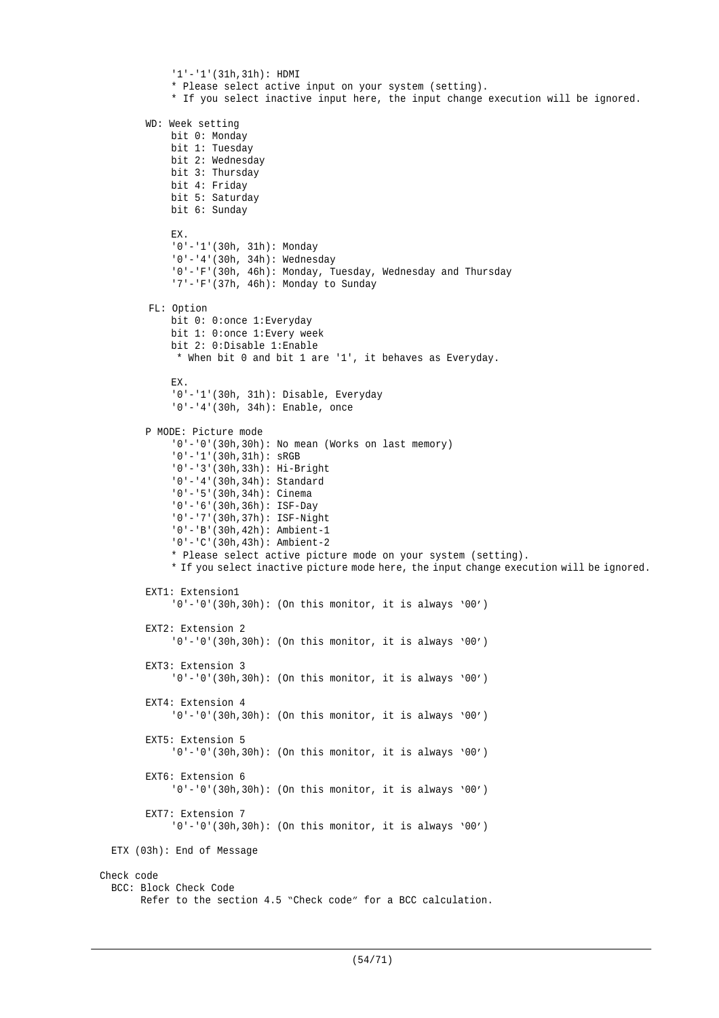```
'1'-'1'(31h,31h): HDMI
            * Please select active input on your system (setting).
            * If you select inactive input here, the input change execution will be ignored.
        WD: Week setting
            bit 0: Monday
            bit 1: Tuesday
            bit 2: Wednesday
            bit 3: Thursday
            bit 4: Friday
            bit 5: Saturday
            bit 6: Sunday
            EX.
            '0'-'1'(30h, 31h): Monday
            '0'-'4'(30h, 34h): Wednesday
            '0'-'F'(30h, 46h): Monday, Tuesday, Wednesday and Thursday
            '7'-'F'(37h, 46h): Monday to Sunday
        FL: Option
            bit 0: 0:once 1:Everyday
            bit 1: 0:once 1:Every week
            bit 2: 0:Disable 1:Enable
             * When bit 0 and bit 1 are '1', it behaves as Everyday.
            EX.
            '0'-'1'(30h, 31h): Disable, Everyday
            '0'-'4'(30h, 34h): Enable, once
        P MODE: Picture mode
            '0'-'0'(30h,30h): No mean (Works on last memory)
            '0'-'1'(30h,31h): sRGB
            '0'-'3'(30h,33h): Hi-Bright
            '0'-'4'(30h,34h): Standard
            '0'-'5'(30h,34h): Cinema
            '0'-'6'(30h,36h): ISF-Day
            '0'-'7'(30h,37h): ISF-Night
            '0'-'B'(30h,42h): Ambient-1
            '0'-'C'(30h,43h): Ambient-2
            * Please select active picture mode on your system (setting).
            * If you select inactive picture mode here, the input change execution will be ignored.
        EXT1: Extension1
            '0'-'0'(30h,30h): (On this monitor, it is always '00')
        EXT2: Extension 2
            '0'-'0'(30h,30h): (On this monitor, it is always '00')
        EXT3: Extension 3
            '0'-'0'(30h,30h): (On this monitor, it is always '00')
        EXT4: Extension 4
            '0'-'0'(30h,30h): (On this monitor, it is always '00')
        EXT5: Extension 5
            '0'-'0'(30h,30h): (On this monitor, it is always '00')
        EXT6: Extension 6
            '0'-'0'(30h,30h): (On this monitor, it is always '00')
        EXT7: Extension 7
            '0'-'0'(30h,30h): (On this monitor, it is always '00')
  ETX (03h): End of Message
Check code
  BCC: Block Check Code
        Refer to the section 4.5 "Check code" for a BCC calculation.
```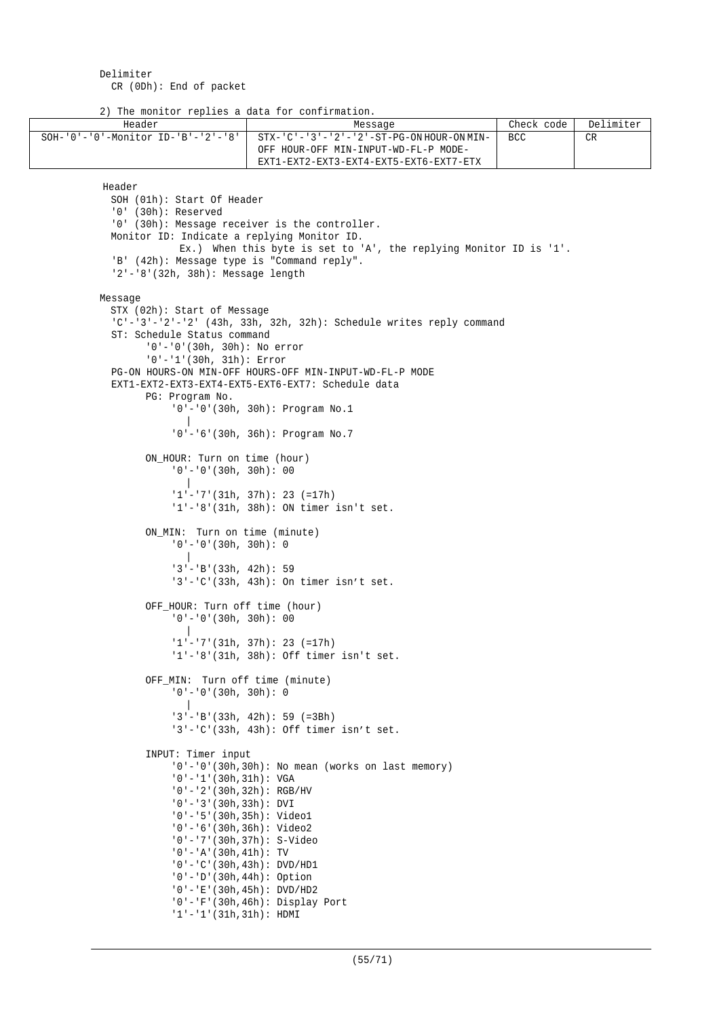Delimiter CR (0Dh): End of packet

2) The monitor replies a data for confirmation.

| Header                                           | Message                                                             | Check code | Delimiter |
|--------------------------------------------------|---------------------------------------------------------------------|------------|-----------|
| $SOH - '0' - '0' - Monttor ID - 'B' - '2' - '8'$ | $STX - 'C' - '3' - '2' - '2' - ST - PG - ON HOUR - ON MIN -$        | <b>BCC</b> | CR.       |
|                                                  | OFF HOUR-OFF MIN-INPUT-WD-FL-P MODE-                                |            |           |
|                                                  | EXT1-EXT2-EXT3-EXT4-EXT5-EXT6-EXT7-ETX                              |            |           |
|                                                  |                                                                     |            |           |
| Header                                           |                                                                     |            |           |
| SOH (01h): Start Of Header                       |                                                                     |            |           |
| $'0'$ (30h): Reserved                            |                                                                     |            |           |
|                                                  | '0' (30h): Message receiver is the controller.                      |            |           |
| Monitor ID: Indicate a replying Monitor ID.      |                                                                     |            |           |
|                                                  |                                                                     |            |           |
| 'B' (42h): Message type is "Command reply".      | Ex.) When this byte is set to 'A', the replying Monitor ID is '1'.  |            |           |
| $'2' - '8'$ (32h, 38h): Message length           |                                                                     |            |           |
|                                                  |                                                                     |            |           |
|                                                  |                                                                     |            |           |
| Message                                          |                                                                     |            |           |
| STX (02h): Start of Message                      |                                                                     |            |           |
|                                                  | 'C'-'3'-'2'-'2' (43h, 33h, 32h, 32h): Schedule writes reply command |            |           |
| ST: Schedule Status command                      |                                                                     |            |           |
| $'0'$ -'0'(30h, 30h): No error                   |                                                                     |            |           |
| $'0'$ - '1' (30h, 31h): Error                    |                                                                     |            |           |
|                                                  | PG-ON HOURS-ON MIN-OFF HOURS-OFF MIN-INPUT-WD-FL-P MODE             |            |           |
|                                                  | EXT1-EXT2-EXT3-EXT4-EXT5-EXT6-EXT7: Schedule data                   |            |           |
| PG: Program No.                                  |                                                                     |            |           |
|                                                  | $'0' - '0'$ (30h, 30h): Program No.1                                |            |           |
|                                                  |                                                                     |            |           |
|                                                  | $'0'$ - $'6'$ (30h, 36h): Program No.7                              |            |           |
|                                                  |                                                                     |            |           |
| ON_HOUR: Turn on time (hour)                     |                                                                     |            |           |
| $'0'$ - $'0'$ (30h, 30h): 00                     |                                                                     |            |           |
|                                                  |                                                                     |            |           |
|                                                  | $1! - 7! (31h, 37h): 23 (=17h)$                                     |            |           |
|                                                  | $'1'$ - '8' (31h, 38h): ON timer isn't set.                         |            |           |
|                                                  |                                                                     |            |           |
| ON_MIN: Turn on time (minute)                    |                                                                     |            |           |
| $'0'$ - $'0'$ (30h, 30h): 0                      |                                                                     |            |           |
|                                                  |                                                                     |            |           |
| $'3'$ - 'B' (33h, 42h): 59                       |                                                                     |            |           |
|                                                  | $'3'$ -'C'(33h, 43h): On timer isn't set.                           |            |           |
|                                                  |                                                                     |            |           |
| OFF_HOUR: Turn off time (hour)                   |                                                                     |            |           |
| $'0'$ - $'0'$ (30h, 30h): 00                     |                                                                     |            |           |
|                                                  |                                                                     |            |           |
|                                                  | $1! - 7! (31h, 37h): 23 (=17h)$                                     |            |           |
|                                                  | '1'-'8'(31h, 38h): Off timer isn't set.                             |            |           |
|                                                  |                                                                     |            |           |
| OFF_MIN: Turn off time (minute)                  |                                                                     |            |           |
| $'0'$ - $'0'$ (30h, 30h): 0                      |                                                                     |            |           |
|                                                  |                                                                     |            |           |
|                                                  | $13' - 1B'$ (33h, 42h): 59 (=3Bh)                                   |            |           |
|                                                  | $'3'$ -'C'(33h, 43h): Off timer isn't set.                          |            |           |
|                                                  |                                                                     |            |           |
| INPUT: Timer input                               |                                                                     |            |           |
|                                                  | $'0'$ -'0'(30h,30h): No mean (works on last memory)                 |            |           |
| $'0'$ - '1'(30h,31h): VGA                        |                                                                     |            |           |
| $'0'$ - '2' (30h, 32h): RGB/HV                   |                                                                     |            |           |
| $'0'$ - '3' (30h, 33h): DVI                      |                                                                     |            |           |
| $'0'$ -'5'(30h,35h): Video1                      |                                                                     |            |           |
| $'0'$ - $'6'$ (30h, 36h): Video2                 |                                                                     |            |           |
|                                                  | $'0'$ -'7'(30h,37h): S-Video                                        |            |           |
| $'0'$ - 'A' (30h, 41h): TV                       |                                                                     |            |           |
|                                                  | $'0'$ - $'C'$ (30h, 43h): DVD/HD1                                   |            |           |
| $'0'$ - $'0'$ (30h, 44h): Option                 |                                                                     |            |           |
|                                                  | $'0'$ - 'E' (30h, 45h): DVD/HD2                                     |            |           |
|                                                  | $'0'$ - $F'(30h,46h)$ : Display Port                                |            |           |
| $'1'$ - $'1'$ (31h,31h): HDMI                    |                                                                     |            |           |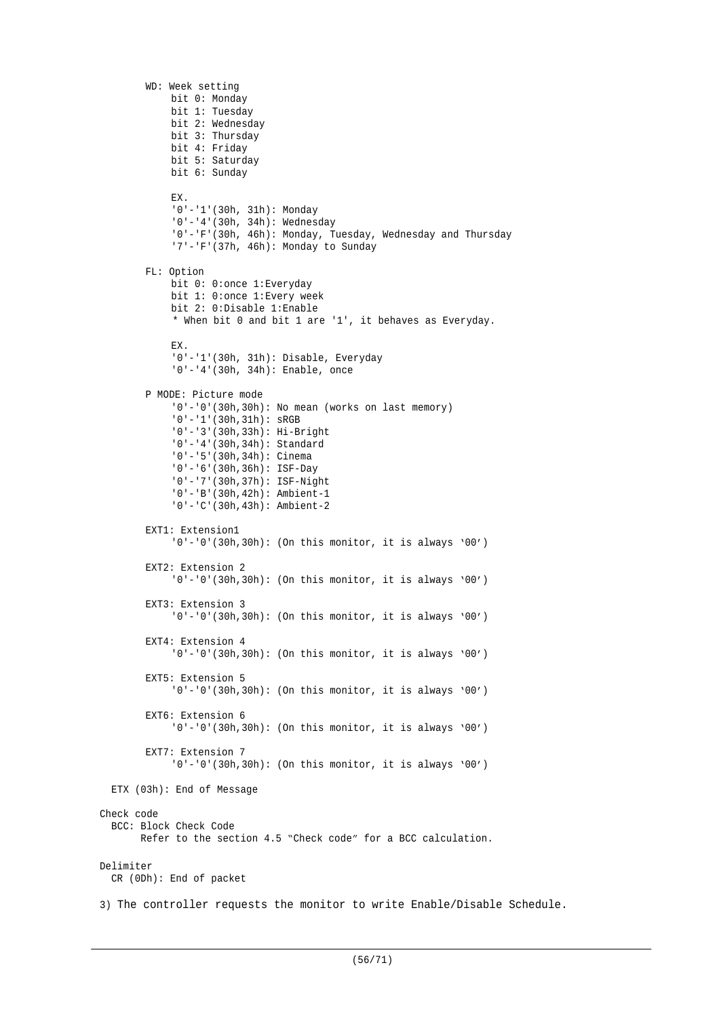```
WD: Week setting
            bit 0: Monday
            bit 1: Tuesday
            bit 2: Wednesday
            bit 3: Thursday
            bit 4: Friday
            bit 5: Saturday
            bit 6: Sunday
            EX.
            '0'-'1'(30h, 31h): Monday
            '0'-'4'(30h, 34h): Wednesday
            '0'-'F'(30h, 46h): Monday, Tuesday, Wednesday and Thursday
            '7'-'F'(37h, 46h): Monday to Sunday
       FL: Option
            bit 0: 0:once 1:Everyday
            bit 1: 0:once 1:Every week
            bit 2: 0:Disable 1:Enable
            * When bit 0 and bit 1 are '1', it behaves as Everyday.
            EX.
            '0'-'1'(30h, 31h): Disable, Everyday
            '0'-'4'(30h, 34h): Enable, once
       P MODE: Picture mode
            '0'-'0'(30h,30h): No mean (works on last memory)
            '0'-'1'(30h,31h): sRGB
            '0'-'3'(30h,33h): Hi-Bright
            '0'-'4'(30h,34h): Standard
            '0'-'5'(30h,34h): Cinema
            '0'-'6'(30h,36h): ISF-Day
            '0'-'7'(30h,37h): ISF-Night
            '0'-'B'(30h,42h): Ambient-1
            '0'-'C'(30h,43h): Ambient-2
       EXT1: Extension1
            '0'-'0'(30h,30h): (On this monitor, it is always '00')
       EXT2: Extension 2
            '0'-'0'(30h,30h): (On this monitor, it is always '00')
       EXT3: Extension 3
            '0'-'0'(30h,30h): (On this monitor, it is always '00')
       EXT4: Extension 4
            '0'-'0'(30h,30h): (On this monitor, it is always '00')
       EXT5: Extension 5
            '0'-'0'(30h,30h): (On this monitor, it is always '00')
       EXT6: Extension 6
            '0'-'0'(30h,30h): (On this monitor, it is always '00')
       EXT7: Extension 7
            '0'-'0'(30h,30h): (On this monitor, it is always '00')
  ETX (03h): End of Message
Check code
  BCC: Block Check Code
        Refer to the section 4.5 "Check code" for a BCC calculation.
Delimiter
  CR (0Dh): End of packet
3) The controller requests the monitor to write Enable/Disable Schedule.
```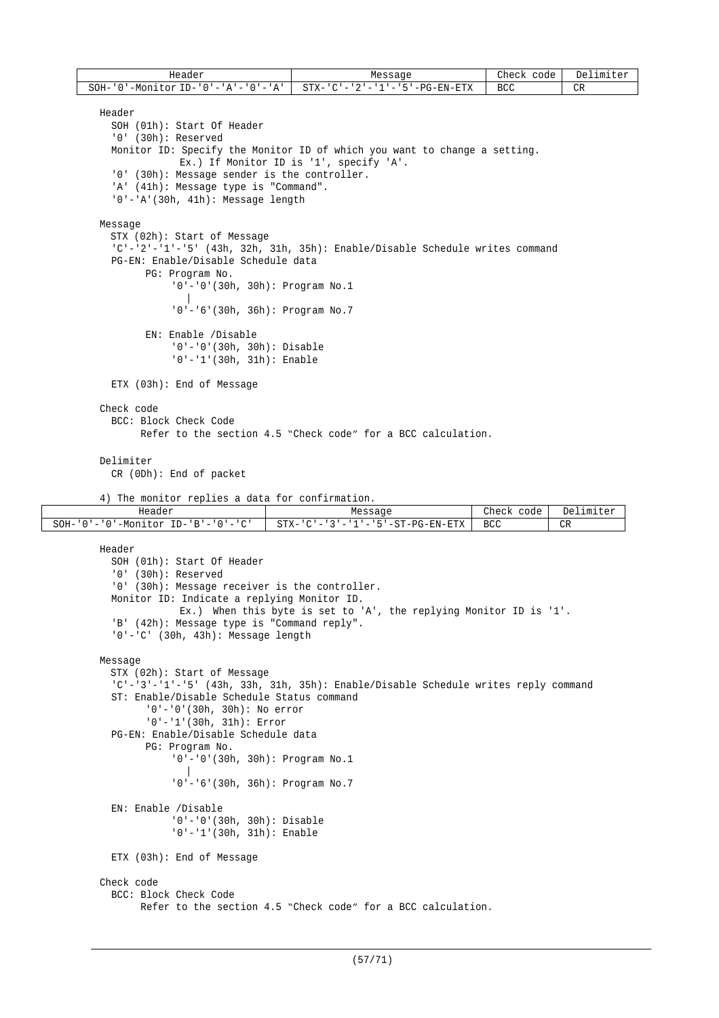| Header          | Messaqe                                                       | Check<br>code | Delimiter |
|-----------------|---------------------------------------------------------------|---------------|-----------|
| SOH-'、<br>י ה י | '-Monitor ID-'0'-'A'-'0'-'A'    STX-'C'-'2'-'1'-'5'-PG-EN-ETX | <b>BCC</b>    | CR        |

```
Header
  SOH (01h): Start Of Header
  '0' (30h): Reserved
  Monitor ID: Specify the Monitor ID of which you want to change a setting.
             Ex.) If Monitor ID is '1', specify 'A'.
  '0' (30h): Message sender is the controller.
  'A' (41h): Message type is "Command".
  '0'-'A'(30h, 41h): Message length
Message
  STX (02h): Start of Message
  'C'-'2'-'1'-'5' (43h, 32h, 31h, 35h): Enable/Disable Schedule writes command
  PG-EN: Enable/Disable Schedule data
        PG: Program No.
            '0'-'0'(30h, 30h): Program No.1
               |
             '0'-'6'(30h, 36h): Program No.7
        EN: Enable /Disable
            '0'-'0'(30h, 30h): Disable
            '0'-'1'(30h, 31h): Enable
```
ETX (03h): End of Message

#### Check code BCC: Block Check Code

Refer to the section 4.5 "Check code" for a BCC calculation.

### Delimiter

CR (0Dh): End of packet

```
4) The monitor replies a data for confirmation.
```

| Header                                                                                                                                                                  | Message                                                                                                                  | ™eck<br>code<br>سدد ۱۷ | De 1<br>limiter |
|-------------------------------------------------------------------------------------------------------------------------------------------------------------------------|--------------------------------------------------------------------------------------------------------------------------|------------------------|-----------------|
| $\sim$<br>SOH-<br>ו בזי<br>$ID-$<br>$\sim$<br>–M∩n<br>tor<br>$\mathbf{u}$<br>$\overline{\phantom{a}}$<br>$\overline{\phantom{a}}$<br>$\overline{\phantom{a}}$<br>◡<br>- | l'-PG-EN-ETX<br>$STX-$<br>$\cap$ $\Box$<br>$\overline{\phantom{a}}$<br>$\overline{\phantom{a}}$<br>$ -$<br>. .<br>$\sim$ | <b>BCC</b><br>$ -$     | $\cap$ D<br>レエハ |

```
Header
  SOH (01h): Start Of Header
  '0' (30h): Reserved
  '0' (30h): Message receiver is the controller.
  Monitor ID: Indicate a replying Monitor ID.
             Ex.) When this byte is set to 'A', the replying Monitor ID is '1'.
  'B' (42h): Message type is "Command reply".
  '0'-'C' (30h, 43h): Message length
Message
  STX (02h): Start of Message
  'C'-'3'-'1'-'5' (43h, 33h, 31h, 35h): Enable/Disable Schedule writes reply command
  ST: Enable/Disable Schedule Status command
        '0'-'0'(30h, 30h): No error
        '0'-'1'(30h, 31h): Error
  PG-EN: Enable/Disable Schedule data
        PG: Program No.
            '0'-'0'(30h, 30h): Program No.1
               |
            '0'-'6'(30h, 36h): Program No.7
  EN: Enable /Disable
            '0'-'0'(30h, 30h): Disable
            '0'-'1'(30h, 31h): Enable
  ETX (03h): End of Message
Check code
  BCC: Block Check Code
        Refer to the section 4.5 "Check code" for a BCC calculation.
```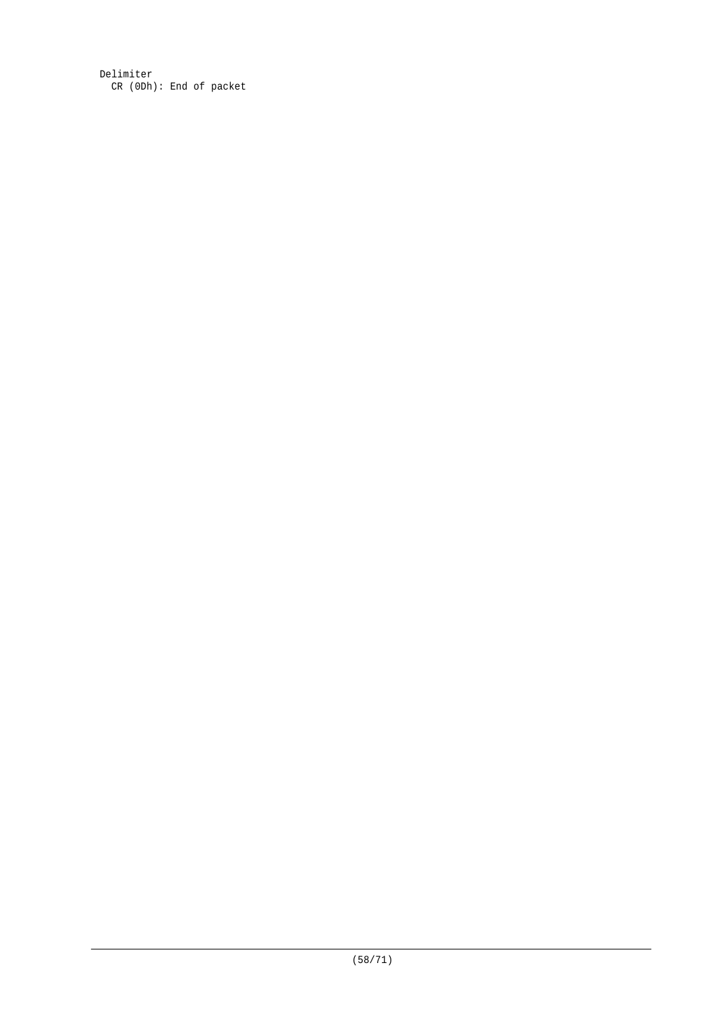Delimiter CR (0Dh): End of packet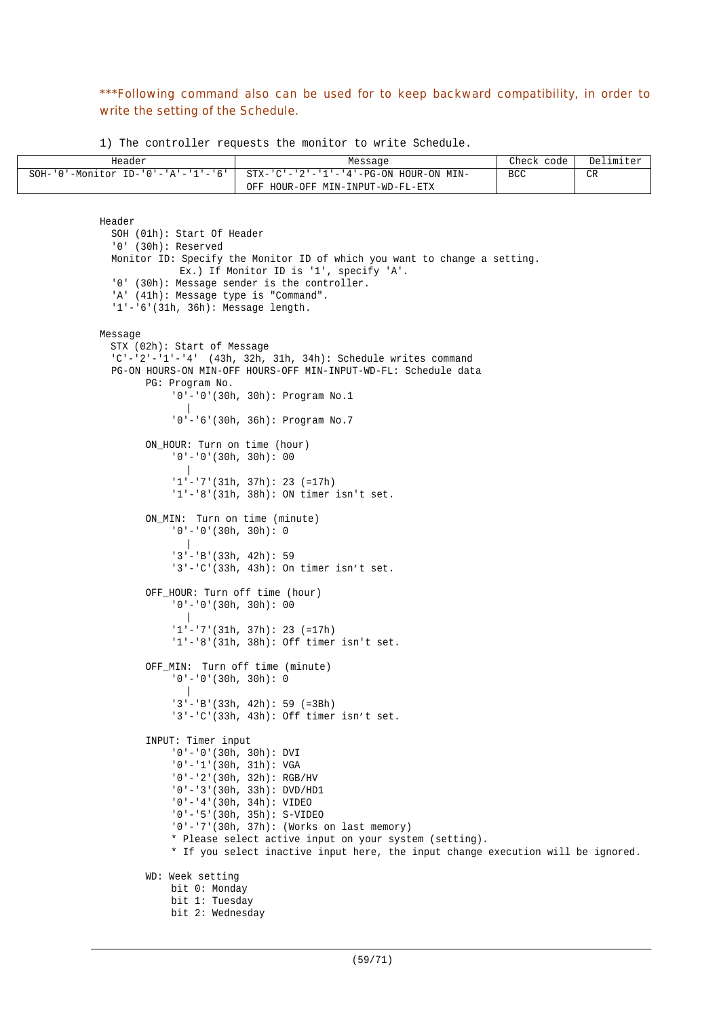# \*\*\*Following command also can be used for to keep backward compatibility, in order to write the setting of the Schedule.

1) The controller requests the monitor to write Schedule.

| Header | Message                                                                     | Check code | Delimiter |
|--------|-----------------------------------------------------------------------------|------------|-----------|
|        | SOH-'0'-Monitor ID-'0'-'A'-'1'-'6'   STX-'C'-'2'-'1'-'4'-PG-ON HOUR-ON MIN- | <b>BCC</b> | ∼פ<br>レハ  |
|        | OFF HOUR-OFF MIN-INPUT-WD-FL-ETX                                            |            |           |

```
Header
  SOH (01h): Start Of Header
  '0' (30h): Reserved
  Monitor ID: Specify the Monitor ID of which you want to change a setting.
             Ex.) If Monitor ID is '1', specify 'A'.
  '0' (30h): Message sender is the controller.
  'A' (41h): Message type is "Command".
  '1'-'6'(31h, 36h): Message length.
Message
  STX (02h): Start of Message
  'C'-'2'-'1'-'4' (43h, 32h, 31h, 34h): Schedule writes command
  PG-ON HOURS-ON MIN-OFF HOURS-OFF MIN-INPUT-WD-FL: Schedule data
        PG: Program No.
            '0'-'0'(30h, 30h): Program No.1
               |
            '0'-'6'(30h, 36h): Program No.7
        ON HOUR: Turn on time (hour)
            '0'-'0'(30h, 30h): 00
              |
            '1'-'7'(31h, 37h): 23 (=17h)
            '1'-'8'(31h, 38h): ON timer isn't set.
        ON_MIN: Turn on time (minute)
            '0'-'0'(30h, 30h): 0
               |
            '3'-'B'(33h, 42h): 59
            '3'-'C'(33h, 43h): On timer isn't set.
        OFF_HOUR: Turn off time (hour)
            '0'-'0'(30h, 30h): 00
               |
            '1'-'7'(31h, 37h): 23 (=17h)
            '1'-'8'(31h, 38h): Off timer isn't set.
        OFF_MIN: Turn off time (minute)
            '0'-'0'(30h, 30h): 0
               |
            '3'-'B'(33h, 42h): 59 (=3Bh)
            '3'-'C'(33h, 43h): Off timer isn't set.
        INPUT: Timer input
            '0'-'0'(30h, 30h): DVI
            '0'-'1'(30h, 31h): VGA
            '0'-'2'(30h, 32h): RGB/HV
            '0'-'3'(30h, 33h): DVD/HD1
            '0'-'4'(30h, 34h): VIDEO
             '0'-'5'(30h, 35h): S-VIDEO
             '0'-'7'(30h, 37h): (Works on last memory)
            * Please select active input on your system (setting).
            * If you select inactive input here, the input change execution will be ignored.
        WD: Week setting
            bit 0: Monday
            bit 1: Tuesday
            bit 2: Wednesday
```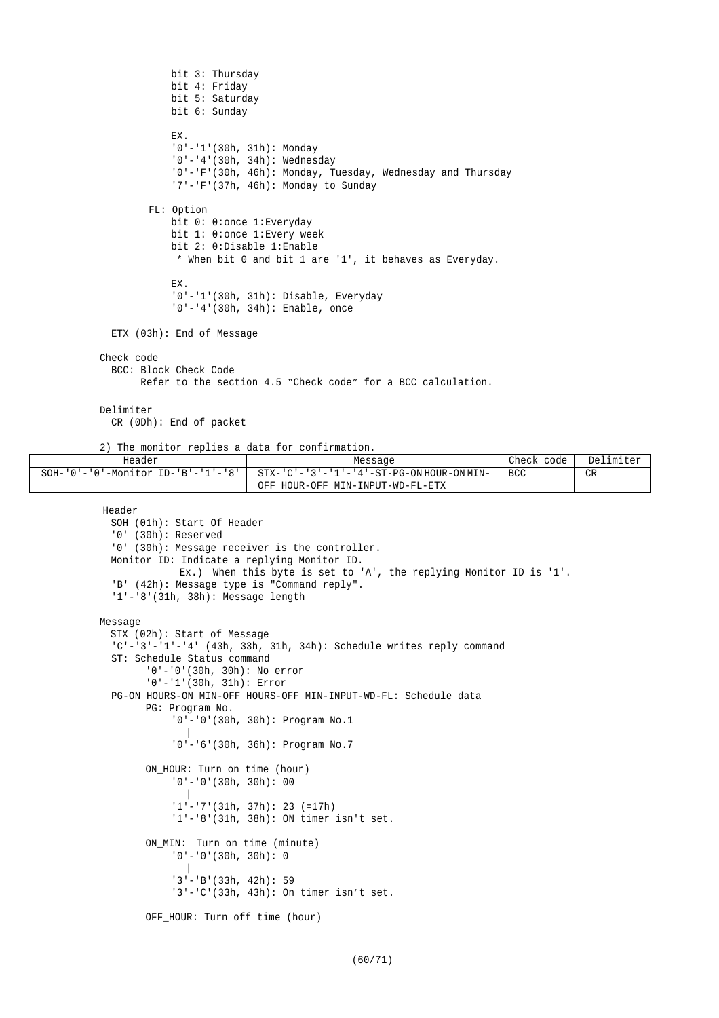```
bit 3: Thursday
            bit 4: Friday
            bit 5: Saturday
            bit 6: Sunday
            EX.
            '0'-'1'(30h, 31h): Monday
            '0'-'4'(30h, 34h): Wednesday
            '0'-'F'(30h, 46h): Monday, Tuesday, Wednesday and Thursday
            '7'-'F'(37h, 46h): Monday to Sunday
        FL: Option
            bit 0: 0: once 1: Everyday
            bit 1: 0:once 1:Every week
            bit 2: 0:Disable 1:Enable
             * When bit 0 and bit 1 are '1', it behaves as Everyday.
            EX.
            '0'-'1'(30h, 31h): Disable, Everyday
            '0'-'4'(30h, 34h): Enable, once
 ETX (03h): End of Message
Check code
  BCC: Block Check Code
        Refer to the section 4.5 "Check code" for a BCC calculation.
Delimiter
  CR (0Dh): End of packet
```
2) The monitor replies a data for confirmation.

| Header                                           | Message                                   | Check<br>code | Delimiter |
|--------------------------------------------------|-------------------------------------------|---------------|-----------|
| $SOH - '0' - '0' - Monttor ID - 'B' - '1' - '8'$ | STX-'C'-'3'-'1'-'4'-ST-PG-ON HOUR-ON MIN- | <b>BCC</b>    | CR        |
|                                                  | OFF HOUR-OFF MIN-INPUT-WD-FL-ETX          |               |           |

Header

```
SOH (01h): Start Of Header
  '0' (30h): Reserved
  '0' (30h): Message receiver is the controller.
 Monitor ID: Indicate a replying Monitor ID.
             Ex.) When this byte is set to 'A', the replying Monitor ID is '1'.
  'B' (42h): Message type is "Command reply".
  '1'-'8'(31h, 38h): Message length
Message
  STX (02h): Start of Message
  'C'-'3'-'1'-'4' (43h, 33h, 31h, 34h): Schedule writes reply command
  ST: Schedule Status command
        '0'-'0'(30h, 30h): No error
        '0'-'1'(30h, 31h): Error
  PG-ON HOURS-ON MIN-OFF HOURS-OFF MIN-INPUT-WD-FL: Schedule data
        PG: Program No.
            '0'-'0'(30h, 30h): Program No.1
               |
            '0'-'6'(30h, 36h): Program No.7
        ON_HOUR: Turn on time (hour)
            '0'-'0'(30h, 30h): 00
               |
             '1'-'7'(31h, 37h): 23 (=17h)
            '1'-'8'(31h, 38h): ON timer isn't set.
        ON_MIN: Turn on time (minute)
            '0'-'0'(30h, 30h): 0
               |
             '3'-'B'(33h, 42h): 59
            '3'-'C'(33h, 43h): On timer isn't set.
        OFF_HOUR: Turn off time (hour)
```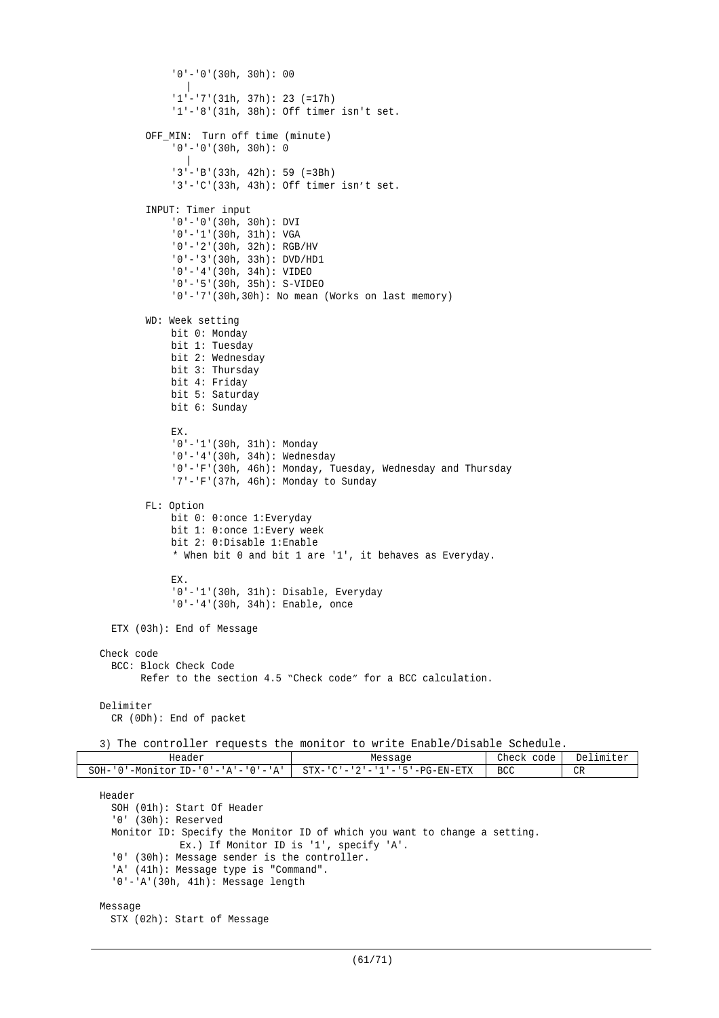```
'0'-'0'(30h, 30h): 00
               |
              '1'-'7'(31h, 37h): 23 (=17h)
              '1'-'8'(31h, 38h): Off timer isn't set.
         OFF_MIN: Turn off time (minute)
              12...<br>10' - 10' (30h, 30h): 0|
              '3'-'B'(33h, 42h): 59 (=3Bh)
              '3'-'C'(33h, 43h): Off timer isn't set.
         INPUT: Timer input
              '0'-'0'(30h, 30h): DVI
              '0'-'1'(30h, 31h): VGA
              '0'-'2'(30h, 32h): RGB/HV
              '0'-'3'(30h, 33h): DVD/HD1
              '0'-'4'(30h, 34h): VIDEO
              '0'-'5'(30h, 35h): S-VIDEO
              '0'-'7'(30h,30h): No mean (Works on last memory)
         WD: Week setting
             bit 0: Monday
             bit 1: Tuesday
             bit 2: Wednesday
             bit 3: Thursday
             bit 4: Friday
             bit 5: Saturday
             bit 6: Sunday
              EX.
              '0'-'1'(30h, 31h): Monday
              '0'-'4'(30h, 34h): Wednesday
              '0'-'F'(30h, 46h): Monday, Tuesday, Wednesday and Thursday
              '7'-'F'(37h, 46h): Monday to Sunday
         FL: Option
             bit 0: 0:once 1:Everyday
             bit 1: 0:once 1:Every week
              bit 2: 0:Disable 1:Enable
              * When bit 0 and bit 1 are '1', it behaves as Everyday.
             EX.
              '0'-'1'(30h, 31h): Disable, Everyday
              '0'-'4'(30h, 34h): Enable, once
   ETX (03h): End of Message
 Check code
   BCC: Block Check Code
         Refer to the section 4.5 "Check code" for a BCC calculation.
 Delimiter
   CR (0Dh): End of packet
 3) The controller requests the monitor to write Enable/Disable Schedule.
             Header Message Check code Delimiter
SOH - '0' - Monitor ID - '0' - 'A' - '0' - 'A' STX - 'C' - '2' - '1' - '5' - PG-EN-ETX BCC CR
 Header
   SOH (01h): Start Of Header
   '0' (30h): Reserved
   Monitor ID: Specify the Monitor ID of which you want to change a setting.
              Ex.) If Monitor ID is '1', specify 'A'.
   '0' (30h): Message sender is the controller.
   'A' (41h): Message type is "Command".
    '0'-'A'(30h, 41h): Message length
 Message
   STX (02h): Start of Message
```

```
(61/71)
```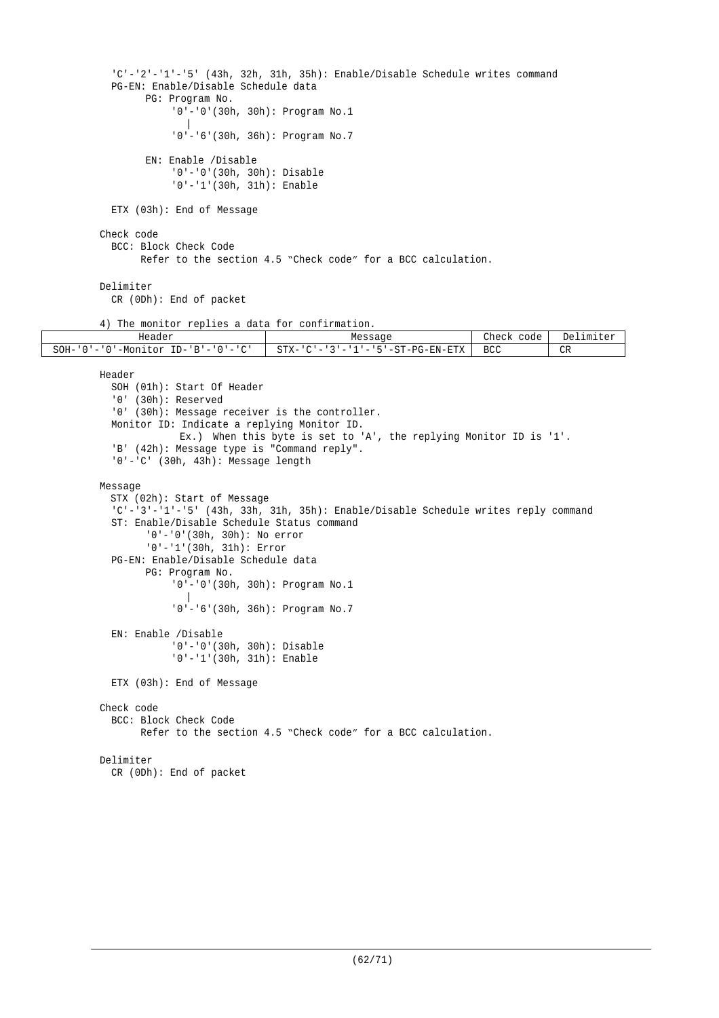```
'C'-'2'-'1'-'5' (43h, 32h, 31h, 35h): Enable/Disable Schedule writes command
          PG-EN: Enable/Disable Schedule data
                PG: Program No.
                    '0'-'0'(30h, 30h): Program No.1
                       |
                    '0'-'6'(30h, 36h): Program No.7
                EN: Enable /Disable
                    '0'-'0'(30h, 30h): Disable
                    '0'-'1'(30h, 31h): Enable
          ETX (03h): End of Message
        Check code
          BCC: Block Check Code
               Refer to the section 4.5 "Check code" for a BCC calculation.
        Delimiter
          CR (0Dh): End of packet
        4) The monitor replies a data for confirmation.<br>Header
                                      Message Check code Delimiter<br>
STX-'C'-'3'-'1'-'5'-ST-PG-EN-ETX BCC CR
SOH-'0'-'0'-Monitor ID-'B'-'0'-'C' STX-'C'-'3'-'1'-'5'-ST-PG-EN-ETX BCC CR
        Header
          SOH (01h): Start Of Header
          '0' (30h): Reserved
          '0' (30h): Message receiver is the controller.
          Monitor ID: Indicate a replying Monitor ID.
                     Ex.) When this byte is set to 'A', the replying Monitor ID is '1'.
          'B' (42h): Message type is "Command reply".
          '0'-'C' (30h, 43h): Message length
        Message
          STX (02h): Start of Message
          'C'-'3'-'1'-'5' (43h, 33h, 31h, 35h): Enable/Disable Schedule writes reply command
          ST: Enable/Disable Schedule Status command
                '0'-'0'(30h, 30h): No error
                '0'-'1'(30h, 31h): Error
          PG-EN: Enable/Disable Schedule data
                PG: Program No.
                    '0'-'0'(30h, 30h): Program No.1
                       |
                     '0'-'6'(30h, 36h): Program No.7
          EN: Enable /Disable
                     '0'-'0'(30h, 30h): Disable
                     '0'-'1'(30h, 31h): Enable
         ETX (03h): End of Message
        Check code
         BCC: Block Check Code
                Refer to the section 4.5 "Check code" for a BCC calculation.
        Delimiter
          CR (0Dh): End of packet
```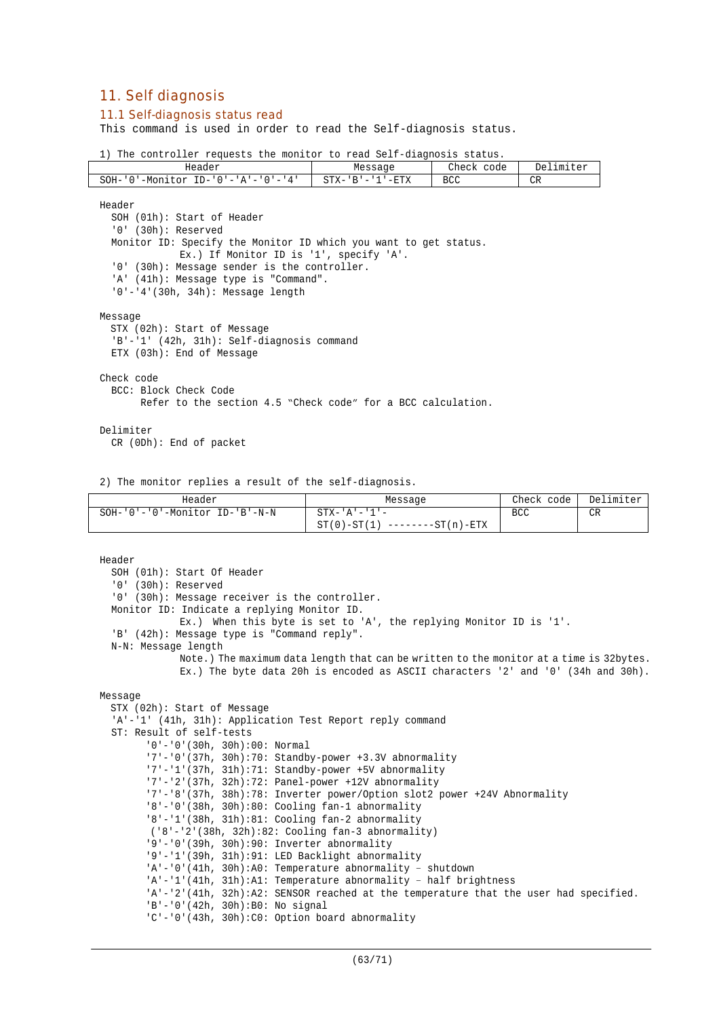# 11. Self diagnosis

### 11.1 Self-diagnosis status read

This command is used in order to read the Self-diagnosis status.

1) The controller requests the monitor to read Self-diagnosis status.

| Header                                                                 | Message                           | Check<br>code | De]<br>$F \cap Y$<br>.ımıter |
|------------------------------------------------------------------------|-----------------------------------|---------------|------------------------------|
| SOH-<br>$TD -$<br>-Moni<br>4<br>†∩r<br>' () ' = ' A ' = ' () ' = '<br> | $-ETX$<br>$STX-$<br>R<br>-<br>--- | <b>BCC</b>    | CR                           |

Header SOH (01h): Start of Header '0' (30h): Reserved Monitor ID: Specify the Monitor ID which you want to get status. Ex.) If Monitor ID is '1', specify 'A'. '0' (30h): Message sender is the controller. 'A' (41h): Message type is "Command". '0'-'4'(30h, 34h): Message length Message STX (02h): Start of Message 'B'-'1' (42h, 31h): Self-diagnosis command ETX (03h): End of Message Check code BCC: Block Check Code Refer to the section 4.5 "Check code" for a BCC calculation. Delimiter

CR (0Dh): End of packet

2) The monitor replies a result of the self-diagnosis.

| Header                               | Message                           | Check code | Delimiter |
|--------------------------------------|-----------------------------------|------------|-----------|
| $SOH-101-101-10$ -Monitor ID-1B'-N-N | $STX - 'A' - '1' -$               | BCC        | CR        |
|                                      | $ST(0) - ST(1)$ --------ST(n)-ETX |            |           |

```
Header
  SOH (01h): Start Of Header
  '0' (30h): Reserved
  '0' (30h): Message receiver is the controller.
  Monitor ID: Indicate a replying Monitor ID.
             Ex.) When this byte is set to 'A', the replying Monitor ID is '1'.
  'B' (42h): Message type is "Command reply".
  N-N: Message length
             Note.) The maximum data length that can be written to the monitor at a time is 32bytes.
              Ex.) The byte data 20h is encoded as ASCII characters '2' and '0' (34h and 30h).
Message
  STX (02h): Start of Message
  'A'-'1' (41h, 31h): Application Test Report reply command
  ST: Result of self-tests
        '0'-'0'(30h, 30h):00: Normal
        '7'-'0'(37h, 30h):70: Standby-power +3.3V abnormality
        '7'-'1'(37h, 31h):71: Standby-power +5V abnormality
        '7'-'2'(37h, 32h):72: Panel-power +12V abnormality
        '7'-'8'(37h, 38h):78: Inverter power/Option slot2 power +24V Abnormality
        '8'-'0'(38h, 30h):80: Cooling fan-1 abnormality
        '8'-'1'(38h, 31h):81: Cooling fan-2 abnormality
        ('8'-'2'(38h, 32h):82: Cooling fan-3 abnormality)
        '9'-'0'(39h, 30h):90: Inverter abnormality
        '9'-'1'(39h, 31h):91: LED Backlight abnormality
        'A'-'0'(41h, 30h):A0: Temperature abnormality – shutdown
        'A'-'1'(41h, 31h):A1: Temperature abnormality – half brightness
        'A'-'2'(41h, 32h):A2: SENSOR reached at the temperature that the user had specified.
        'B'-'0'(42h, 30h):B0: No signal
        'C'-'0'(43h, 30h):C0: Option board abnormality
```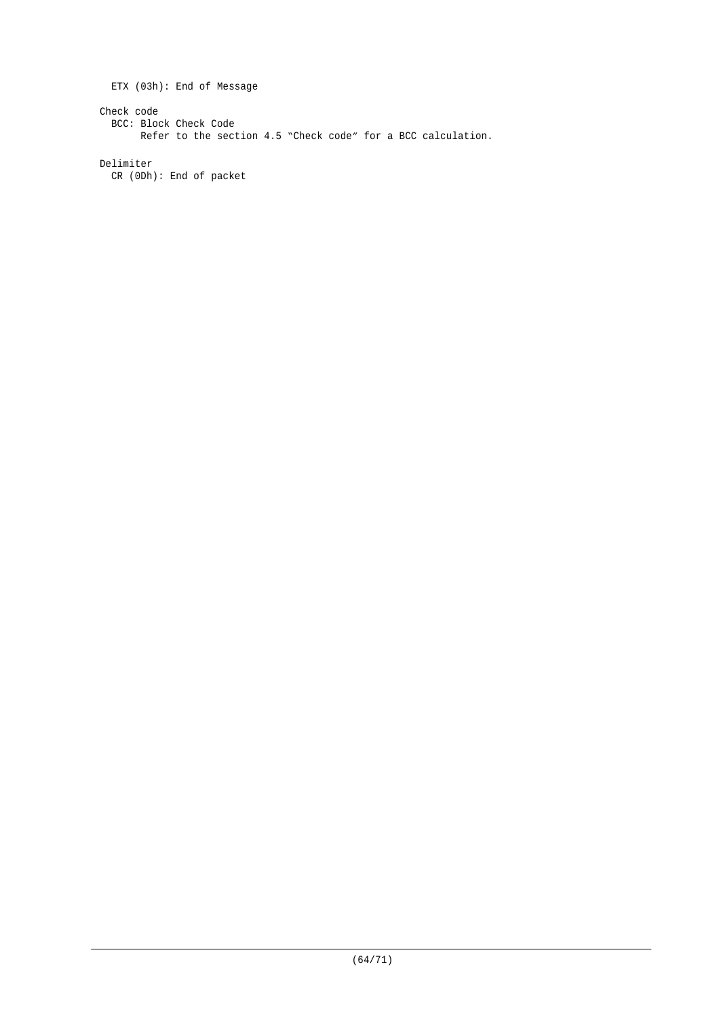ETX (03h): End of Message Check code BCC: Block Check Code Refer to the section 4.5 "Check code" for a BCC calculation.

Delimiter CR (0Dh): End of packet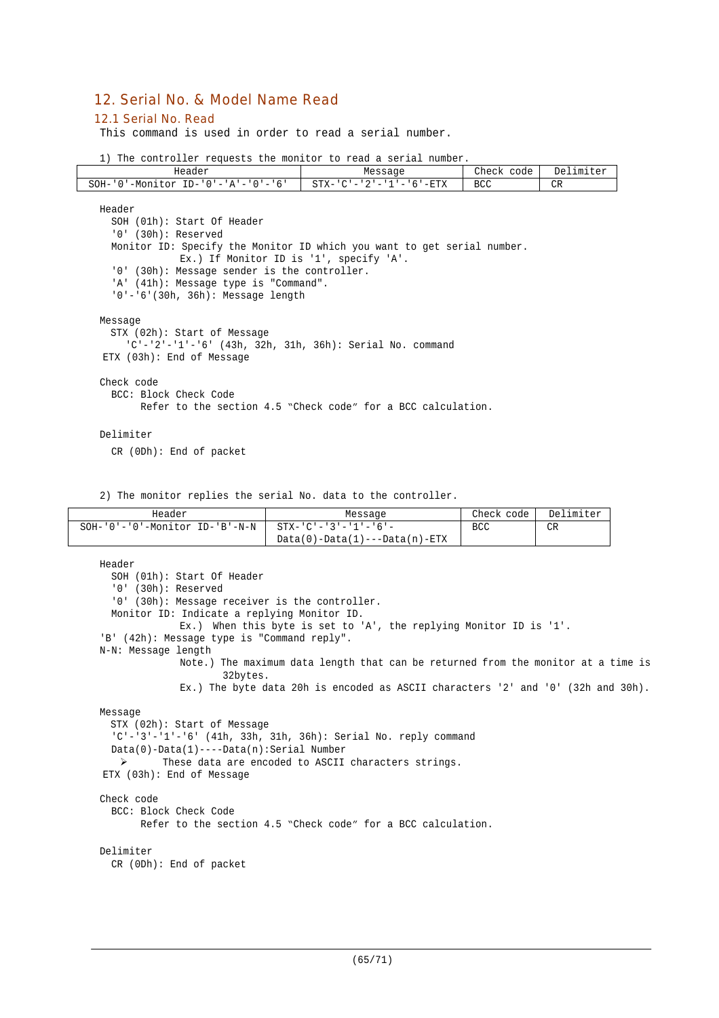# 12. Serial No. & Model Name Read

#### 12.1 Serial No. Read

'n

This command is used in order to read a serial number.

|  |  | 1) The controller requests the monitor to read a serial number. |  |  |  |  |  |  |  |  |
|--|--|-----------------------------------------------------------------|--|--|--|--|--|--|--|--|
|--|--|-----------------------------------------------------------------|--|--|--|--|--|--|--|--|

| Header                                                                                                                                                                                                                                                                                                                 | Message                             | Check code | Delimiter |
|------------------------------------------------------------------------------------------------------------------------------------------------------------------------------------------------------------------------------------------------------------------------------------------------------------------------|-------------------------------------|------------|-----------|
| SOH-'0'-Monitor ID-'0'-' $A'$ -'0'-'6'                                                                                                                                                                                                                                                                                 | $STX - 'C' - '2' - '1' - '6' - RTX$ | <b>BCC</b> | CR        |
| Header<br>SOH (01h): Start Of Header<br>$'0'$ (30h): Reserved<br>Monitor ID: Specify the Monitor ID which you want to get serial number.<br>Ex.) If Monitor ID is '1', specify 'A'.<br>'0' (30h): Message sender is the controller.<br>'A' (41h): Message type is "Command".<br>$'0' - '6'$ (30h, 36h): Message length |                                     |            |           |
| Message<br>STX (02h): Start of Message<br>'C'-'2'-'1'-'6' (43h, 32h, 31h, 36h): Serial No. command<br>ETX (03h): End of Message                                                                                                                                                                                        |                                     |            |           |
| Check code<br>BCC: Block Check Code<br>Refer to the section 4.5 "Check code" for a BCC calculation.                                                                                                                                                                                                                    |                                     |            |           |
| Delimiter<br>$CR$ (ODh): End of packet                                                                                                                                                                                                                                                                                 |                                     |            |           |

2) The monitor replies the serial No. data to the controller.

| Header                                                | Message                         | Check code | Delimiter |
|-------------------------------------------------------|---------------------------------|------------|-----------|
| SOH-'0'-'0'-Monitor ID-'B'-N-N   STX-'C'-'3'-'1'-'6'- |                                 | <b>BCC</b> | CR        |
|                                                       | $Data(0)-Data(1)---Data(n)-ETX$ |            |           |

```
Header
  SOH (01h): Start Of Header
  '0' (30h): Reserved
 '0' (30h): Message receiver is the controller.
 Monitor ID: Indicate a replying Monitor ID.
             Ex.) When this byte is set to 'A', the replying Monitor ID is '1'.
'B' (42h): Message type is "Command reply".
N-N: Message length
             Note.) The maximum data length that can be returned from the monitor at a time is
                    32bytes.
             Ex.) The byte data 20h is encoded as ASCII characters '2' and '0' (32h and 30h).
Message
 STX (02h): Start of Message
  'C'-'3'-'1'-'6' (41h, 33h, 31h, 36h): Serial No. reply command
 Data(0)-Data(1)----Data(n):Serial Number
  > These data are encoded to ASCII characters strings.
ETX (03h): End of Message
Check code
 BCC: Block Check Code
       Refer to the section 4.5 "Check code" for a BCC calculation.
Delimiter
 CR (0Dh): End of packet
```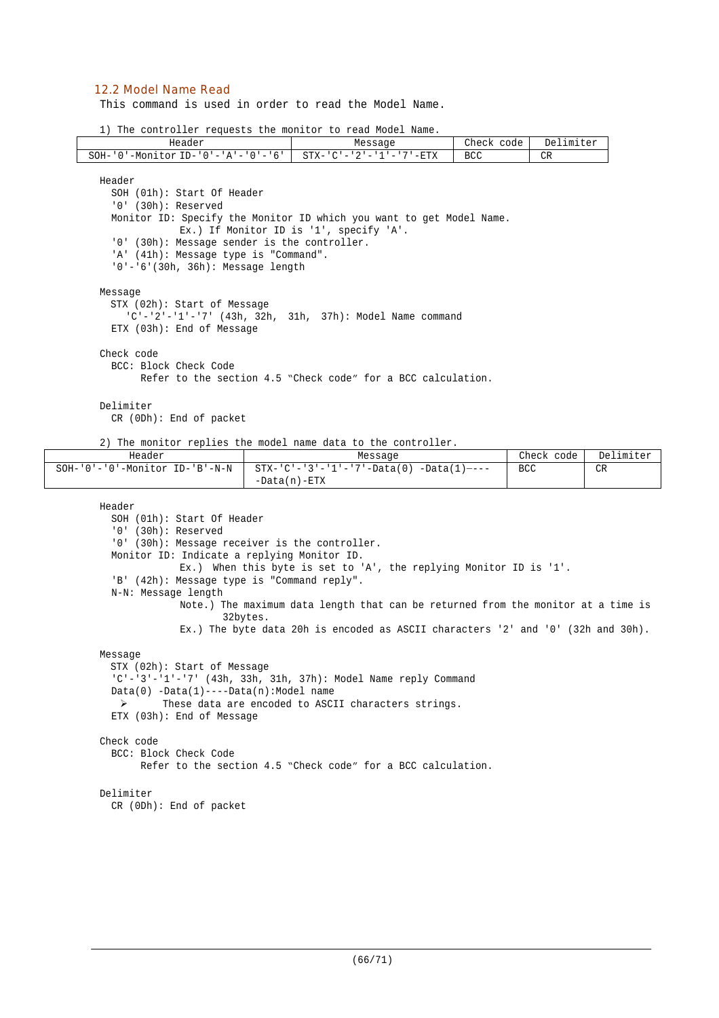### 12.2 Model Name Read

This command is used in order to read the Model Name.

1) The controller requests the monitor to read Model Name.

| Header                                                                                                                                                                                                                               |          | Message                                                                                                                                                                                                                                         | Check code | Delimiter  |           |
|--------------------------------------------------------------------------------------------------------------------------------------------------------------------------------------------------------------------------------------|----------|-------------------------------------------------------------------------------------------------------------------------------------------------------------------------------------------------------------------------------------------------|------------|------------|-----------|
| SOH-'0'-Monitor ID-'0'-'A'-'0'-'6'                                                                                                                                                                                                   |          | $STX - 'C' - '2' - '1' - '7' - ETX$                                                                                                                                                                                                             | <b>BCC</b> | CR.        |           |
| Header<br>SOH (01h): Start Of Header<br>$'0'$ (30h): Reserved<br>'0' (30h): Message sender is the controller.<br>'A' (41h): Message type is "Command".<br>'0'-'6'(30h, 36h): Message length                                          |          | Monitor ID: Specify the Monitor ID which you want to get Model Name.<br>Ex.) If Monitor ID is '1', specify 'A'.                                                                                                                                 |            |            |           |
| Message<br>STX (02h): Start of Message<br>ETX (03h): End of Message                                                                                                                                                                  |          | 'C'-'2'-'1'-'7' (43h, 32h, 31h, 37h): Model Name command                                                                                                                                                                                        |            |            |           |
| Check code<br>BCC: Block Check Code                                                                                                                                                                                                  |          | Refer to the section 4.5 "Check code" for a BCC calculation.                                                                                                                                                                                    |            |            |           |
| Delimiter<br>CR (ODh): End of packet                                                                                                                                                                                                 |          |                                                                                                                                                                                                                                                 |            |            |           |
| Header                                                                                                                                                                                                                               |          | 2) The monitor replies the model name data to the controller.<br>Message                                                                                                                                                                        |            | Check code | Delimiter |
| $SOH - '0' - '0' - Monttor ID - 'B' - N - N$                                                                                                                                                                                         |          | $STX - 'C' - '3' - '1' - '7' - Data(0) - Data(1) - - -$<br>$-Data(n) - ETX$                                                                                                                                                                     |            | <b>BCC</b> | CR.       |
| Header<br>SOH (01h): Start Of Header<br>$'0'$ (30h): Reserved<br>'0' (30h): Message receiver is the controller.<br>Monitor ID: Indicate a replying Monitor ID.<br>'B' (42h): Message type is "Command reply".<br>N-N: Message length | 32bytes. | Ex.) When this byte is set to 'A', the replying Monitor ID is '1'.<br>Note.) The maximum data length that can be returned from the monitor at a time is<br>Ex.) The byte data 20h is encoded as ASCII characters $'2'$ and $'0'$ (32h and 30h). |            |            |           |
| Message                                                                                                                                                                                                                              |          |                                                                                                                                                                                                                                                 |            |            |           |

STX (02h): Start of Message 'C'-'3'-'1'-'7' (43h, 33h, 31h, 37h): Model Name reply Command Data(0) -Data(1)----Data(n):Model name These data are encoded to ASCII characters strings. ETX (03h): End of Message Check code BCC: Block Check Code Refer to the section 4.5 "Check code" for a BCC calculation. Delimiter

```
CR (0Dh): End of packet
```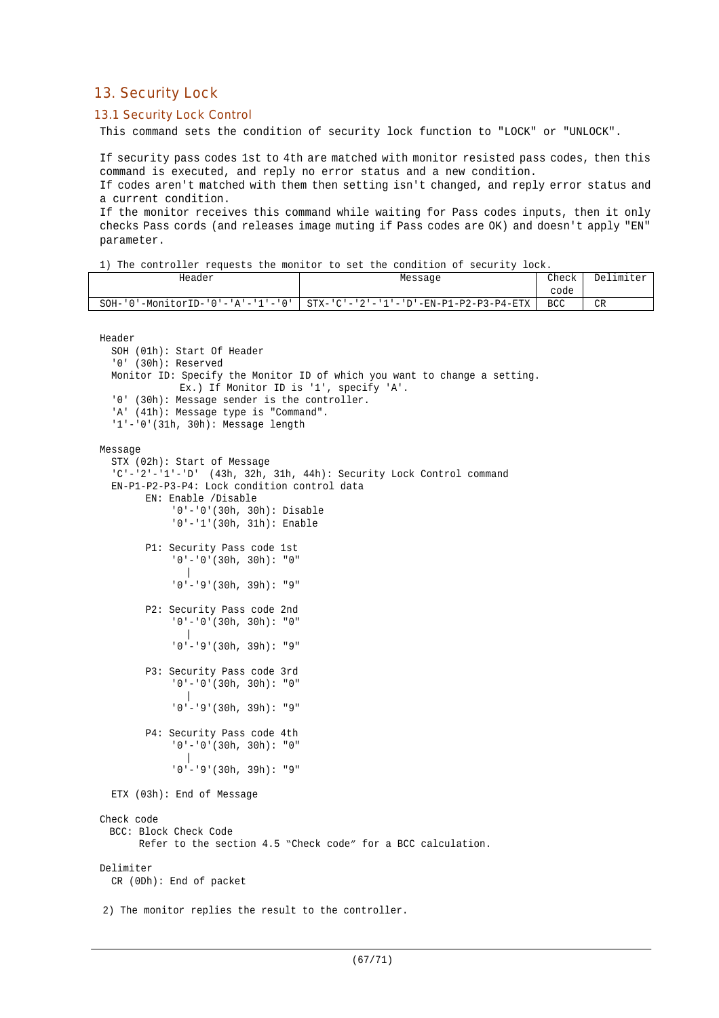# 13. Security Lock

# 13.1 Security Lock Control

This command sets the condition of security lock function to "LOCK" or "UNLOCK".

If security pass codes 1st to 4th are matched with monitor resisted pass codes, then this command is executed, and reply no error status and a new condition.

If codes aren't matched with them then setting isn't changed, and reply error status and a current condition.

If the monitor receives this command while waiting for Pass codes inputs, then it only checks Pass cords (and releases image muting if Pass codes are OK) and doesn't apply "EN" parameter.

Header Research Message Research Check

Delimiter

1) The controller requests the monitor to set the condition of security lock.

|                                                                                                                                                                               |                                                                           | code       |    |
|-------------------------------------------------------------------------------------------------------------------------------------------------------------------------------|---------------------------------------------------------------------------|------------|----|
| $SOH - '0' - MonitorID - '0' - 'A' - '1' - '0'$                                                                                                                               | $STX - 'C' - '2' - '1' - 'D' - EN - P1 - P2 - P3 - P4 - ETX$              | <b>BCC</b> | CR |
| Header<br>SOH (01h): Start Of Header<br>$'0'$ (30h): Reserved<br>Ex.) If Monitor ID is '1', specify 'A'.<br>'0' (30h): Message sender is the controller.                      | Monitor ID: Specify the Monitor ID of which you want to change a setting. |            |    |
| 'A' (41h): Message type is "Command".<br>$'1'$ - '0' (31h, 30h): Message length                                                                                               |                                                                           |            |    |
| Message<br>STX (02h): Start of Message<br>EN-P1-P2-P3-P4: Lock condition control data<br>EN: Enable /Disable<br>$'0'$ -'0'(30h, 30h): Disable<br>$'0'$ -'1'(30h, 31h): Enable | $C'$ -'2'-'1'-'D' (43h, 32h, 31h, 44h): Security Lock Control command     |            |    |
| P1: Security Pass code 1st<br>$'0'$ - '0' (30h, 30h): "0"<br>$'0'$ - $'9'$ (30h, 39h): "9"                                                                                    |                                                                           |            |    |
| P2: Security Pass code 2nd<br>$'0'$ - $'0'$ (30h, 30h): "0"<br>$'0'$ - $'9'$ (30h, 39h): "9"                                                                                  |                                                                           |            |    |
| P3: Security Pass code 3rd<br>$'0'$ - $'0'$ (30h, 30h): "0"<br>$'0'$ - $'9'$ (30h, 39h): "9"                                                                                  |                                                                           |            |    |
| P4: Security Pass code 4th<br>$'0' - '0'$ (30h, 30h): "0"<br>$'0'$ - $'9'$ (30h, 39h): "9"                                                                                    |                                                                           |            |    |
| ETX (03h): End of Message                                                                                                                                                     |                                                                           |            |    |
| Check code<br>BCC: Block Check Code                                                                                                                                           | Refer to the section 4.5 "Check code" for a BCC calculation.              |            |    |
| Delimiter<br>CR (ODh): End of packet                                                                                                                                          |                                                                           |            |    |
| 2) The monitor replies the result to the controller.                                                                                                                          |                                                                           |            |    |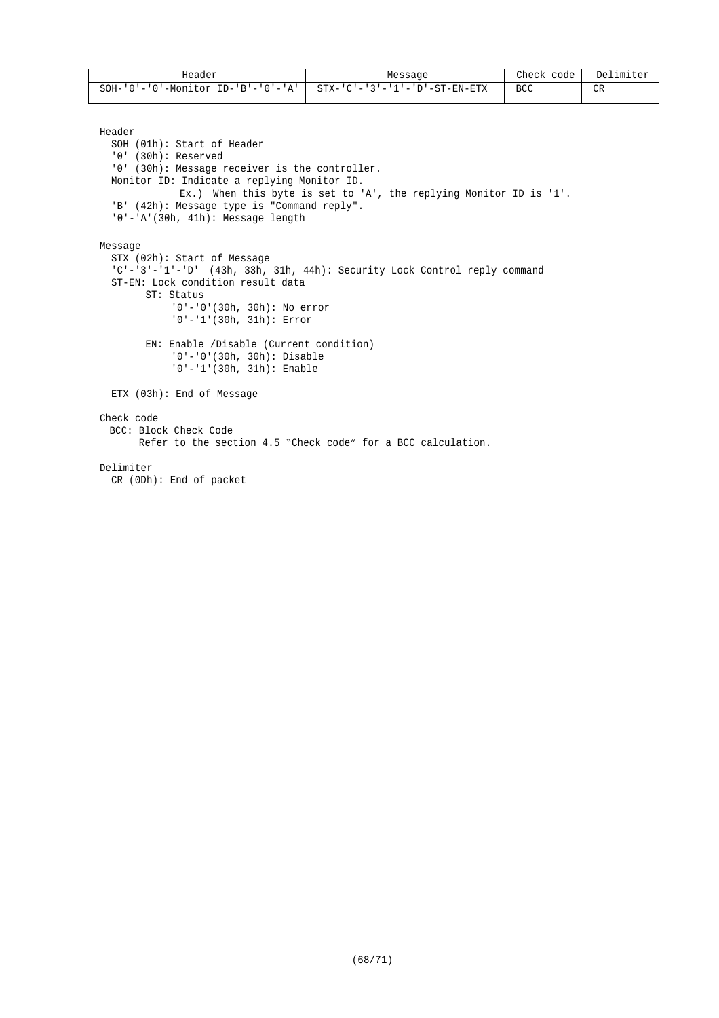| Header                                          | Message                       | Check<br>code | Delimiter |
|-------------------------------------------------|-------------------------------|---------------|-----------|
| $\cdot$ ID-'B'-'0'-'A'  <br>SOH-'0'-'0'-Monitor | STX-'C'-'3'-'1'-'D'-ST-EN-ETX | <b>BCC</b>    | CR        |

Header

```
SOH (01h): Start of Header
  '0' (30h): Reserved
  '0' (30h): Message receiver is the controller.
 Monitor ID: Indicate a replying Monitor ID.
             Ex.) When this byte is set to 'A', the replying Monitor ID is '1'.
  'B' (42h): Message type is "Command reply".
  '0'-'A'(30h, 41h): Message length
Message
  STX (02h): Start of Message
  'C'-'3'-'1'-'D' (43h, 33h, 31h, 44h): Security Lock Control reply command
  ST-EN: Lock condition result data
       ST: Status
            '0'-'0'(30h, 30h): No error
            '0'-'1'(30h, 31h): Error
       EN: Enable /Disable (Current condition)
            '0'-'0'(30h, 30h): Disable
            '0'-'1'(30h, 31h): Enable
  ETX (03h): End of Message
Check code
 BCC: Block Check Code
       Refer to the section 4.5 "Check code" for a BCC calculation.
Delimiter
  CR (0Dh): End of packet
```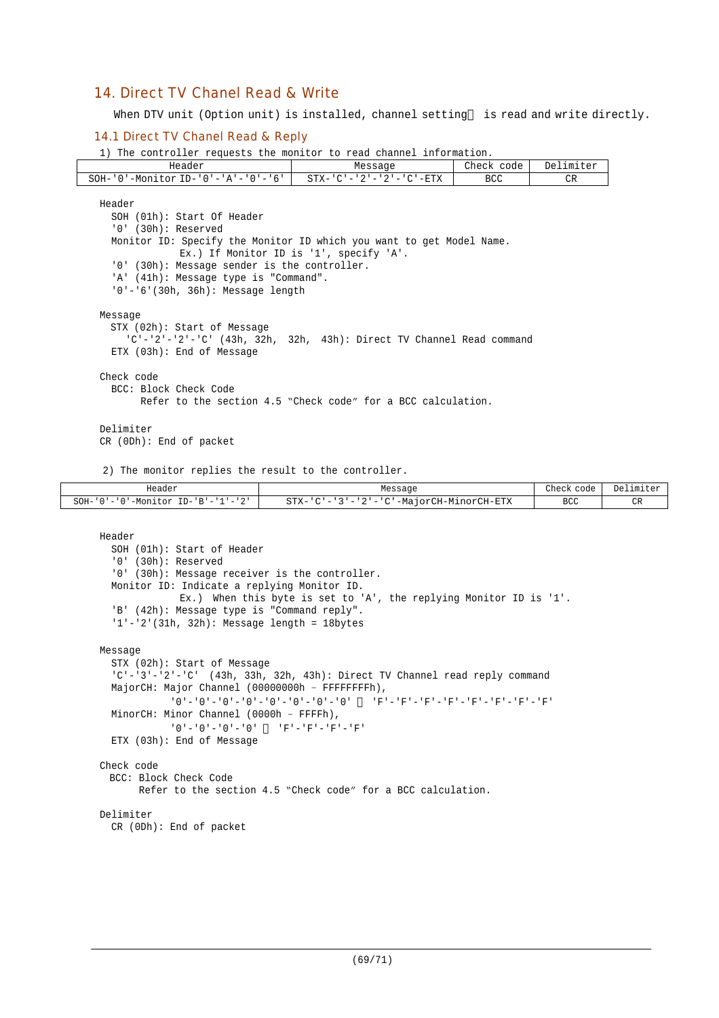# 14. Direct TV Chanel Read & Write

When DTV unit (Option unit) is installed, channel setting is read and write directly.

### 14.1 Direct TV Chanel Read & Reply

1) The controller requests the monitor to read channel information.

| Header                                                                 | Message                                                      | Check code | Delimiter |
|------------------------------------------------------------------------|--------------------------------------------------------------|------------|-----------|
| $SOH - '0'$ -Monitor ID-'0'-'A'-'0'-'6'                                | $STX - 'C' - '2' - '2' - 'C' - ETX$                          | <b>BCC</b> | CR        |
| Header                                                                 |                                                              |            |           |
| SOH (01h): Start Of Header                                             |                                                              |            |           |
| '0' (30h): Reserved                                                    |                                                              |            |           |
| Monitor ID: Specify the Monitor ID which you want to get Model Name.   |                                                              |            |           |
|                                                                        | Ex.) If Monitor ID is '1', specify 'A'.                      |            |           |
| '0' (30h): Message sender is the controller.                           |                                                              |            |           |
| 'A' (41h): Message type is "Command".                                  |                                                              |            |           |
| $'0' - '6'$ (30h, 36h): Message length                                 |                                                              |            |           |
|                                                                        |                                                              |            |           |
| Message                                                                |                                                              |            |           |
| STX (02h): Start of Message                                            |                                                              |            |           |
| $C'$ -'2'-'2'-'C' (43h, 32h, 32h, 43h): Direct TV Channel Read command |                                                              |            |           |
| ETX (03h): End of Message                                              |                                                              |            |           |
| Check code                                                             |                                                              |            |           |
| BCC: Block Check Code                                                  |                                                              |            |           |
|                                                                        | Refer to the section 4.5 "Check code" for a BCC calculation. |            |           |
|                                                                        |                                                              |            |           |
| Delimiter                                                              |                                                              |            |           |
| $CR$ (ODh): End of packet                                              |                                                              |            |           |
|                                                                        |                                                              |            |           |
| 2) The monitor replies the result to the controller.                   |                                                              |            |           |

| Header                             | Message                                      |            | Delimiter |
|------------------------------------|----------------------------------------------|------------|-----------|
| SOH-'0'-'0'-Monitor ID-'B'-'1'-'2' | '-'3'-'2'-'C'-MajorCH-MinorCH-ETX<br>STX-'C' | <b>BCC</b> |           |

```
Header
```

```
SOH (01h): Start of Header
  '0' (30h): Reserved
  '0' (30h): Message receiver is the controller.
 Monitor ID: Indicate a replying Monitor ID.
             Ex.) When this byte is set to 'A', the replying Monitor ID is '1'.
  'B' (42h): Message type is "Command reply".
  '1'-'2'(31h, 32h): Message length = 18bytes
Message
  STX (02h): Start of Message
  'C'-'3'-'2'-'C' (43h, 33h, 32h, 43h): Direct TV Channel read reply command
 MajorCH: Major Channel (00000000h – FFFFFFFFh),
           '0'-'0'-'0'-'0'-'0'-'0'-'0'-'0' 'F'-'F'-'F'-'F'-'F'-'F'-'F'-'F'
 MinorCH: Minor Channel (0000h – FFFFh),
           '0'-'0'-'0'-'0' 'F'-'F'-'F'-'F'
 ETX (03h): End of Message
Check code
 BCC: Block Check Code
       Refer to the section 4.5 "Check code" for a BCC calculation.
Delimiter
  CR (0Dh): End of packet
```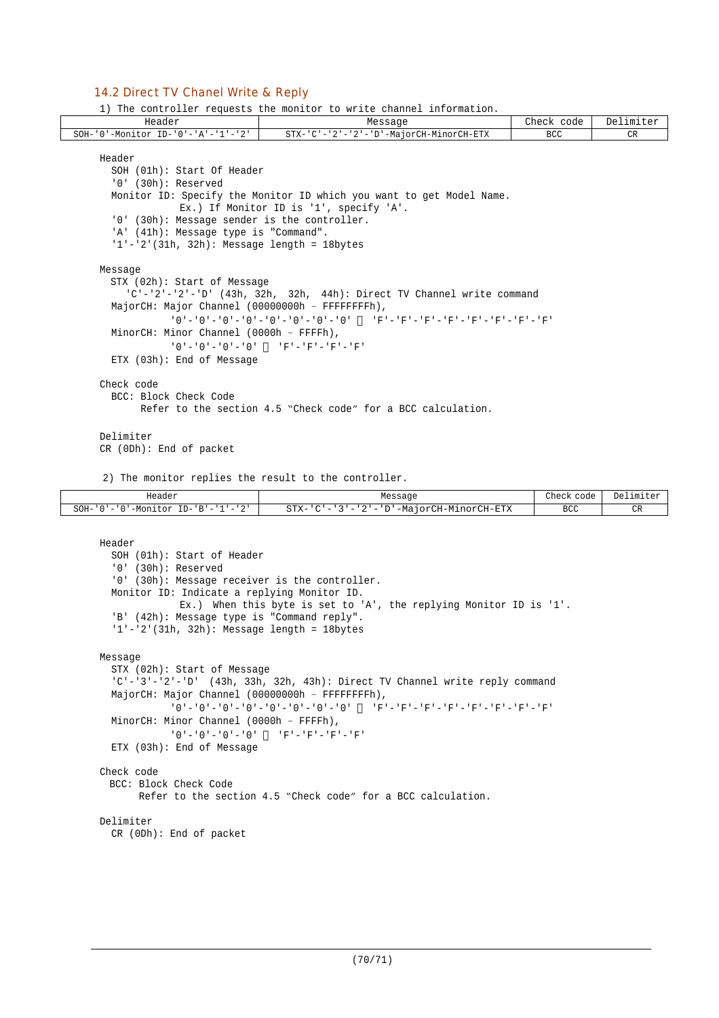### 14.2 Direct TV Chanel Write & Reply

1) The controller requests the monitor to write channel information.

| Header                                          | Message                                                                                             | Check code | Delimiter |
|-------------------------------------------------|-----------------------------------------------------------------------------------------------------|------------|-----------|
| SOH-'0'-Monitor ID-'0'-'A'-'1'-'2'              | STX-'C'-'2'-'2'-'D'-MajorCH-MinorCH-ETX                                                             | BCC.       | CR        |
| Header                                          |                                                                                                     |            |           |
| SOH (01h): Start Of Header                      |                                                                                                     |            |           |
| $'0'$ (30h): Reserved                           |                                                                                                     |            |           |
|                                                 | Monitor ID: Specify the Monitor ID which you want to get Model Name.                                |            |           |
|                                                 | Ex.) If Monitor ID is '1', specify 'A'.                                                             |            |           |
| '0' (30h): Message sender is the controller.    |                                                                                                     |            |           |
| 'A' (41h): Message type is "Command".           |                                                                                                     |            |           |
| $1'-2'$ (31h, 32h): Message length = 18bytes    |                                                                                                     |            |           |
|                                                 |                                                                                                     |            |           |
| Message                                         |                                                                                                     |            |           |
| STX (02h): Start of Message                     |                                                                                                     |            |           |
|                                                 | $C'$ -'2'-'2'-'D' (43h, 32h, 32h, 44h): Direct TV Channel write command                             |            |           |
| MajorCH: Major Channel (00000000h - FFFFFFFFh), |                                                                                                     |            |           |
|                                                 | יתי – יתי – יתי – יתי – יתי – יתי – יתי – יתי – יחי – יחי – יחי – יחי – יחי – יחי – יחי – יחי – יחי |            |           |
| MinorCH: Minor Channel (0000h - FFFFh),         |                                                                                                     |            |           |
|                                                 | $101 - 101 - 101 - 101$                                                                             |            |           |
| ETX (03h): End of Message                       |                                                                                                     |            |           |
| Check code                                      |                                                                                                     |            |           |
| BCC: Block Check Code                           |                                                                                                     |            |           |
|                                                 | Refer to the section 4.5 "Check code" for a BCC calculation.                                        |            |           |
|                                                 |                                                                                                     |            |           |
| Delimiter                                       |                                                                                                     |            |           |
| $CR$ (ODh): End of packet                       |                                                                                                     |            |           |

2) The monitor replies the result to the controller.

| Header<br>.                                                                                                                                              | Message                                                                               | Check code | Delimiter        |
|----------------------------------------------------------------------------------------------------------------------------------------------------------|---------------------------------------------------------------------------------------|------------|------------------|
| $\cap$<br>$SOH -$<br>$\mathbf{R}$ $\mathbf{R}$<br><sup>10</sup> '-Monitul<br>T <sub>D</sub><br>$\cdot$ $\cdot$ $\cdot$ $\cdot$<br>$\cdot$ $\cdot$ $\sim$ | '-MajorCH-MinorCH-ETX<br>$\sim$ $\sim$<br>$STX-$<br>.<br>$\qquad \qquad \blacksquare$ | BCC        | $n_{\rm D}$<br>◡ |

```
Header
  SOH (01h): Start of Header
  '0' (30h): Reserved
  '0' (30h): Message receiver is the controller.
  Monitor ID: Indicate a replying Monitor ID.
             Ex.) When this byte is set to 'A', the replying Monitor ID is '1'.
  'B' (42h): Message type is "Command reply".
  '1'-'2'(31h, 32h): Message length = 18bytes
Message
  STX (02h): Start of Message
  'C'-'3'-'2'-'D' (43h, 33h, 32h, 43h): Direct TV Channel write reply command
 MajorCH: Major Channel (00000000h – FFFFFFFFh),
            '0'-'0'-'0'-'0'-'0'-'0'-'0'-'0' 'F'-'F'-'F'-'F'-'F'-'F'-'F'-'F'
 MinorCH: Minor Channel (0000h – FFFFh),
           '0' -'0'-'0'-'0' 'F'-'F'-'F'-'F'
  ETX (03h): End of Message
Check code
 BCC: Block Check Code
       Refer to the section 4.5 "Check code" for a BCC calculation.
Delimiter
  CR (0Dh): End of packet
```